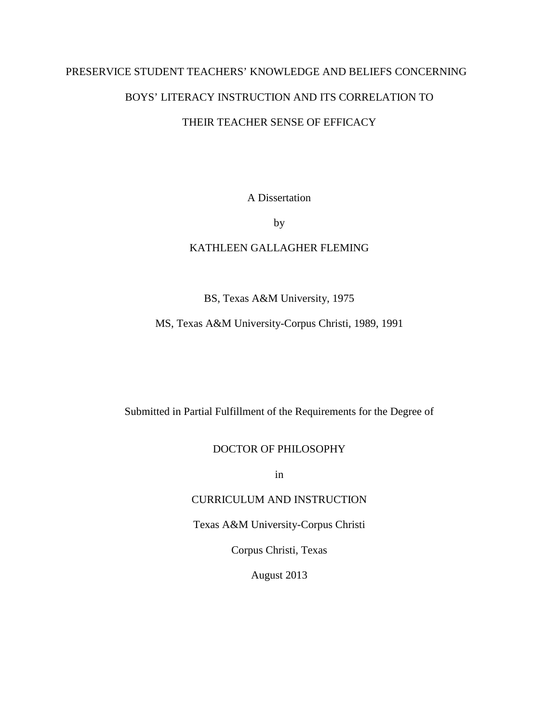## PRESERVICE STUDENT TEACHERS' KNOWLEDGE AND BELIEFS CONCERNING

## BOYS' LITERACY INSTRUCTION AND ITS CORRELATION TO

## THEIR TEACHER SENSE OF EFFICACY

A Dissertation

by

## KATHLEEN GALLAGHER FLEMING

## BS, Texas A&M University, 1975

## MS, Texas A&M University-Corpus Christi, 1989, 1991

Submitted in Partial Fulfillment of the Requirements for the Degree of

## DOCTOR OF PHILOSOPHY

in

## CURRICULUM AND INSTRUCTION

Texas A&M University-Corpus Christi

Corpus Christi, Texas

August 2013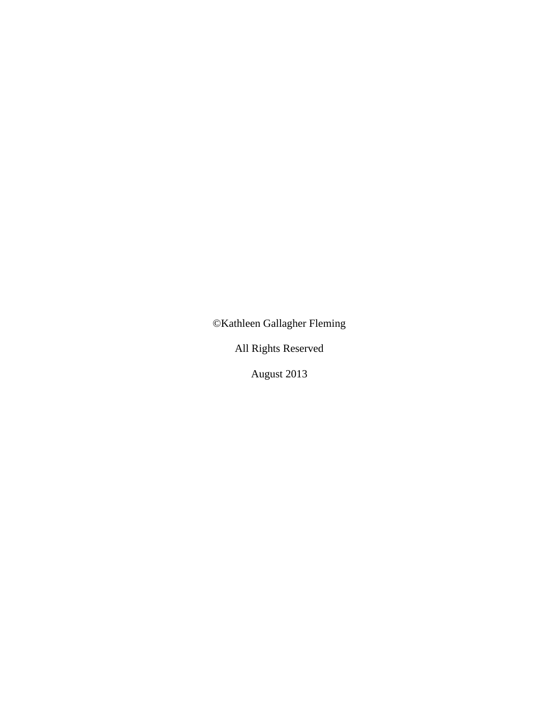©Kathleen Gallagher Fleming

All Rights Reserved

August 2013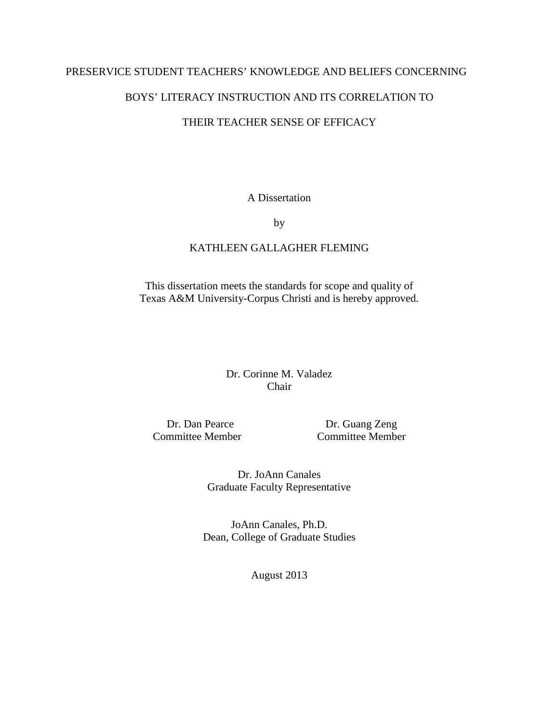## PRESERVICE STUDENT TEACHERS' KNOWLEDGE AND BELIEFS CONCERNING

## BOYS' LITERACY INSTRUCTION AND ITS CORRELATION TO

## THEIR TEACHER SENSE OF EFFICACY

A Dissertation

by

## KATHLEEN GALLAGHER FLEMING

This dissertation meets the standards for scope and quality of Texas A&M University-Corpus Christi and is hereby approved.

> Dr. Corinne M. Valadez Chair

Dr. Dan Pearce Dr. Guang Zeng Committee Member Committee Member

> Dr. JoAnn Canales Graduate Faculty Representative

JoAnn Canales, Ph.D. Dean, College of Graduate Studies

August 2013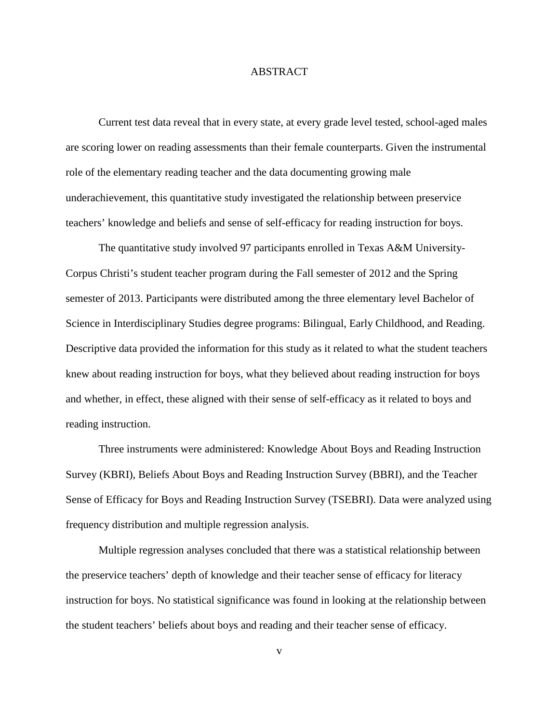### ABSTRACT

Current test data reveal that in every state, at every grade level tested, school-aged males are scoring lower on reading assessments than their female counterparts. Given the instrumental role of the elementary reading teacher and the data documenting growing male underachievement, this quantitative study investigated the relationship between preservice teachers' knowledge and beliefs and sense of self-efficacy for reading instruction for boys.

The quantitative study involved 97 participants enrolled in Texas A&M University-Corpus Christi's student teacher program during the Fall semester of 2012 and the Spring semester of 2013. Participants were distributed among the three elementary level Bachelor of Science in Interdisciplinary Studies degree programs: Bilingual, Early Childhood, and Reading. Descriptive data provided the information for this study as it related to what the student teachers knew about reading instruction for boys, what they believed about reading instruction for boys and whether, in effect, these aligned with their sense of self-efficacy as it related to boys and reading instruction.

Three instruments were administered: Knowledge About Boys and Reading Instruction Survey (KBRI), Beliefs About Boys and Reading Instruction Survey (BBRI), and the Teacher Sense of Efficacy for Boys and Reading Instruction Survey (TSEBRI). Data were analyzed using frequency distribution and multiple regression analysis.

Multiple regression analyses concluded that there was a statistical relationship between the preservice teachers' depth of knowledge and their teacher sense of efficacy for literacy instruction for boys. No statistical significance was found in looking at the relationship between the student teachers' beliefs about boys and reading and their teacher sense of efficacy.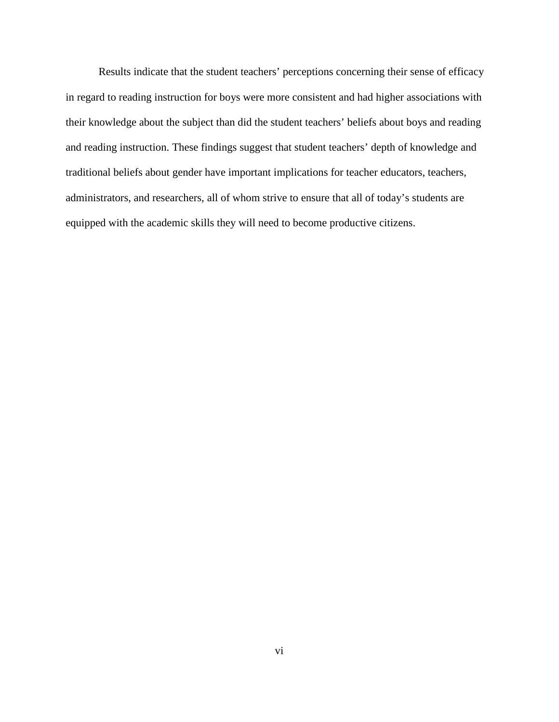Results indicate that the student teachers' perceptions concerning their sense of efficacy in regard to reading instruction for boys were more consistent and had higher associations with their knowledge about the subject than did the student teachers' beliefs about boys and reading and reading instruction. These findings suggest that student teachers' depth of knowledge and traditional beliefs about gender have important implications for teacher educators, teachers, administrators, and researchers, all of whom strive to ensure that all of today's students are equipped with the academic skills they will need to become productive citizens.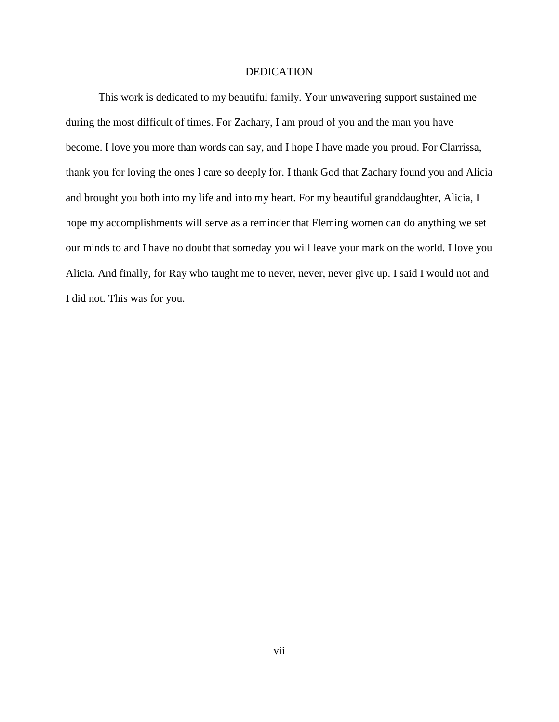#### DEDICATION

This work is dedicated to my beautiful family. Your unwavering support sustained me during the most difficult of times. For Zachary, I am proud of you and the man you have become. I love you more than words can say, and I hope I have made you proud. For Clarrissa, thank you for loving the ones I care so deeply for. I thank God that Zachary found you and Alicia and brought you both into my life and into my heart. For my beautiful granddaughter, Alicia, I hope my accomplishments will serve as a reminder that Fleming women can do anything we set our minds to and I have no doubt that someday you will leave your mark on the world. I love you Alicia. And finally, for Ray who taught me to never, never, never give up. I said I would not and I did not. This was for you.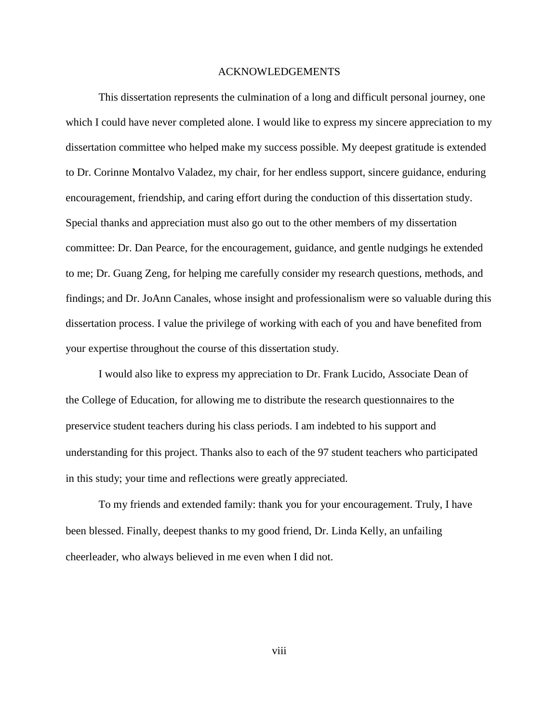### ACKNOWLEDGEMENTS

This dissertation represents the culmination of a long and difficult personal journey, one which I could have never completed alone. I would like to express my sincere appreciation to my dissertation committee who helped make my success possible. My deepest gratitude is extended to Dr. Corinne Montalvo Valadez, my chair, for her endless support, sincere guidance, enduring encouragement, friendship, and caring effort during the conduction of this dissertation study. Special thanks and appreciation must also go out to the other members of my dissertation committee: Dr. Dan Pearce, for the encouragement, guidance, and gentle nudgings he extended to me; Dr. Guang Zeng, for helping me carefully consider my research questions, methods, and findings; and Dr. JoAnn Canales, whose insight and professionalism were so valuable during this dissertation process. I value the privilege of working with each of you and have benefited from your expertise throughout the course of this dissertation study.

I would also like to express my appreciation to Dr. Frank Lucido, Associate Dean of the College of Education, for allowing me to distribute the research questionnaires to the preservice student teachers during his class periods. I am indebted to his support and understanding for this project. Thanks also to each of the 97 student teachers who participated in this study; your time and reflections were greatly appreciated.

To my friends and extended family: thank you for your encouragement. Truly, I have been blessed. Finally, deepest thanks to my good friend, Dr. Linda Kelly, an unfailing cheerleader, who always believed in me even when I did not.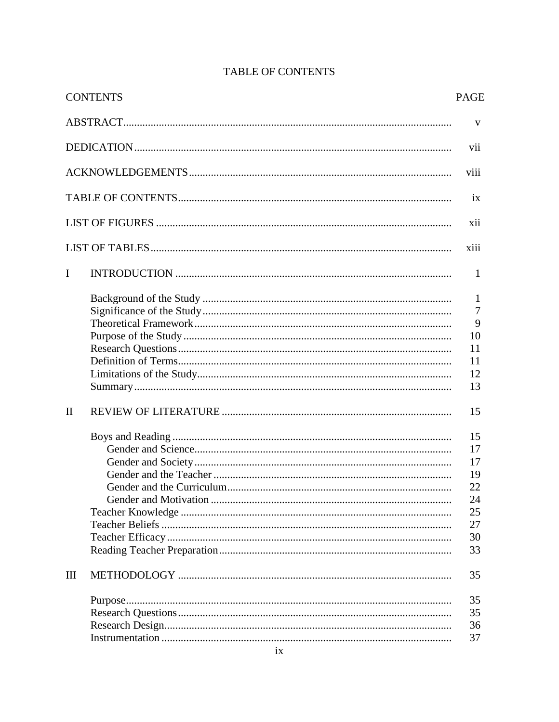|              | <b>CONTENTS</b> | <b>PAGE</b> |
|--------------|-----------------|-------------|
|              |                 | V           |
|              |                 | vii         |
|              |                 | viii        |
|              |                 | ix          |
|              |                 | xii         |
|              |                 | xiii        |
| $\mathbf I$  |                 | 1           |
|              |                 | 1           |
|              |                 | 7           |
|              |                 | 9           |
|              |                 | 10          |
|              |                 | 11          |
|              |                 | 11          |
|              |                 | 12          |
|              |                 | 13          |
| $\mathbf{I}$ |                 | 15          |
|              |                 | 15          |
|              |                 | 17          |
|              |                 | 17          |
|              |                 | 19          |
|              |                 | 22          |
|              |                 | 24          |
|              |                 | 25          |
|              |                 | 27          |
|              |                 | 30          |
|              |                 | 33          |
| Ш            |                 | 35          |
|              |                 | 35          |
|              |                 | 35          |
|              |                 | 36          |
|              |                 | 37          |

# **TABLE OF CONTENTS**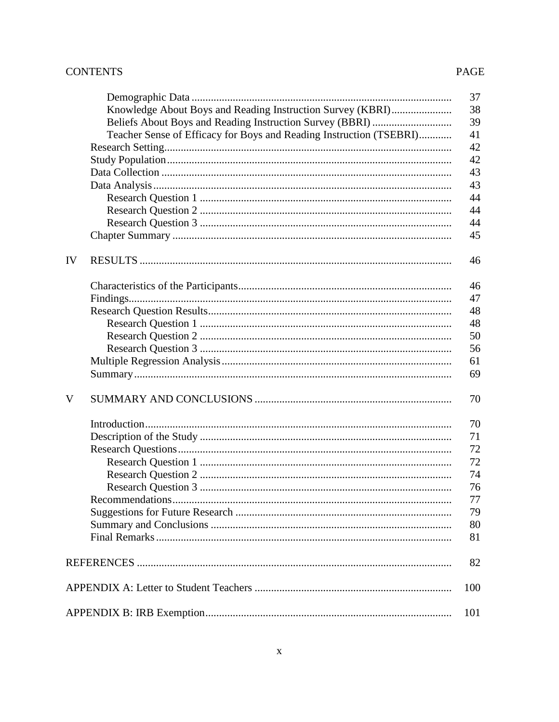## **CONTENTS**

## PAGE

|                                                                     | 37  |
|---------------------------------------------------------------------|-----|
| Knowledge About Boys and Reading Instruction Survey (KBRI)          | 38  |
| Beliefs About Boys and Reading Instruction Survey (BBRI)            | 39  |
| Teacher Sense of Efficacy for Boys and Reading Instruction (TSEBRI) | 41  |
|                                                                     | 42  |
|                                                                     | 42  |
|                                                                     | 43  |
|                                                                     | 43  |
|                                                                     | 44  |
|                                                                     | 44  |
|                                                                     | 44  |
|                                                                     | 45  |
|                                                                     |     |
| IV                                                                  | 46  |
|                                                                     | 46  |
|                                                                     | 47  |
|                                                                     | 48  |
|                                                                     | 48  |
|                                                                     | 50  |
|                                                                     | 56  |
|                                                                     | 61  |
|                                                                     | 69  |
|                                                                     |     |
| V                                                                   | 70  |
|                                                                     | 70  |
|                                                                     | 71  |
|                                                                     | 72  |
|                                                                     | 72  |
|                                                                     | 74  |
|                                                                     | 76  |
|                                                                     | 77  |
|                                                                     | 79  |
|                                                                     | 80  |
|                                                                     | 81  |
|                                                                     | 82  |
|                                                                     | 100 |
|                                                                     | 101 |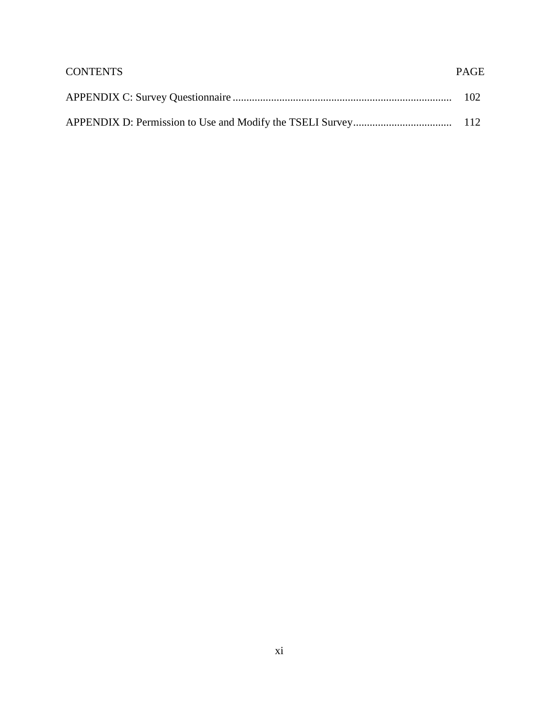| <b>CONTENTS</b> | <b>PAGE</b> |
|-----------------|-------------|
|                 |             |
|                 |             |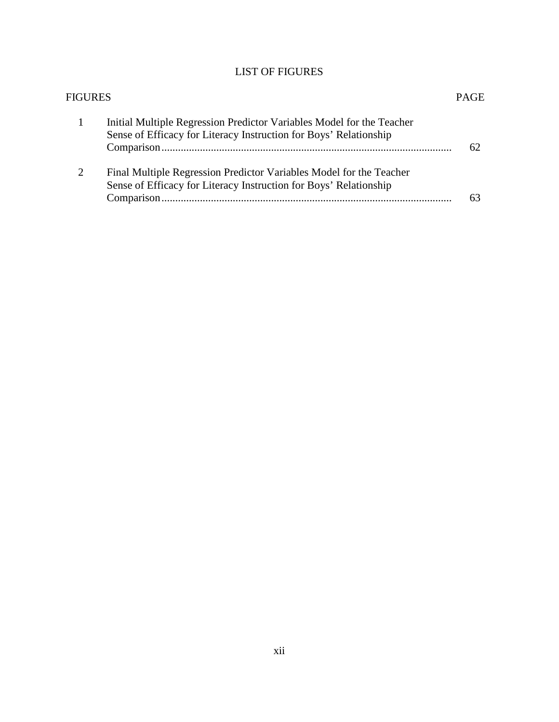# LIST OF FIGURES

| <b>FIGURES</b> |                                                                                                                                            | <b>PAGE</b> |
|----------------|--------------------------------------------------------------------------------------------------------------------------------------------|-------------|
|                | Initial Multiple Regression Predictor Variables Model for the Teacher<br>Sense of Efficacy for Literacy Instruction for Boys' Relationship | 62          |
| $\mathcal{D}$  | Final Multiple Regression Predictor Variables Model for the Teacher<br>Sense of Efficacy for Literacy Instruction for Boys' Relationship   | 63          |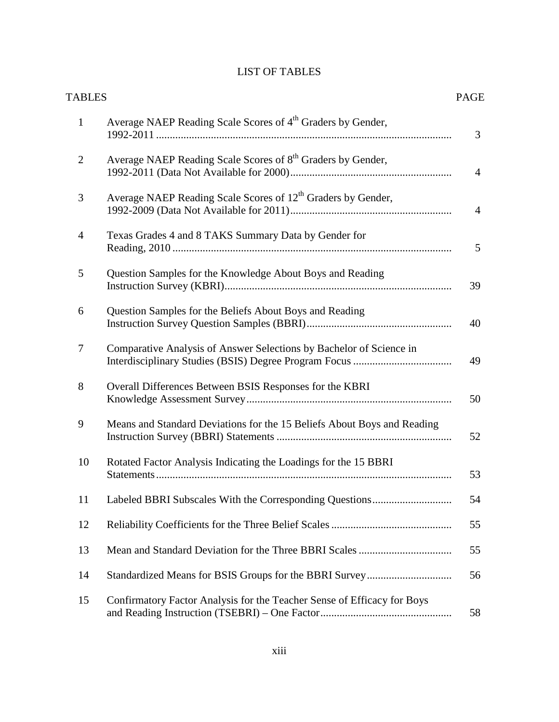# LIST OF TABLES

| <b>TABLES</b>  |                                                                          | <b>PAGE</b>    |
|----------------|--------------------------------------------------------------------------|----------------|
| $\mathbf{1}$   | Average NAEP Reading Scale Scores of 4 <sup>th</sup> Graders by Gender,  | 3              |
| $\overline{2}$ | Average NAEP Reading Scale Scores of 8 <sup>th</sup> Graders by Gender,  | $\overline{4}$ |
| 3              | Average NAEP Reading Scale Scores of 12 <sup>th</sup> Graders by Gender, | $\overline{4}$ |
| $\overline{4}$ | Texas Grades 4 and 8 TAKS Summary Data by Gender for                     | 5              |
| 5              | Question Samples for the Knowledge About Boys and Reading                | 39             |
| 6              | Question Samples for the Beliefs About Boys and Reading                  | 40             |
| 7              | Comparative Analysis of Answer Selections by Bachelor of Science in      | 49             |
| 8              | Overall Differences Between BSIS Responses for the KBRI                  | 50             |
| 9              | Means and Standard Deviations for the 15 Beliefs About Boys and Reading  | 52             |
| 10             | Rotated Factor Analysis Indicating the Loadings for the 15 BBRI          | 53             |
| 11             |                                                                          | 54             |
| 12             |                                                                          | 55             |
| 13             |                                                                          | 55             |
| 14             |                                                                          | 56             |
| 15             | Confirmatory Factor Analysis for the Teacher Sense of Efficacy for Boys  | 58             |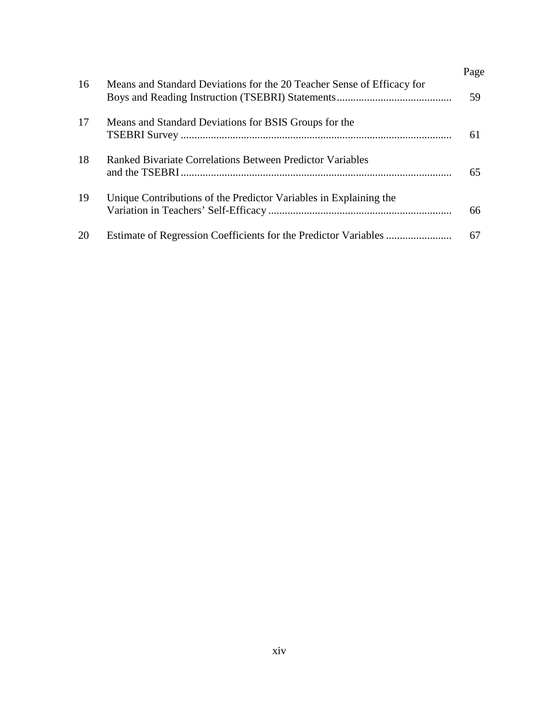|    |                                                                        | Page |
|----|------------------------------------------------------------------------|------|
| 16 | Means and Standard Deviations for the 20 Teacher Sense of Efficacy for | 59   |
| 17 | Means and Standard Deviations for BSIS Groups for the                  | 61   |
| 18 | Ranked Bivariate Correlations Between Predictor Variables              | 65   |
| 19 | Unique Contributions of the Predictor Variables in Explaining the      | 66   |
| 20 |                                                                        | 67   |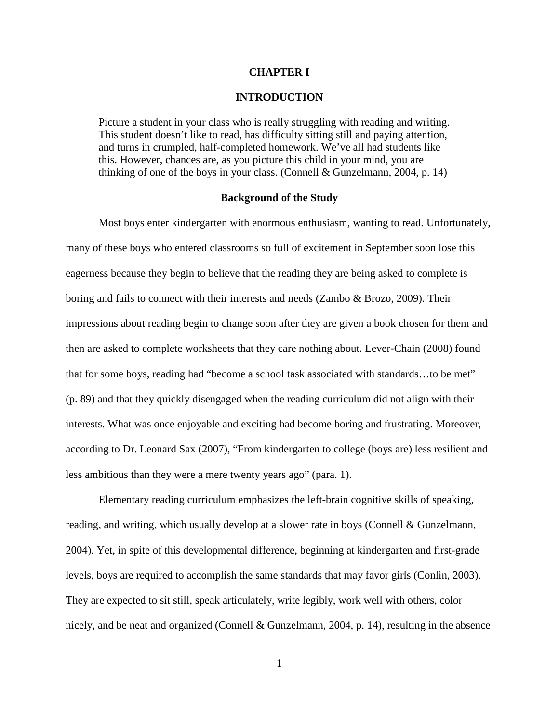#### **CHAPTER I**

#### **INTRODUCTION**

Picture a student in your class who is really struggling with reading and writing. This student doesn't like to read, has difficulty sitting still and paying attention, and turns in crumpled, half-completed homework. We've all had students like this. However, chances are, as you picture this child in your mind, you are thinking of one of the boys in your class. [\(Connell & Gunzelmann,](http://teacher.scholastic.com/products/instructor/Mar04_gendergap.htm#bio) 2004, p. 14)

#### **Background of the Study**

Most boys enter kindergarten with enormous enthusiasm, wanting to read. Unfortunately, many of these boys who entered classrooms so full of excitement in September soon lose this eagerness because they begin to believe that the reading they are being asked to complete is boring and fails to connect with their interests and needs (Zambo & Brozo, 2009). Their impressions about reading begin to change soon after they are given a book chosen for them and then are asked to complete worksheets that they care nothing about. Lever-Chain (2008) found that for some boys, reading had "become a school task associated with standards…to be met" (p. 89) and that they quickly disengaged when the reading curriculum did not align with their interests. What was once enjoyable and exciting had become boring and frustrating. Moreover, according to Dr. Leonard Sax (2007), "From kindergarten to college (boys are) less resilient and less ambitious than they were a mere twenty years ago" (para. 1).

Elementary reading curriculum emphasizes the left-brain cognitive skills of speaking, reading, and writing, which usually develop at a slower rate in boys (Connell & Gunzelmann, 2004). Yet, in spite of this developmental difference, beginning at kindergarten and first-grade levels, boys are required to accomplish the same standards that may favor girls (Conlin, 2003). They are expected to sit still, speak articulately, write legibly, work well with others, color nicely, and be neat and organized (Connell & Gunzelmann, 2004, p. 14), resulting in the absence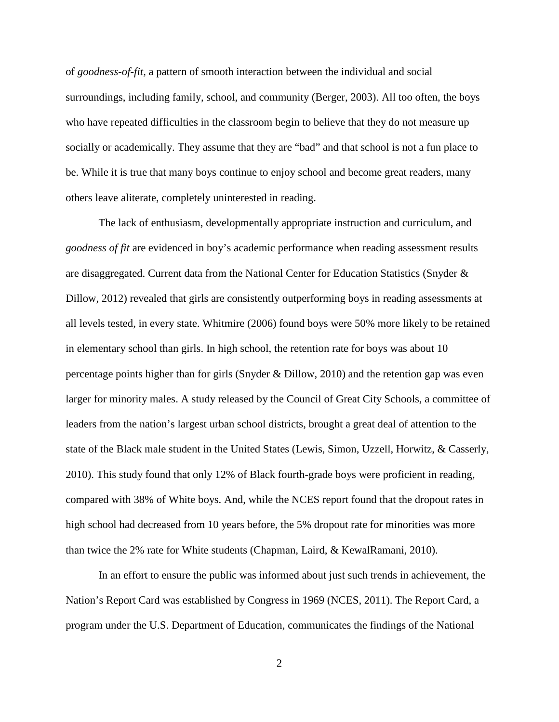of *goodness-of-fit,* a pattern of smooth interaction between the individual and social surroundings, including family, school, and community (Berger, 2003). All too often, the boys who have repeated difficulties in the classroom begin to believe that they do not measure up socially or academically. They assume that they are "bad" and that school is not a fun place to be. While it is true that many boys continue to enjoy school and become great readers, many others leave aliterate, completely uninterested in reading.

The lack of enthusiasm, developmentally appropriate instruction and curriculum, and *goodness of fit* are evidenced in boy's academic performance when reading assessment results are disaggregated. Current data from the National Center for Education Statistics (Snyder & Dillow, 2012) revealed that girls are consistently outperforming boys in reading assessments at all levels tested, in every state. Whitmire (2006) found boys were 50% more likely to be retained in elementary school than girls. In high school, the retention rate for boys was about 10 percentage points higher than for girls (Snyder & Dillow, 2010) and the retention gap was even larger for minority males. A study released by the Council of Great City Schools, a committee of leaders from the nation's largest urban school districts, brought a great deal of attention to the state of the Black male student in the United States (Lewis, Simon, Uzzell, Horwitz, & Casserly, 2010). This study found that only 12% of Black fourth-grade boys were proficient in reading, compared with 38% of White boys. And, while the NCES report found that the dropout rates in high school had decreased from 10 years before, the 5% dropout rate for minorities was more than twice the 2% rate for White students (Chapman, Laird, & KewalRamani, 2010).

In an effort to ensure the public was informed about just such trends in achievement, the Nation's Report Card was established by Congress in 1969 (NCES, 2011). The Report Card, a program under the U.S. Department of Education, communicates the findings of the National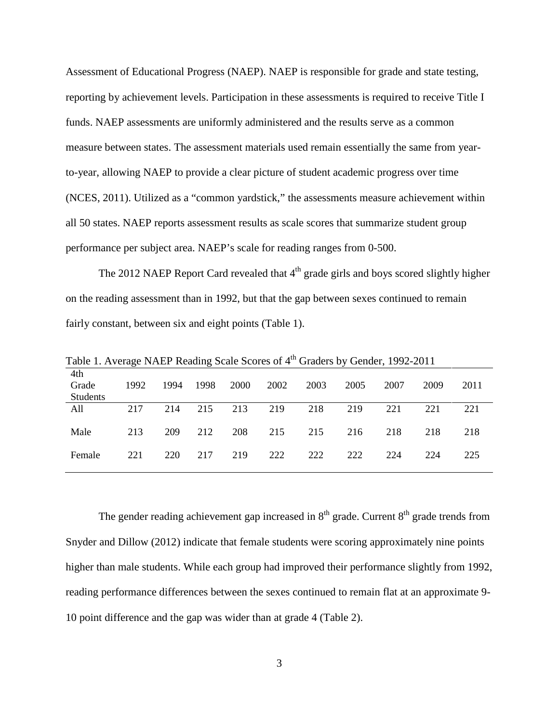Assessment of Educational Progress (NAEP). NAEP is responsible for grade and state testing, reporting by achievement levels. Participation in these assessments is required to receive Title I funds. NAEP assessments are uniformly administered and the results serve as a common measure between states. The assessment materials used remain essentially the same from yearto-year, allowing NAEP to provide a clear picture of student academic progress over time (NCES, 2011). Utilized as a "common yardstick," the assessments measure achievement within all 50 states. NAEP reports assessment results as scale scores that summarize student group performance per subject area. NAEP's scale for reading ranges from 0-500.

The 2012 NAEP Report Card revealed that  $4<sup>th</sup>$  grade girls and boys scored slightly higher on the reading assessment than in 1992, but that the gap between sexes continued to remain fairly constant, between six and eight points (Table 1).

|                          | ັ    |      | ັ    |             |      |      |      |      |      |      |
|--------------------------|------|------|------|-------------|------|------|------|------|------|------|
| 4th<br>Grade<br>Students | 1992 | 1994 | 1998 | <b>2000</b> | 2002 | 2003 | 2005 | 2007 | 2009 | 2011 |
| All                      | 217  | 214  | 215  | 213         | 219  | 218  | 219  | 221  | 221  | 221  |
|                          |      |      |      |             |      |      |      |      |      |      |
|                          |      |      |      |             |      |      |      |      |      |      |
| Male                     | 213  | 209  | 212  | 208         | 215  | 215  | 216  | 218  | 218  | 218  |
|                          |      |      |      |             |      |      |      |      |      |      |
|                          |      |      |      |             |      |      |      |      |      |      |
| Female                   | 221  | 220  | 217  | 219         | 222  | 222  | 222  | 224  | 224  | 225  |
|                          |      |      |      |             |      |      |      |      |      |      |
|                          |      |      |      |             |      |      |      |      |      |      |

Table 1. Average NAEP Reading Scale Scores of 4<sup>th</sup> Graders by Gender, 1992-2011

The gender reading achievement gap increased in  $8<sup>th</sup>$  grade. Current  $8<sup>th</sup>$  grade trends from Snyder and Dillow (2012) indicate that female students were scoring approximately nine points higher than male students. While each group had improved their performance slightly from 1992, reading performance differences between the sexes continued to remain flat at an approximate 9- 10 point difference and the gap was wider than at grade 4 (Table 2).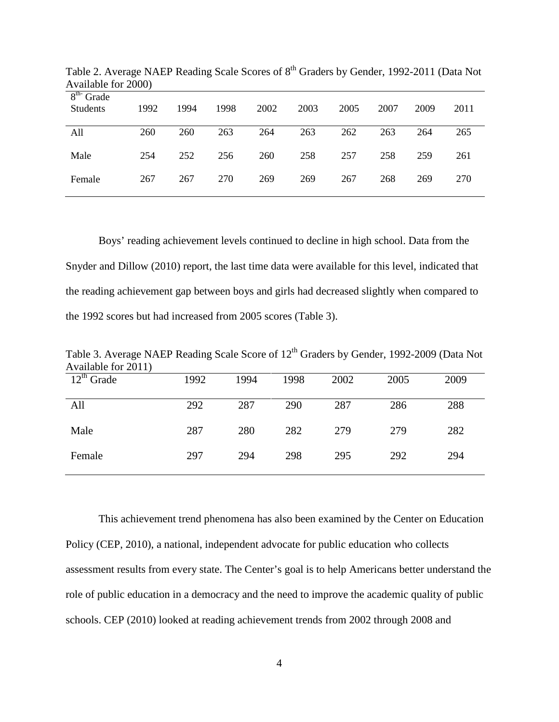| 1992 | 1994 | 1998 | 2002 | 2003 | 2005 | 2007 | 2009 | 2011 |
|------|------|------|------|------|------|------|------|------|
| 260  | 260  | 263  | 264  | 263  | 262  | 263  | 264  | 265  |
| 254  | 252  | 256  | 260  | 258  | 257  | 258  | 259  | 261  |
| 267  | 267  | 270  | 269  | 269  | 267  | 268  | 269  | 270  |
|      |      |      |      |      |      |      |      |      |

Table 2. Average NAEP Reading Scale Scores of 8<sup>th</sup> Graders by Gender, 1992-2011 (Data Not Available for 2000)

Boys' reading achievement levels continued to decline in high school. Data from the Snyder and Dillow (2010) report, the last time data were available for this level, indicated that the reading achievement gap between boys and girls had decreased slightly when compared to the 1992 scores but had increased from 2005 scores (Table 3).

Available for 2011) 12<sup>th</sup> Grade 1992 1994 1998 2002 2005 2009 All 292 287 290 287 286 288

Male 287 280 282 279 279 282

Female 297 294 298 295 292 294

Table 3. Average NAEP Reading Scale Score of 12<sup>th</sup> Graders by Gender, 1992-2009 (Data Not

This achievement trend phenomena has also been examined by the Center on Education Policy (CEP, 2010), a national, independent advocate for public education who collects assessment results from every state. The Center's goal is to help Americans better understand the role of public education in a democracy and the need to improve the academic quality of public schools. CEP (2010) looked at reading achievement trends from 2002 through 2008 and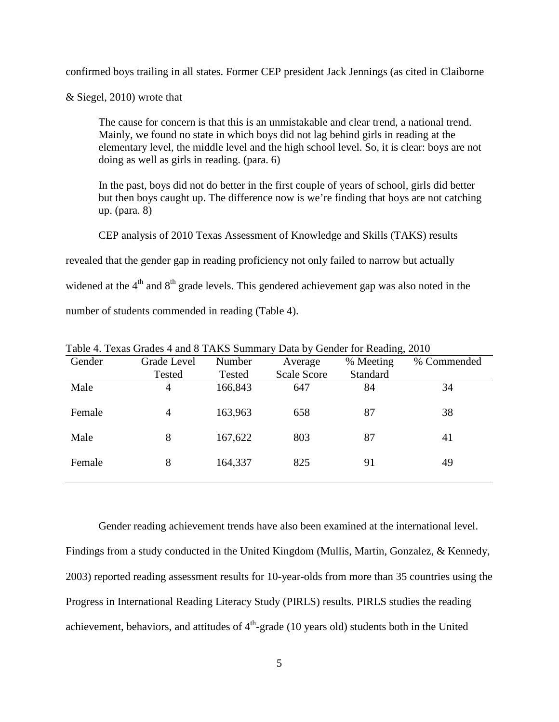confirmed boys trailing in all states. Former CEP president Jack Jennings (as cited in Claiborne

& Siegel, 2010) wrote that

The cause for concern is that this is an unmistakable and clear trend, a national trend. Mainly, we found no state in which boys did not lag behind girls in reading at the elementary level, the middle level and the high school level. So, it is clear: boys are not doing as well as girls in reading. (para. 6)

In the past, boys did not do better in the first couple of years of school, [girls](http://abcnews.go.com/Health/Healthday/confidence-helps-boost-teenage-girls-math-skills/story?id=9534390) did better but then boys caught up. The difference now is we're finding that boys are not catching up. (para. 8)

CEP analysis of 2010 Texas Assessment of Knowledge and Skills (TAKS) results

revealed that the gender gap in reading proficiency not only failed to narrow but actually

widened at the  $4<sup>th</sup>$  and  $8<sup>th</sup>$  grade levels. This gendered achievement gap was also noted in the

number of students commended in reading (Table 4).

| Gender | Grade Level | Number  | Average            | % Meeting | % Commended |
|--------|-------------|---------|--------------------|-----------|-------------|
|        | Tested      | Tested  | <b>Scale Score</b> | Standard  |             |
| Male   | 4           | 166,843 | 647                | 84        | 34          |
| Female | 4           | 163,963 | 658                | 87        | 38          |
| Male   | 8           | 167,622 | 803                | 87        | 41          |
| Female | 8           | 164,337 | 825                | 91        | 49          |
|        |             |         |                    |           |             |

Table 4. Texas Grades 4 and 8 TAKS Summary Data by Gender for Reading, 2010

Gender reading achievement trends have also been examined at the international level. Findings from a study conducted in the United Kingdom (Mullis, Martin, Gonzalez, & Kennedy, 2003) reported reading assessment results for 10-year-olds from more than 35 countries using the Progress in International Reading Literacy Study (PIRLS) results. PIRLS studies the reading achievement, behaviors, and attitudes of  $4<sup>th</sup>$ -grade (10 years old) students both in the United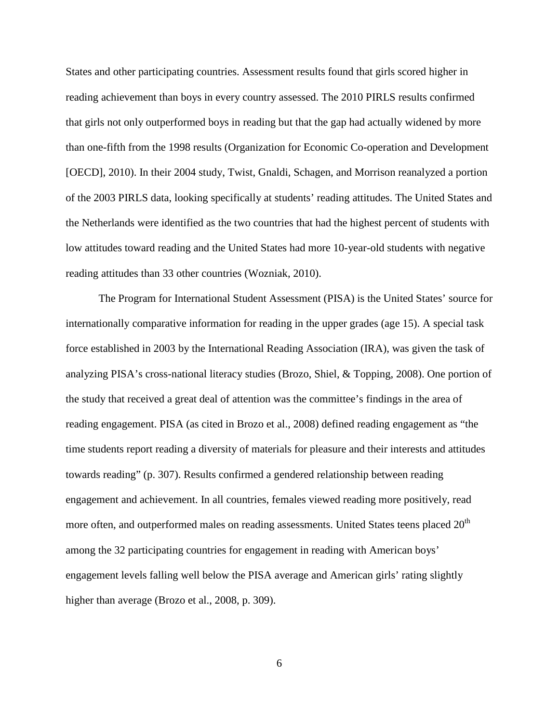States and other participating countries. Assessment results found that girls scored higher in reading achievement than boys in every country assessed. The 2010 PIRLS results confirmed that girls not only outperformed boys in reading but that the gap had actually widened by more than one-fifth from the 1998 results (Organization for Economic Co-operation and Development [OECD], 2010). In their 2004 study, Twist, Gnaldi, Schagen, and Morrison reanalyzed a portion of the 2003 PIRLS data, looking specifically at students' reading attitudes. The United States and the Netherlands were identified as the two countries that had the highest percent of students with low attitudes toward reading and the United States had more 10-year-old students with negative reading attitudes than 33 other countries (Wozniak, 2010).

The Program for International Student Assessment (PISA) is the United States' source for internationally comparative information for reading in the upper grades (age 15). A special task force established in 2003 by the International Reading Association (IRA), was given the task of analyzing PISA's cross-national literacy studies (Brozo, Shiel, & Topping, 2008). One portion of the study that received a great deal of attention was the committee's findings in the area of reading engagement. PISA (as cited in Brozo et al., 2008) defined reading engagement as "the time students report reading a diversity of materials for pleasure and their interests and attitudes towards reading" (p. 307). Results confirmed a gendered relationship between reading engagement and achievement. In all countries, females viewed reading more positively, read more often, and outperformed males on reading assessments. United States teens placed  $20<sup>th</sup>$ among the 32 participating countries for engagement in reading with American boys' engagement levels falling well below the PISA average and American girls' rating slightly higher than average (Brozo et al., 2008, p. 309).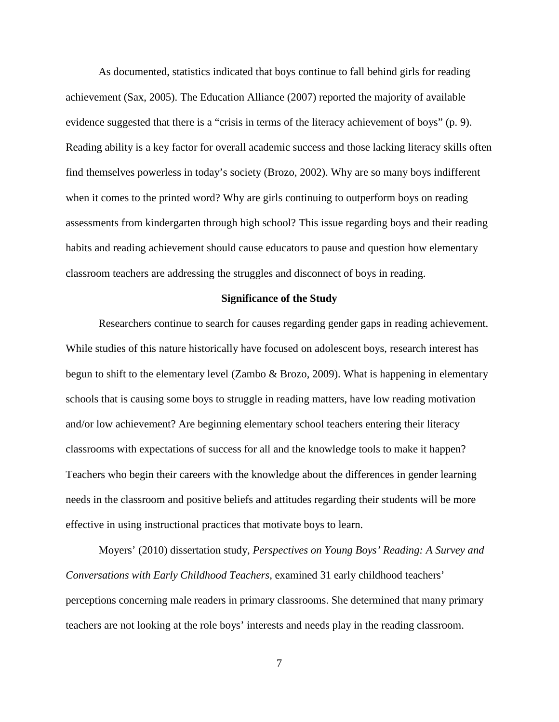As documented, statistics indicated that boys continue to fall behind girls for reading achievement (Sax, 2005). The Education Alliance (2007) reported the majority of available evidence suggested that there is a "crisis in terms of the literacy achievement of boys" (p. 9). Reading ability is a key factor for overall academic success and those lacking literacy skills often find themselves powerless in today's society (Brozo, 2002). Why are so many boys indifferent when it comes to the printed word? Why are girls continuing to outperform boys on reading assessments from kindergarten through high school? This issue regarding boys and their reading habits and reading achievement should cause educators to pause and question how elementary classroom teachers are addressing the struggles and disconnect of boys in reading.

#### **Significance of the Study**

Researchers continue to search for causes regarding gender gaps in reading achievement. While studies of this nature historically have focused on adolescent boys, research interest has begun to shift to the elementary level (Zambo & Brozo, 2009). What is happening in elementary schools that is causing some boys to struggle in reading matters, have low reading motivation and/or low achievement? Are beginning elementary school teachers entering their literacy classrooms with expectations of success for all and the knowledge tools to make it happen? Teachers who begin their careers with the knowledge about the differences in gender learning needs in the classroom and positive beliefs and attitudes regarding their students will be more effective in using instructional practices that motivate boys to learn.

Moyers' (2010) dissertation study, *Perspectives on Young Boys' Reading: A Survey and Conversations with Early Childhood Teachers*, examined 31 early childhood teachers' perceptions concerning male readers in primary classrooms. She determined that many primary teachers are not looking at the role boys' interests and needs play in the reading classroom.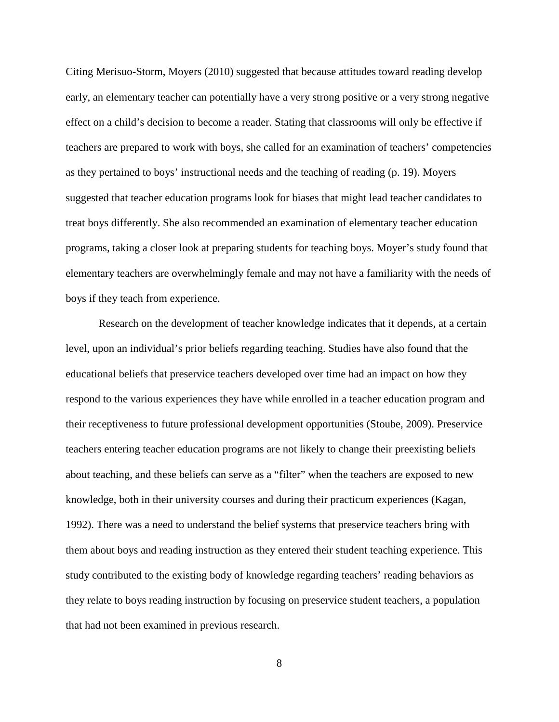Citing Merisuo-Storm, Moyers (2010) suggested that because attitudes toward reading develop early, an elementary teacher can potentially have a very strong positive or a very strong negative effect on a child's decision to become a reader. Stating that classrooms will only be effective if teachers are prepared to work with boys, she called for an examination of teachers' competencies as they pertained to boys' instructional needs and the teaching of reading (p. 19). Moyers suggested that teacher education programs look for biases that might lead teacher candidates to treat boys differently. She also recommended an examination of elementary teacher education programs, taking a closer look at preparing students for teaching boys. Moyer's study found that elementary teachers are overwhelmingly female and may not have a familiarity with the needs of boys if they teach from experience.

Research on the development of teacher knowledge indicates that it depends, at a certain level, upon an individual's prior beliefs regarding teaching. Studies have also found that the educational beliefs that preservice teachers developed over time had an impact on how they respond to the various experiences they have while enrolled in a teacher education program and their receptiveness to future professional development opportunities (Stoube, 2009). Preservice teachers entering teacher education programs are not likely to change their preexisting beliefs about teaching, and these beliefs can serve as a "filter" when the teachers are exposed to new knowledge, both in their university courses and during their practicum experiences (Kagan, 1992). There was a need to understand the belief systems that preservice teachers bring with them about boys and reading instruction as they entered their student teaching experience. This study contributed to the existing body of knowledge regarding teachers' reading behaviors as they relate to boys reading instruction by focusing on preservice student teachers, a population that had not been examined in previous research.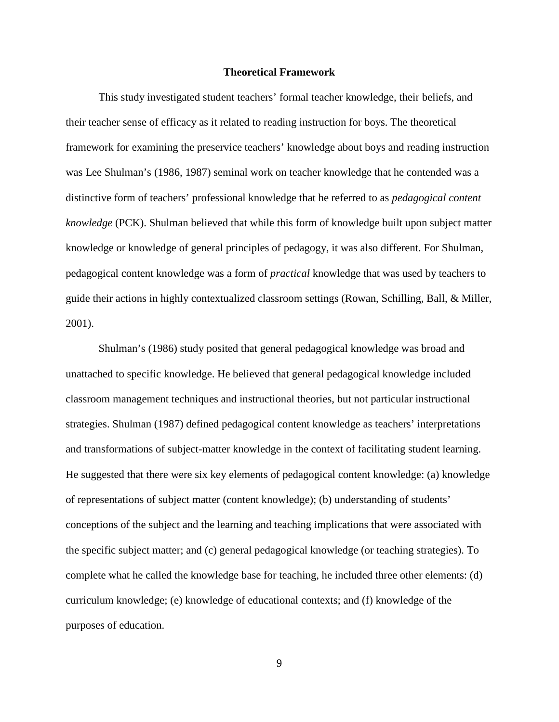#### **Theoretical Framework**

This study investigated student teachers' formal teacher knowledge, their beliefs, and their teacher sense of efficacy as it related to reading instruction for boys. The theoretical framework for examining the preservice teachers' knowledge about boys and reading instruction was Lee Shulman's (1986, 1987) seminal work on teacher knowledge that he contended was a distinctive form of teachers' professional knowledge that he referred to as *pedagogical content knowledge* (PCK). Shulman believed that while this form of knowledge built upon subject matter knowledge or knowledge of general principles of pedagogy, it was also different. For Shulman, pedagogical content knowledge was a form of *practical* knowledge that was used by teachers to guide their actions in highly contextualized classroom settings (Rowan, Schilling, Ball, & Miller, 2001).

Shulman's (1986) study posited that general pedagogical knowledge was broad and unattached to specific knowledge. He believed that general pedagogical knowledge included classroom management techniques and instructional theories, but not particular instructional strategies. Shulman (1987) defined pedagogical content knowledge as teachers' interpretations and transformations of subject-matter knowledge in the context of facilitating student learning. He suggested that there were six key elements of pedagogical content knowledge: (a) knowledge of representations of subject matter (content knowledge); (b) understanding of students' conceptions of the subject and the learning and teaching implications that were associated with the specific subject matter; and (c) general pedagogical knowledge (or teaching strategies). To complete what he called the knowledge base for teaching*,* he included three other elements: (d) curriculum knowledge; (e) knowledge of educational contexts; and (f) knowledge of the purposes of education.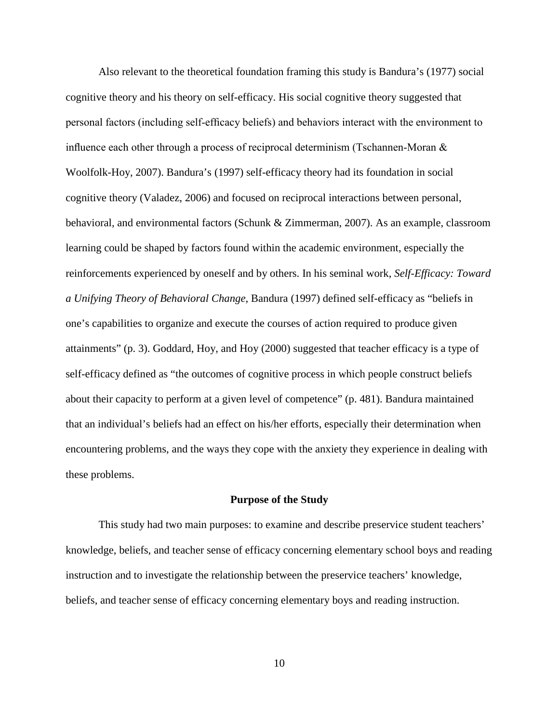Also relevant to the theoretical foundation framing this study is Bandura's (1977) social cognitive theory and his theory on self-efficacy. His social cognitive theory suggested that personal factors (including self-efficacy beliefs) and behaviors interact with the environment to influence each other through a process of reciprocal determinism (Tschannen-Moran & Woolfolk-Hoy, 2007). Bandura's (1997) self-efficacy theory had its foundation in social cognitive theory (Valadez, 2006) and focused on reciprocal interactions between personal, behavioral, and environmental factors (Schunk & Zimmerman, 2007). As an example, classroom learning could be shaped by factors found within the academic environment, especially the reinforcements experienced by oneself and by others. In his seminal work, *Self-Efficacy: Toward a Unifying Theory of Behavioral Change*, Bandura (1997) defined self-efficacy as "beliefs in one's capabilities to organize and execute the courses of action required to produce given attainments" (p. 3). Goddard, Hoy, and Hoy (2000) suggested that teacher efficacy is a type of self-efficacy defined as "the outcomes of cognitive process in which people construct beliefs about their capacity to perform at a given level of competence" (p. 481). Bandura maintained that an individual's beliefs had an effect on his/her efforts, especially their determination when encountering problems, and the ways they cope with the anxiety they experience in dealing with these problems.

#### **Purpose of the Study**

This study had two main purposes: to examine and describe preservice student teachers' knowledge, beliefs, and teacher sense of efficacy concerning elementary school boys and reading instruction and to investigate the relationship between the preservice teachers' knowledge, beliefs, and teacher sense of efficacy concerning elementary boys and reading instruction.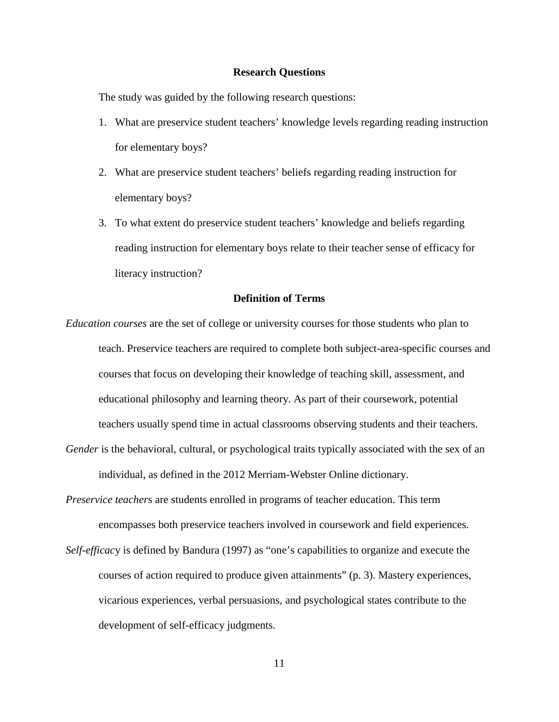#### **Research Questions**

The study was guided by the following research questions:

- 1. What are preservice student teachers' knowledge levels regarding reading instruction for elementary boys?
- 2. What are preservice student teachers' beliefs regarding reading instruction for elementary boys?
- 3. To what extent do preservice student teachers' knowledge and beliefs regarding reading instruction for elementary boys relate to their teacher sense of efficacy for literacy instruction?

## **Definition of Terms**

*Education courses* are the set of college or university courses for those students who plan to teach. Preservice teachers are required to complete both subject-area-specific courses and courses that focus on developing their knowledge of teaching skill, assessment, and educational philosophy and learning theory. As part of their coursework, potential teachers usually spend time in actual classrooms observing students and their teachers.

*Gender* is the behavioral, cultural, or psychological traits typically associated with the sex of an individual, as defined in the 2012 Merriam-Webster Online dictionary.

*Preservice teachers* are students enrolled in programs of teacher education. This term encompasses both preservice teachers involved in coursework and field experiences.

*Self-efficac*y is defined by Bandura (1997) as "one's capabilities to organize and execute the courses of action required to produce given attainments" (p. 3). Mastery experiences, vicarious experiences, verbal persuasions, and psychological states contribute to the development of self-efficacy judgments.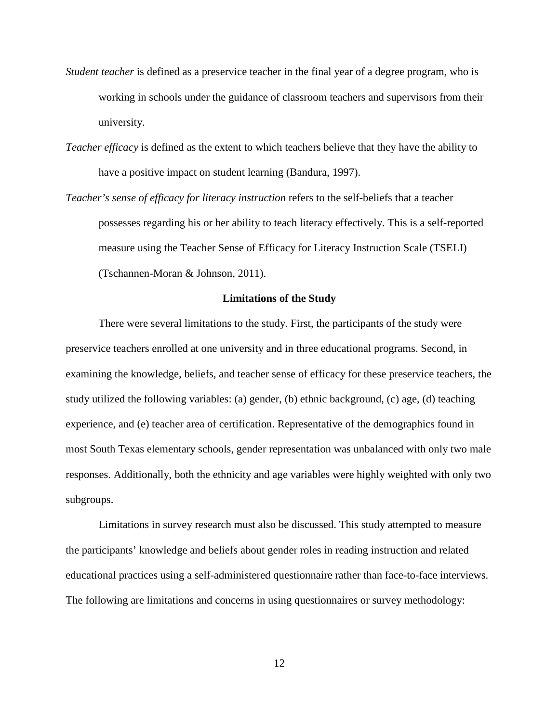- *Student teacher* is defined as a preservice teacher in the final year of a degree program, who is working in schools under the guidance of classroom teachers and supervisors from their university.
- *Teacher efficacy* is defined as the extent to which teachers believe that they have the ability to have a positive impact on student learning (Bandura, 1997).
- *Teacher's sense of efficacy for literacy instruction* refers to the self-beliefs that a teacher possesses regarding his or her ability to teach literacy effectively. This is a self-reported measure using the Teacher Sense of Efficacy for Literacy Instruction Scale (TSELI) (Tschannen-Moran & Johnson, 2011).

#### **Limitations of the Study**

There were several limitations to the study. First, the participants of the study were preservice teachers enrolled at one university and in three educational programs. Second, in examining the knowledge, beliefs, and teacher sense of efficacy for these preservice teachers, the study utilized the following variables: (a) gender, (b) ethnic background, (c) age, (d) teaching experience, and (e) teacher area of certification. Representative of the demographics found in most South Texas elementary schools, gender representation was unbalanced with only two male responses. Additionally, both the ethnicity and age variables were highly weighted with only two subgroups.

Limitations in survey research must also be discussed. This study attempted to measure the participants' knowledge and beliefs about gender roles in reading instruction and related educational practices using a self-administered questionnaire rather than face-to-face interviews. The following are limitations and concerns in using questionnaires or survey methodology: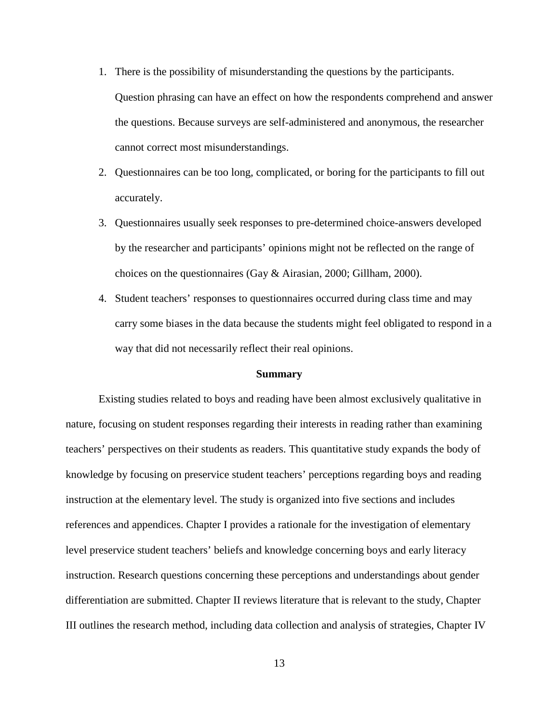- 1. There is the possibility of misunderstanding the questions by the participants. Question phrasing can have an effect on how the respondents comprehend and answer the questions. Because surveys are self-administered and anonymous, the researcher cannot correct most misunderstandings.
- 2. Questionnaires can be too long, complicated, or boring for the participants to fill out accurately.
- 3. Questionnaires usually seek responses to pre-determined choice-answers developed by the researcher and participants' opinions might not be reflected on the range of choices on the questionnaires (Gay & Airasian, 2000; Gillham, 2000).
- 4. Student teachers' responses to questionnaires occurred during class time and may carry some biases in the data because the students might feel obligated to respond in a way that did not necessarily reflect their real opinions.

#### **Summary**

Existing studies related to boys and reading have been almost exclusively qualitative in nature, focusing on student responses regarding their interests in reading rather than examining teachers' perspectives on their students as readers. This quantitative study expands the body of knowledge by focusing on preservice student teachers' perceptions regarding boys and reading instruction at the elementary level. The study is organized into five sections and includes references and appendices. Chapter I provides a rationale for the investigation of elementary level preservice student teachers' beliefs and knowledge concerning boys and early literacy instruction. Research questions concerning these perceptions and understandings about gender differentiation are submitted. Chapter II reviews literature that is relevant to the study, Chapter III outlines the research method, including data collection and analysis of strategies, Chapter IV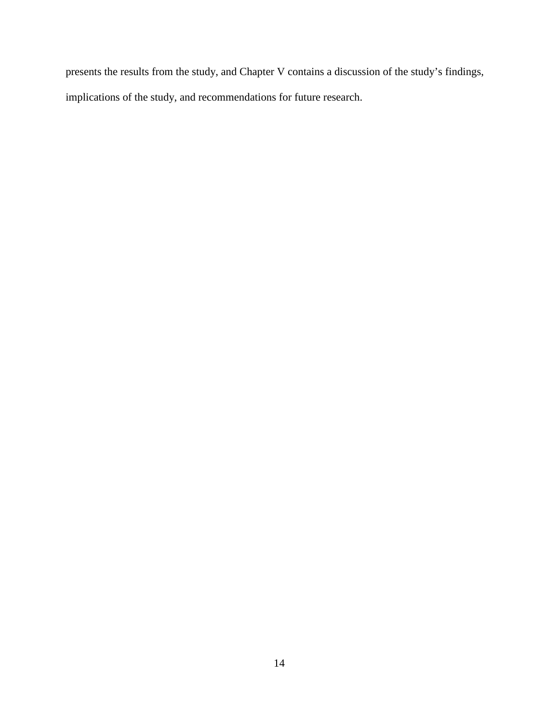presents the results from the study, and Chapter V contains a discussion of the study's findings, implications of the study, and recommendations for future research.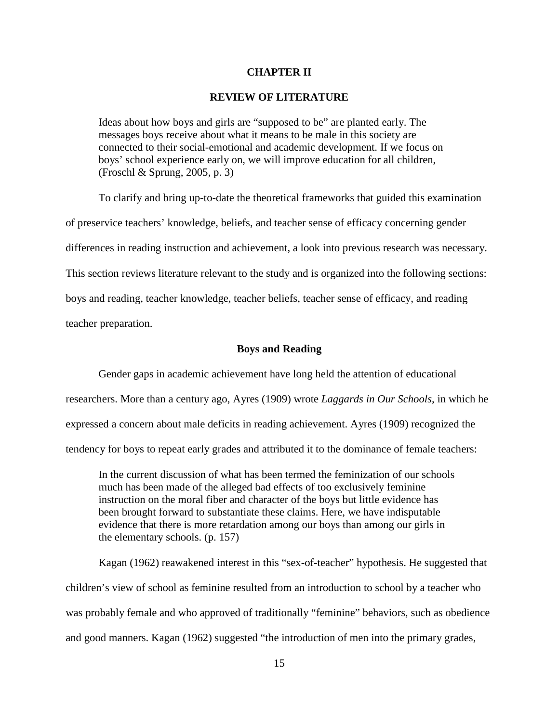#### **CHAPTER II**

#### **REVIEW OF LITERATURE**

Ideas about how boys and girls are "supposed to be" are planted early. The messages boys receive about what it means to be male in this society are connected to their social-emotional and academic development. If we focus on boys' school experience early on, we will improve education for all children, (Froschl & Sprung, 2005, p. 3)

To clarify and bring up-to-date the theoretical frameworks that guided this examination of preservice teachers' knowledge, beliefs, and teacher sense of efficacy concerning gender differences in reading instruction and achievement, a look into previous research was necessary. This section reviews literature relevant to the study and is organized into the following sections: boys and reading, teacher knowledge, teacher beliefs, teacher sense of efficacy, and reading teacher preparation.

#### **Boys and Reading**

Gender gaps in academic achievement have long held the attention of educational researchers. More than a century ago, Ayres (1909) wrote *Laggards in Our Schools*, in which he expressed a concern about male deficits in reading achievement. Ayres (1909) recognized the tendency for boys to repeat early grades and attributed it to the dominance of female teachers:

In the current discussion of what has been termed the feminization of our schools much has been made of the alleged bad effects of too exclusively feminine instruction on the moral fiber and character of the boys but little evidence has been brought forward to substantiate these claims. Here, we have indisputable evidence that there is more retardation among our boys than among our girls in the elementary schools. (p. 157)

Kagan (1962) reawakened interest in this "sex-of-teacher" hypothesis. He suggested that children's view of school as feminine resulted from an introduction to school by a teacher who was probably female and who approved of traditionally "feminine" behaviors, such as obedience and good manners. Kagan (1962) suggested "the introduction of men into the primary grades,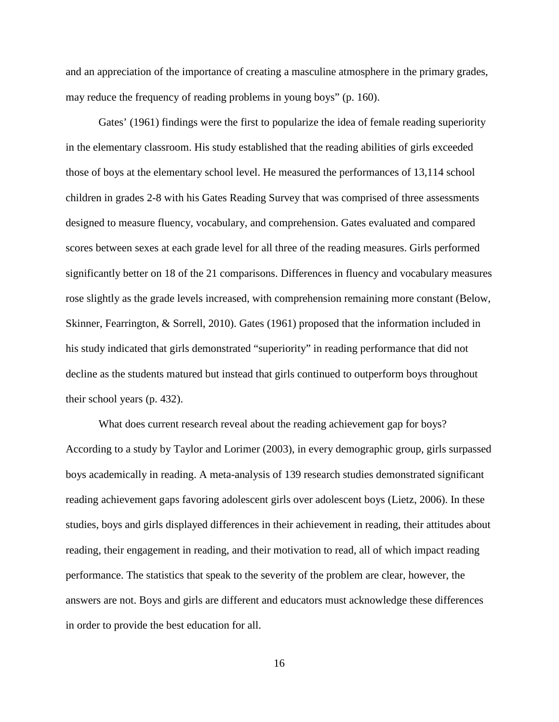and an appreciation of the importance of creating a masculine atmosphere in the primary grades, may reduce the frequency of reading problems in young boys" (p. 160).

Gates' (1961) findings were the first to popularize the idea of female reading superiority in the elementary classroom. His study established that the reading abilities of girls exceeded those of boys at the elementary school level. He measured the performances of 13,114 school children in grades 2-8 with his Gates Reading Survey that was comprised of three assessments designed to measure fluency, vocabulary, and comprehension. Gates evaluated and compared scores between sexes at each grade level for all three of the reading measures. Girls performed significantly better on 18 of the 21 comparisons. Differences in fluency and vocabulary measures rose slightly as the grade levels increased, with comprehension remaining more constant (Below, Skinner, Fearrington, & Sorrell, 2010). Gates (1961) proposed that the information included in his study indicated that girls demonstrated "superiority" in reading performance that did not decline as the students matured but instead that girls continued to outperform boys throughout their school years (p. 432).

What does current research reveal about the reading achievement gap for boys? According to a study by Taylor and Lorimer (2003), in every demographic group, girls surpassed boys academically in reading. A meta-analysis of 139 research studies demonstrated significant reading achievement gaps favoring adolescent girls over adolescent boys (Lietz, 2006). In these studies, boys and girls displayed differences in their achievement in reading, their attitudes about reading, their engagement in reading, and their motivation to read, all of which impact reading performance. The statistics that speak to the severity of the problem are clear, however, the answers are not. Boys and girls are different and educators must acknowledge these differences in order to provide the best education for all.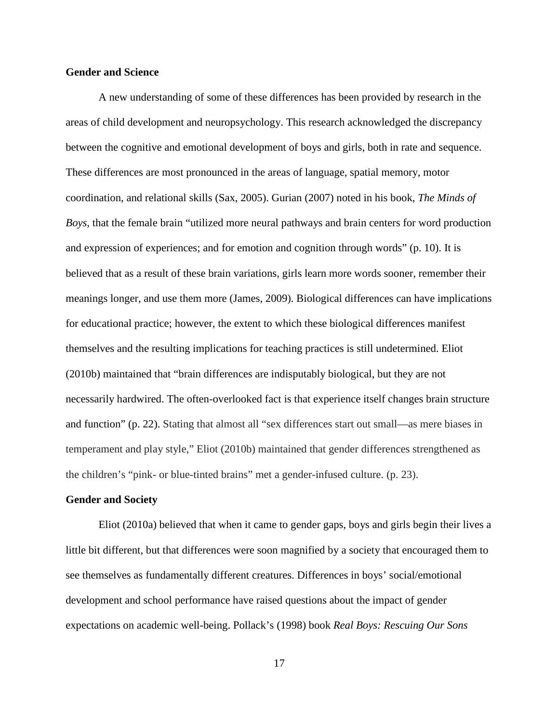### **Gender and Science**

A new understanding of some of these differences has been provided by research in the areas of child development and neuropsychology. This research acknowledged the discrepancy between the cognitive and emotional development of boys and girls, both in rate and sequence. These differences are most pronounced in the areas of language, spatial memory, motor coordination, and relational skills (Sax, 2005). Gurian (2007) noted in his book, *The Minds of Boys,* that the female brain "utilized more neural pathways and brain centers for word production and expression of experiences; and for emotion and cognition through words" (p. 10). It is believed that as a result of these brain variations, girls learn more words sooner, remember their meanings longer, and use them more (James, 2009). Biological differences can have implications for educational practice; however, the extent to which these biological differences manifest themselves and the resulting implications for teaching practices is still undetermined. Eliot (2010b) maintained that "brain differences are indisputably biological, but they are not necessarily hardwired. The often-overlooked fact is that experience itself changes brain structure and function" (p. 22). Stating that almost all "sex differences start out small—as mere biases in temperament and play style," Eliot (2010b) maintained that gender differences strengthened as the children's "pink- or blue-tinted brains" met a gender-infused culture. (p. 23).

#### **Gender and Society**

Eliot (2010a) believed that when it came to gender gaps, boys and girls begin their lives a little bit different, but that differences were soon magnified by a society that encouraged them to see themselves as fundamentally different creatures. Differences in boys' social/emotional development and school performance have raised questions about the impact of gender expectations on academic well-being. Pollack's (1998) book *Real Boys: Rescuing Our Sons*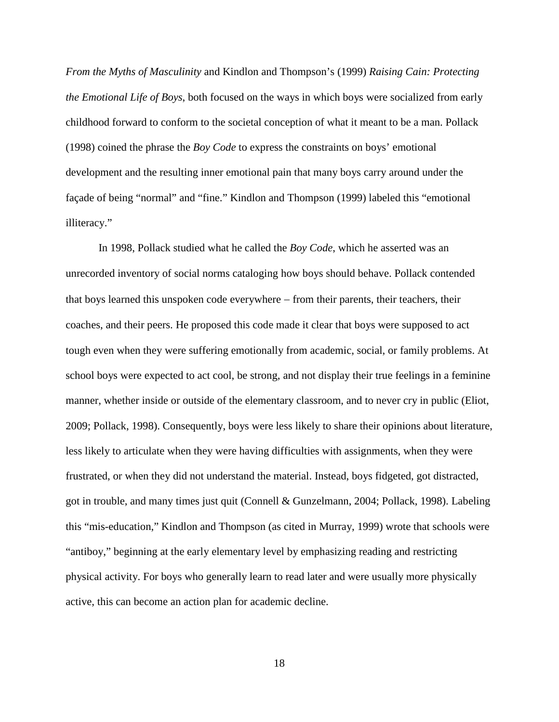*From the Myths of Masculinity* and Kindlon and Thompson's (1999) *Raising Cain: Protecting the Emotional Life of Boys*, both focused on the ways in which boys were socialized from early childhood forward to conform to the societal conception of what it meant to be a man. Pollack (1998) coined the phrase the *Boy Code* to express the constraints on boys' emotional development and the resulting inner emotional pain that many boys carry around under the façade of being "normal" and "fine." Kindlon and Thompson (1999) labeled this "emotional illiteracy."

In 1998, Pollack studied what he called the *Boy Code*, which he asserted was an unrecorded inventory of social norms cataloging how boys should behave. Pollack contended that boys learned this unspoken code everywhere – from their parents, their teachers, their coaches, and their peers. He proposed this code made it clear that boys were supposed to act tough even when they were suffering emotionally from academic, social, or family problems. At school boys were expected to act cool, be strong, and not display their true feelings in a feminine manner, whether inside or outside of the elementary classroom, and to never cry in public (Eliot, 2009; Pollack, 1998). Consequently, boys were less likely to share their opinions about literature, less likely to articulate when they were having difficulties with assignments, when they were frustrated, or when they did not understand the material. Instead, boys fidgeted, got distracted, got in trouble, and many times just quit (Connell & Gunzelmann, 2004; Pollack, 1998). Labeling this "mis-education," Kindlon and Thompson (as cited in Murray, 1999) wrote that schools were "antiboy," beginning at the early elementary level by emphasizing reading and restricting physical activity. For boys who generally learn to read later and were usually more physically active, this can become an action plan for academic decline.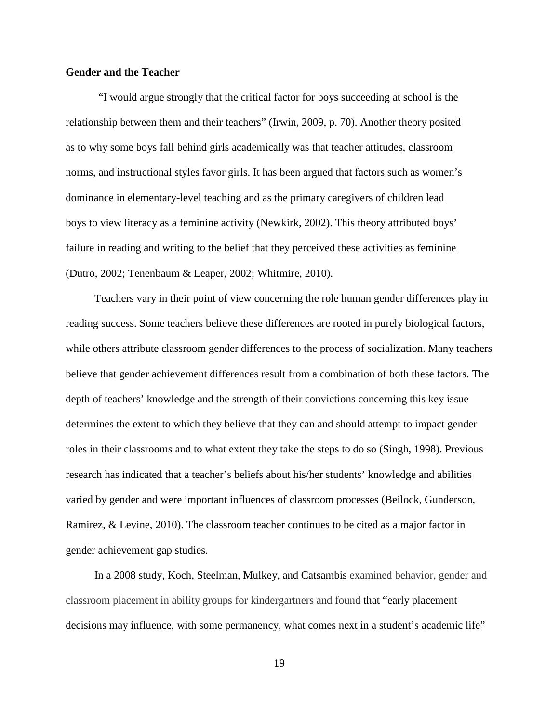### **Gender and the Teacher**

"I would argue strongly that the critical factor for boys succeeding at school is the relationship between them and their teachers" (Irwin, 2009, p. 70). Another theory posited as to why some boys fall behind girls academically was that teacher attitudes, classroom norms, and instructional styles favor girls. It has been argued that factors such as women's dominance in elementary-level teaching and as the primary caregivers of children lead boys to view literacy as a feminine activity (Newkirk, 2002). This theory attributed boys' failure in reading and writing to the belief that they perceived these activities as feminine (Dutro, 2002; Tenenbaum & Leaper, 2002; Whitmire, 2010).

Teachers vary in their point of view concerning the role human gender differences play in reading success. Some teachers believe these differences are rooted in purely biological factors, while others attribute classroom gender differences to the process of socialization. Many teachers believe that gender achievement differences result from a combination of both these factors. The depth of teachers' knowledge and the strength of their convictions concerning this key issue determines the extent to which they believe that they can and should attempt to impact gender roles in their classrooms and to what extent they take the steps to do so (Singh, 1998). Previous research has indicated that a teacher's beliefs about his/her students' knowledge and abilities varied by gender and were important influences of classroom processes (Beilock, Gunderson, Ramirez, & Levine, 2010). The classroom teacher continues to be cited as a major factor in gender achievement gap studies.

In a 2008 study, Koch, Steelman, Mulkey, and Catsambis examined behavior, gender and classroom placement in ability groups for kindergartners and found that "early placement decisions may influence, with some permanency, what comes next in a student's academic life"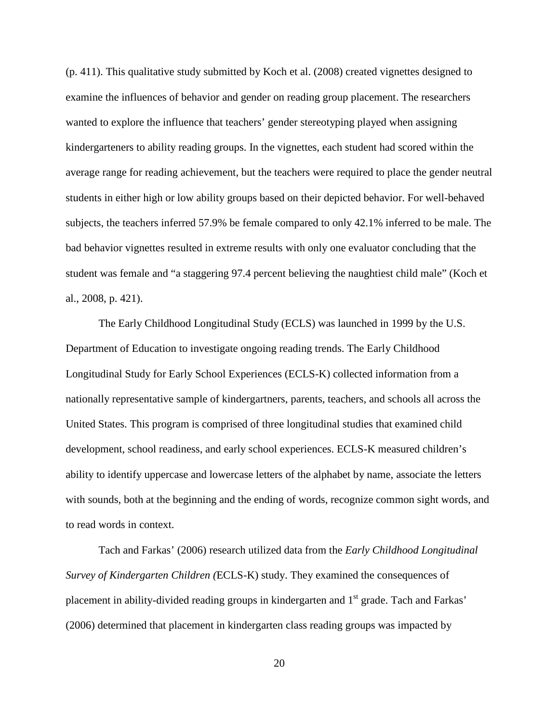(p. 411). This qualitative study submitted by Koch et al. (2008) created vignettes designed to examine the influences of behavior and gender on reading group placement. The researchers wanted to explore the influence that teachers' gender stereotyping played when assigning kindergarteners to ability reading groups. In the vignettes, each student had scored within the average range for reading achievement, but the teachers were required to place the gender neutral students in either high or low ability groups based on their depicted behavior. For well-behaved subjects, the teachers inferred 57.9% be female compared to only 42.1% inferred to be male. The bad behavior vignettes resulted in extreme results with only one evaluator concluding that the student was female and "a staggering 97.4 percent believing the naughtiest child male" (Koch et al., 2008, p. 421).

The Early Childhood Longitudinal Study (ECLS) was launched in 1999 by the U.S. Department of Education to investigate ongoing reading trends. The Early Childhood Longitudinal Study for Early School Experiences (ECLS-K) collected information from a nationally representative sample of kindergartners, parents, teachers, and schools all across the United States. This program is comprised of three longitudinal studies that examined child development, school readiness, and early school experiences. ECLS-K measured children's ability to identify uppercase and lowercase letters of the alphabet by name, associate the letters with sounds, both at the beginning and the ending of words, recognize common sight words, and to read words in context.

Tach and Farkas' (2006) research utilized data from the *Early Childhood Longitudinal Survey of Kindergarten Children (*ECLS-K) study. They examined the consequences of placement in ability-divided reading groups in kindergarten and 1<sup>st</sup> grade. Tach and Farkas' (2006) determined that placement in kindergarten class reading groups was impacted by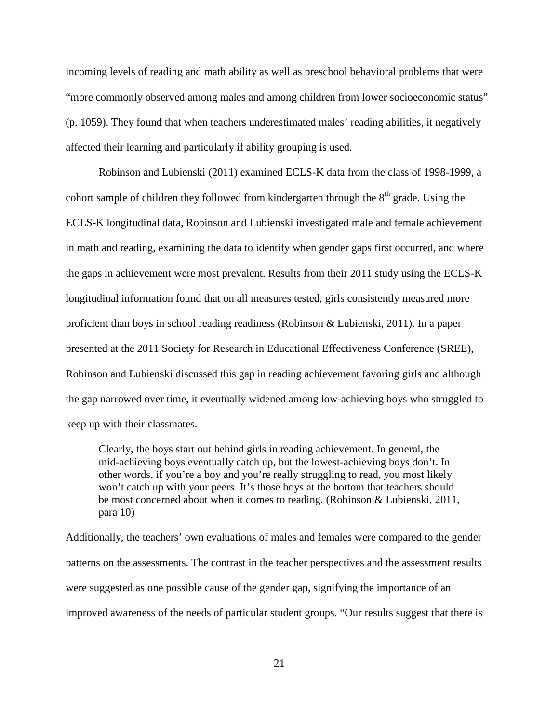incoming levels of reading and math ability as well as preschool behavioral problems that were "more commonly observed among males and among children from lower socioeconomic status" (p. 1059). They found that when teachers underestimated males' reading abilities, it negatively affected their learning and particularly if ability grouping is used.

Robinson and Lubienski (2011) examined ECLS-K data from the class of 1998-1999, a cohort sample of children they followed from kindergarten through the  $8<sup>th</sup>$  grade. Using the ECLS-K longitudinal [data, Robinson](http://education.illinois.edu/frp/r/jpr)and [Lubienski](http://education.illinois.edu/frp/l/stl) investigated male and female achievement in math and reading, examining the data to identify when gender gaps first occurred, and where the gaps in achievement were most prevalent. Results from their 2011 study using the ECLS-K longitudinal information found that on all measures tested, girls consistently measured more proficient than boys in school reading readiness (Robinson & Lubienski, 2011). In a paper presented at the 2011 Society for Research in Educational Effectiveness Conference (SREE), Robinson and Lubienski discussed this gap in reading achievement favoring girls and although the gap narrowed over time, it eventually widened among low-achieving boys who struggled to keep up with their classmates.

Clearly, the boys start out behind girls in reading achievement. In general, the mid-achieving boys eventually catch up, but the lowest-achieving boys don't. In other words, if you're a boy and you're really struggling to read, you most likely won't catch up with your peers. It's those boys at the bottom that teachers should be most concerned about when it comes to reading. (Robinson & Lubienski, 2011, para 10)

Additionally, the teachers' own evaluations of males and females were compared to the gender patterns on the assessments. The contrast in the teacher perspectives and the assessment results were suggested as one possible cause of the gender gap, signifying the importance of an improved awareness of the needs of particular student groups. "Our results suggest that there is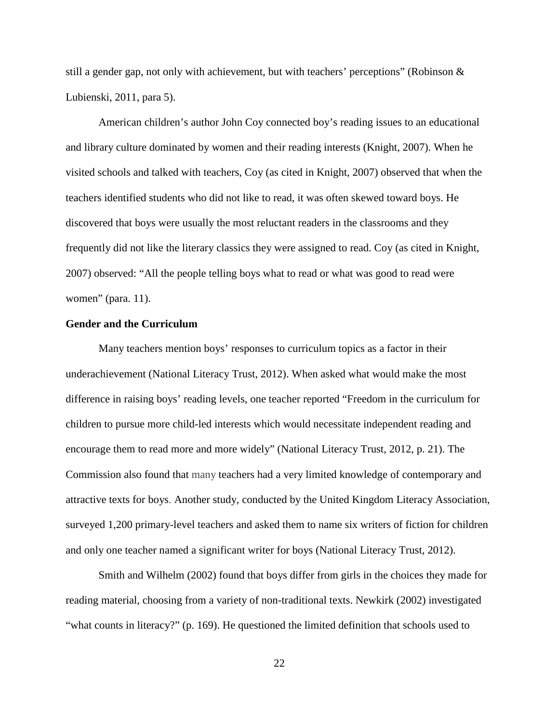still a gender gap, not only with achievement, but with teachers' perceptions" (Robinson  $\&$ Lubienski, 2011, para 5).

American children's author John Coy connected boy's reading issues to an educational and library culture dominated by women and their reading interests (Knight, 2007). When he visited schools and talked with teachers, Coy (as cited in Knight, 2007) observed that when the teachers identified students who did not like to read, it was often skewed toward boys. He discovered that boys were usually the most reluctant readers in the classrooms and they frequently did not like the literary classics they were assigned to read. Coy (as cited in Knight, 2007) observed: "All the people telling boys what to read or what was good to read were women" (para. 11).

#### **Gender and the Curriculum**

Many teachers mention boys' responses to curriculum topics as a factor in their underachievement (National Literacy Trust, 2012). When asked what would make the most difference in raising boys' reading levels, one teacher reported "Freedom in the curriculum for children to pursue more child-led interests which would necessitate independent reading and encourage them to read more and more widely" (National Literacy Trust, 2012, p. 21). The Commission also found that many teachers had a very limited knowledge of contemporary and attractive texts for boys. Another study, conducted by the United Kingdom Literacy Association, surveyed 1,200 primary-level teachers and asked them to name six writers of fiction for children and only one teacher named a significant writer for boys (National Literacy Trust, 2012).

Smith and Wilhelm (2002) found that boys differ from girls in the choices they made for reading material, choosing from a variety of non-traditional texts. Newkirk (2002) investigated "what counts in literacy?" (p. 169). He questioned the limited definition that schools used to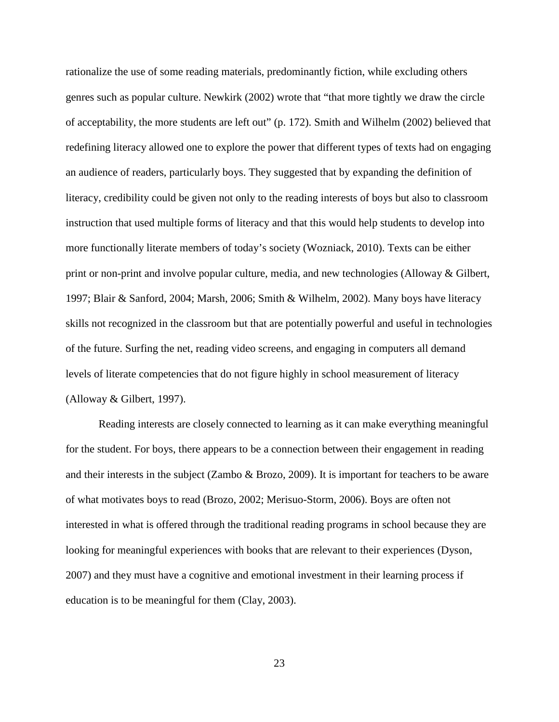rationalize the use of some reading materials, predominantly fiction, while excluding others genres such as popular culture. Newkirk (2002) wrote that "that more tightly we draw the circle of acceptability, the more students are left out" (p. 172). Smith and Wilhelm (2002) believed that redefining literacy allowed one to explore the power that different types of texts had on engaging an audience of readers, particularly boys. They suggested that by expanding the definition of literacy, credibility could be given not only to the reading interests of boys but also to classroom instruction that used multiple forms of literacy and that this would help students to develop into more functionally literate members of today's society (Wozniack, 2010). Texts can be either print or non-print and involve popular culture, media, and new technologies (Alloway & Gilbert, 1997; Blair & Sanford, 2004; Marsh, 2006; Smith & Wilhelm, 2002). Many boys have literacy skills not recognized in the classroom but that are potentially powerful and useful in technologies of the future. Surfing the net, reading video screens, and engaging in computers all demand levels of literate competencies that do not figure highly in school measurement of literacy (Alloway & Gilbert, 1997).

Reading interests are closely connected to learning as it can make everything meaningful for the student. For boys, there appears to be a connection between their engagement in reading and their interests in the subject (Zambo & Brozo, 2009). It is important for teachers to be aware of what motivates boys to read (Brozo, 2002; Merisuo-Storm, 2006). Boys are often not interested in what is offered through the traditional reading programs in school because they are looking for meaningful experiences with books that are relevant to their experiences (Dyson, 2007) and they must have a cognitive and emotional investment in their learning process if education is to be meaningful for them (Clay, 2003).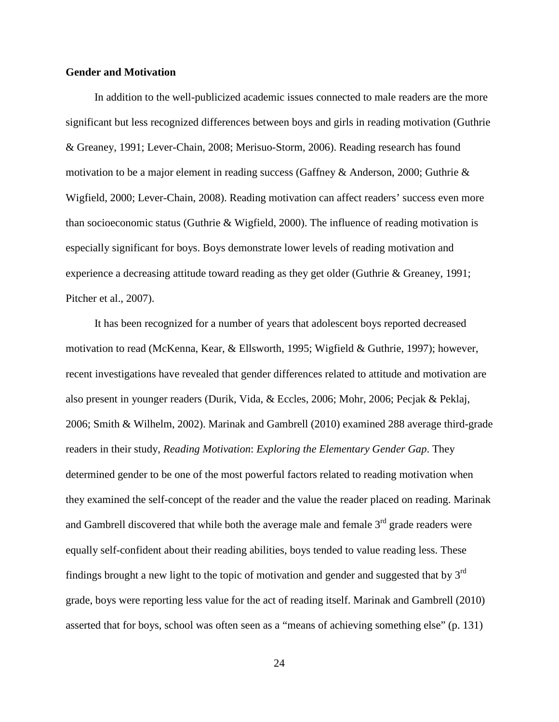## **Gender and Motivation**

In addition to the well-publicized academic issues connected to male readers are the more significant but less recognized differences between boys and girls in reading motivation (Guthrie & Greaney, 1991; Lever-Chain, 2008; Merisuo-Storm, 2006). Reading research has found motivation to be a major element in reading success (Gaffney & Anderson, 2000; Guthrie & Wigfield, 2000; Lever-Chain, 2008). Reading motivation can affect readers' success even more than socioeconomic status (Guthrie & Wigfield, 2000). The influence of reading motivation is especially significant for boys. Boys demonstrate lower levels of reading motivation and experience a decreasing attitude toward reading as they get older (Guthrie & Greaney, 1991; Pitcher et al., 2007).

It has been recognized for a number of years that adolescent boys reported decreased motivation to read (McKenna, Kear, & Ellsworth, 1995; Wigfield & Guthrie, 1997); however, recent investigations have revealed that gender differences related to attitude and motivation are also present in younger readers (Durik, Vida, & Eccles, 2006; Mohr, 2006; Pecjak & Peklaj, 2006; Smith & Wilhelm, 2002). Marinak and Gambrell (2010) examined 288 average third-grade readers in their study, *Reading Motivation*: *Exploring the Elementary Gender Gap*. They determined gender to be one of the most powerful factors related to reading motivation when they examined the self-concept of the reader and the value the reader placed on reading. Marinak and Gambrell discovered that while both the average male and female  $3<sup>rd</sup>$  grade readers were equally self-confident about their reading abilities, boys tended to value reading less. These findings brought a new light to the topic of motivation and gender and suggested that by  $3<sup>rd</sup>$ grade, boys were reporting less value for the act of reading itself. Marinak and Gambrell (2010) asserted that for boys, school was often seen as a "means of achieving something else" (p. 131)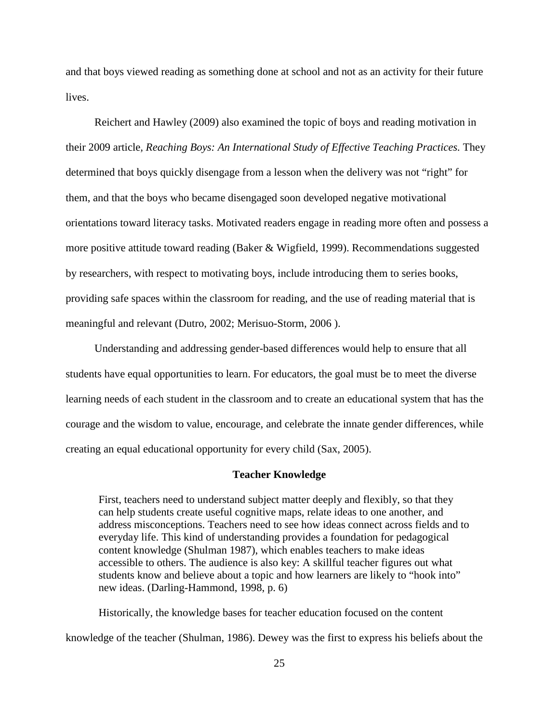and that boys viewed reading as something done at school and not as an activity for their future lives.

Reichert and Hawley (2009) also examined the topic of boys and reading motivation in their 2009 article*, Reaching Boys: An International Study of Effective Teaching Practices.* They determined that boys quickly disengage from a lesson when the delivery was not "right" for them, and that the boys who became disengaged soon developed negative motivational orientations toward literacy tasks. Motivated readers engage in reading more often and possess a more positive attitude toward reading (Baker & Wigfield, 1999). Recommendations suggested by researchers, with respect to motivating boys, include introducing them to series books, providing safe spaces within the classroom for reading, and the use of reading material that is meaningful and relevant (Dutro, 2002; Merisuo-Storm, 2006 ).

Understanding and addressing gender-based differences would help to ensure that all students have equal opportunities to learn. For educators, the goal must be to meet the diverse learning needs of each student in the classroom and to create an educational system that has the courage and the wisdom to value, encourage, and celebrate the innate gender differences, while creating an equal educational opportunity for every child (Sax, 2005).

# **Teacher Knowledge**

First, teachers need to understand subject matter deeply and flexibly, so that they can help students create useful cognitive maps, relate ideas to one another, and address misconceptions. Teachers need to see how ideas connect across fields and to everyday life. This kind of understanding provides a foundation for pedagogical content knowledge (Shulman 1987), which enables teachers to make ideas accessible to others. The audience is also key: A skillful teacher figures out what students know and believe about a topic and how learners are likely to "hook into" new ideas. (Darling-Hammond, 1998, p. 6)

Historically, the knowledge bases for teacher education focused on the content knowledge of the teacher (Shulman, 1986). Dewey was the first to express his beliefs about the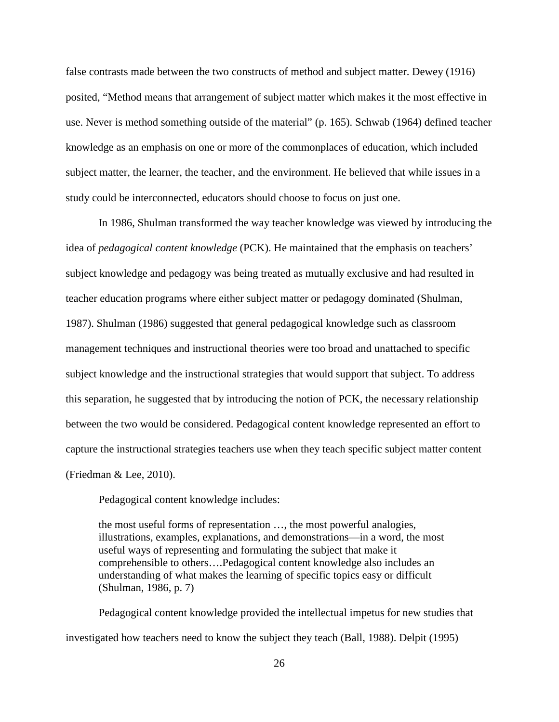false contrasts made between the two constructs of method and subject matter. Dewey (1916) posited, "Method means that arrangement of subject matter which makes it the most effective in use. Never is method something outside of the material" (p. 165). Schwab (1964) defined teacher knowledge as an emphasis on one or more of the commonplaces of education, which included subject matter, the learner, the teacher, and the environment. He believed that while issues in a study could be interconnected, educators should choose to focus on just one.

In 1986, Shulman transformed the way teacher knowledge was viewed by introducing the idea of *pedagogical content knowledge* (PCK). He maintained that the emphasis on teachers' subject knowledge and pedagogy was being treated as mutually exclusive and had resulted in teacher education programs where either subject matter or pedagogy dominated (Shulman, 1987). Shulman (1986) suggested that general pedagogical knowledge such as classroom management techniques and instructional theories were too broad and unattached to specific subject knowledge and the instructional strategies that would support that subject. To address this separation, he suggested that by introducing the notion of PCK, the necessary relationship between the two would be considered. Pedagogical content knowledge represented an effort to capture the instructional strategies teachers use when they teach specific subject matter content (Friedman & Lee, 2010).

Pedagogical content knowledge includes:

the most useful forms of representation …, the most powerful analogies, illustrations, examples, explanations, and demonstrations—in a word, the most useful ways of representing and formulating the subject that make it comprehensible to others….Pedagogical content knowledge also includes an understanding of what makes the learning of specific topics easy or difficult (Shulman, 1986, p. 7)

Pedagogical content knowledge provided the intellectual impetus for new studies that investigated how teachers need to know the subject they teach (Ball, 1988). Delpit (1995)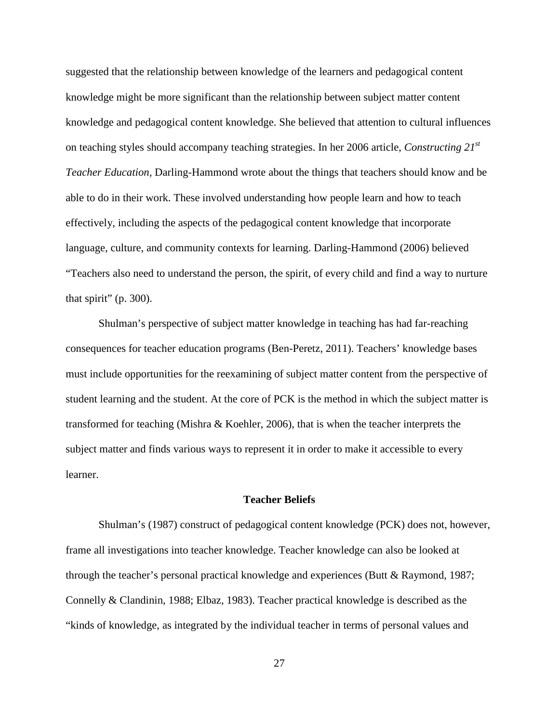suggested that the relationship between knowledge of the learners and pedagogical content knowledge might be more significant than the relationship between subject matter content knowledge and pedagogical content knowledge. She believed that attention to cultural influences on teaching styles should accompany teaching strategies. In her 2006 article, *Constructing 21st Teacher Education,* Darling-Hammond wrote about the things that teachers should know and be able to do in their work. These involved understanding how people learn and how to teach effectively, including the aspects of the pedagogical content knowledge that incorporate language, culture, and community contexts for learning. Darling-Hammond (2006) believed "Teachers also need to understand the person, the spirit, of every child and find a way to nurture that spirit" (p. 300).

Shulman's perspective of subject matter knowledge in teaching has had far-reaching consequences for teacher education programs (Ben-Peretz, 2011). Teachers' knowledge bases must include opportunities for the reexamining of subject matter content from the perspective of student learning and the student. At the core of PCK is the method in which the subject matter is transformed for teaching (Mishra & Koehler, 2006), that is when the teacher interprets the subject matter and finds various ways to represent it in order to make it accessible to every learner.

#### **Teacher Beliefs**

Shulman's (1987) construct of pedagogical content knowledge (PCK) does not, however, frame all investigations into teacher knowledge. Teacher knowledge can also be looked at through the teacher's personal practical knowledge and experiences (Butt & Raymond, 1987; Connelly & Clandinin, 1988; Elbaz, 1983). Teacher practical knowledge is described as the "kinds of knowledge, as integrated by the individual teacher in terms of personal values and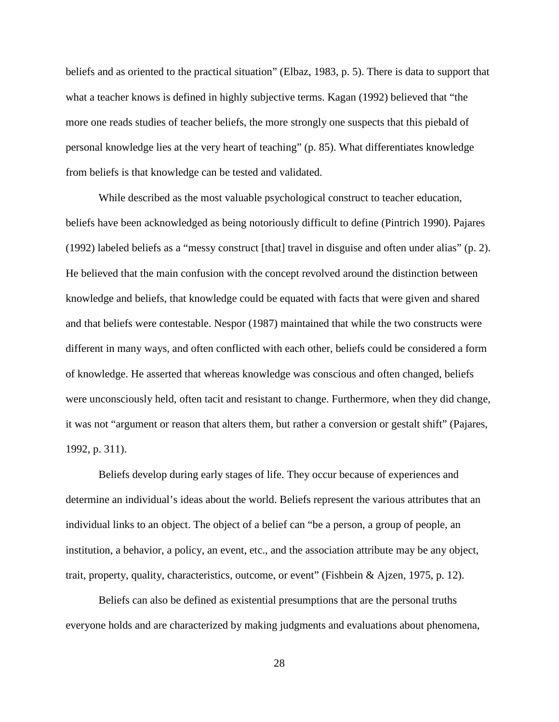beliefs and as oriented to the practical situation" (Elbaz, 1983, p. 5). There is data to support that what a teacher knows is defined in highly subjective terms. Kagan (1992) believed that "the more one reads studies of teacher beliefs, the more strongly one suspects that this piebald of personal knowledge lies at the very heart of teaching" (p. 85). What differentiates knowledge from beliefs is that knowledge can be tested and validated.

While described as the most valuable psychological construct to teacher education, beliefs have been acknowledged as being notoriously difficult to define (Pintrich 1990). Pajares (1992) labeled beliefs as a "messy construct [that] travel in disguise and often under alias" (p. 2). He believed that the main confusion with the concept revolved around the distinction between knowledge and beliefs, that knowledge could be equated with facts that were given and shared and that beliefs were contestable. Nespor (1987) maintained that while the two constructs were different in many ways, and often conflicted with each other, beliefs could be considered a form of knowledge. He asserted that whereas knowledge was conscious and often changed, beliefs were unconsciously held, often tacit and resistant to change. Furthermore, when they did change, it was not "argument or reason that alters them, but rather a conversion or gestalt shift" (Pajares, 1992, p. 311).

Beliefs develop during early stages of life. They occur because of experiences and determine an individual's ideas about the world. Beliefs represent the various attributes that an individual links to an object. The object of a belief can "be a person, a group of people, an institution, a behavior, a policy, an event, etc., and the association attribute may be any object, trait, property, quality, characteristics, outcome, or event" (Fishbein & Ajzen, 1975, p. 12).

Beliefs can also be defined as existential presumptions that are the personal truths everyone holds and are characterized by making judgments and evaluations about phenomena,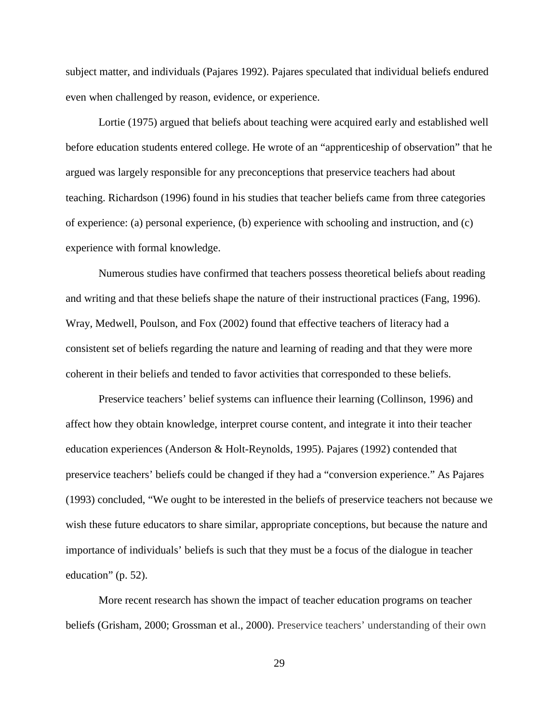subject matter, and individuals (Pajares 1992). Pajares speculated that individual beliefs endured even when challenged by reason, evidence, or experience.

Lortie (1975) argued that beliefs about teaching were acquired early and established well before education students entered college. He wrote of an "apprenticeship of observation" that he argued was largely responsible for any preconceptions that preservice teachers had about teaching. Richardson (1996) found in his studies that teacher beliefs came from three categories of experience: (a) personal experience, (b) experience with schooling and instruction, and (c) experience with formal knowledge.

Numerous studies have confirmed that teachers possess theoretical beliefs about reading and writing and that these beliefs shape the nature of their instructional practices (Fang, 1996). Wray, Medwell, Poulson, and Fox (2002) found that effective teachers of literacy had a consistent set of beliefs regarding the nature and learning of reading and that they were more coherent in their beliefs and tended to favor activities that corresponded to these beliefs.

Preservice teachers' belief systems can influence their learning (Collinson, 1996) and affect how they obtain knowledge, interpret course content, and integrate it into their teacher education experiences (Anderson & Holt-Reynolds, 1995). Pajares (1992) contended that preservice teachers' beliefs could be changed if they had a "conversion experience." As Pajares (1993) concluded, "We ought to be interested in the beliefs of preservice teachers not because we wish these future educators to share similar, appropriate conceptions, but because the nature and importance of individuals' beliefs is such that they must be a focus of the dialogue in teacher education" (p. 52).

More recent research has shown the impact of teacher education programs on teacher beliefs (Grisham, 2000; Grossman et al., 2000). Preservice teachers' understanding of their own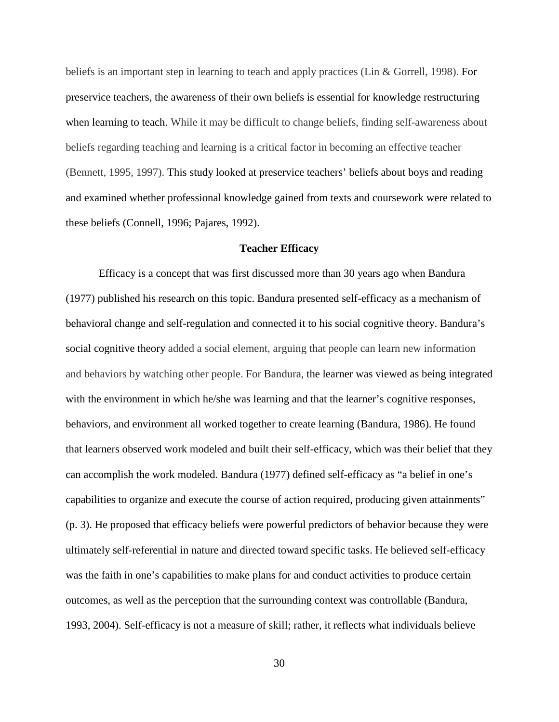beliefs is an important step in learning to teach and apply practices (Lin & Gorrell, 1998). For preservice teachers, the awareness of their own beliefs is essential for knowledge restructuring when learning to teach. While it may be difficult to change beliefs, finding self-awareness about beliefs regarding teaching and learning is a critical factor in becoming an effective teacher (Bennett, 1995, 1997). This study looked at preservice teachers' beliefs about boys and reading and examined whether professional knowledge gained from texts and coursework were related to these beliefs (Connell, 1996; Pajares, 1992).

# **Teacher Efficacy**

Efficacy is a concept that was first discussed more than 30 years ago when Bandura (1977) published his research on this topic. Bandura presented self-efficacy as a mechanism of behavioral change and self-regulation and connected it to his social cognitive theory. Bandura's social cognitive theory added a social element, arguing that people can learn new information and behaviors by watching other people. For Bandura, the learner was viewed as being integrated with the environment in which he/she was learning and that the learner's cognitive responses, behaviors, and environment all worked together to create learning (Bandura, 1986). He found that learners observed work modeled and built their self-efficacy, which was their belief that they can accomplish the work modeled. Bandura (1977) defined self-efficacy as "a belief in one's capabilities to organize and execute the course of action required, producing given attainments" (p. 3). He proposed that efficacy beliefs were powerful predictors of behavior because they were ultimately self-referential in nature and directed toward specific tasks. He believed self-efficacy was the faith in one's capabilities to make plans for and conduct activities to produce certain outcomes, as well as the perception that the surrounding context was controllable (Bandura, 1993, 2004). Self-efficacy is not a measure of skill; rather, it reflects what individuals believe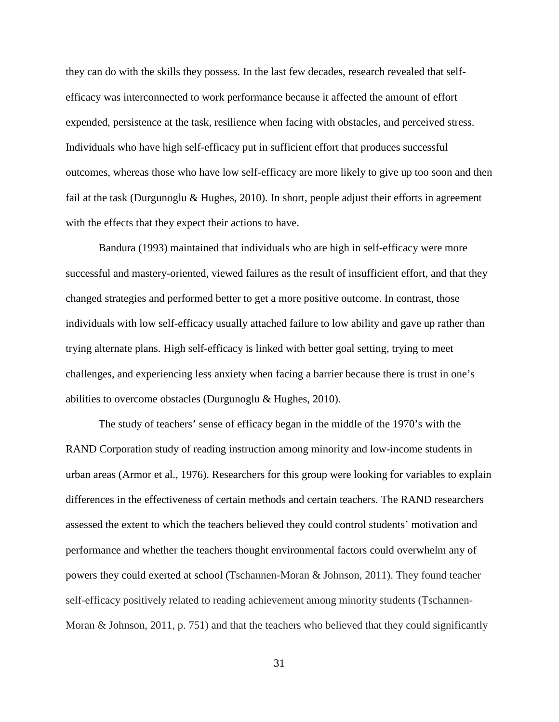they can do with the skills they possess. In the last few decades, research revealed that selfefficacy was interconnected to work performance because it affected the amount of effort expended, persistence at the task, resilience when facing with obstacles, and perceived stress. Individuals who have high self-efficacy put in sufficient effort that produces successful outcomes, whereas those who have low self-efficacy are more likely to give up too soon and then fail at the task (Durgunoglu & Hughes, 2010). In short, people adjust their efforts in agreement with the effects that they expect their actions to have.

Bandura (1993) maintained that individuals who are high in self-efficacy were more successful and mastery-oriented, viewed failures as the result of insufficient effort, and that they changed strategies and performed better to get a more positive outcome. In contrast, those individuals with low self-efficacy usually attached failure to low ability and gave up rather than trying alternate plans. High self-efficacy is linked with better goal setting, trying to meet challenges, and experiencing less anxiety when facing a barrier because there is trust in one's abilities to overcome obstacles (Durgunoglu & Hughes, 2010).

The study of teachers' sense of efficacy began in the middle of the 1970's with the RAND Corporation study of reading instruction among minority and low-income students in urban areas (Armor et al., 1976). Researchers for this group were looking for variables to explain differences in the effectiveness of certain methods and certain teachers. The RAND researchers assessed the extent to which the teachers believed they could control students' motivation and performance and whether the teachers thought environmental factors could overwhelm any of powers they could exerted at school (Tschannen-Moran & Johnson, 2011). They found teacher self-efficacy positively related to reading achievement among minority students (Tschannen-Moran & Johnson, 2011, p. 751) and that the teachers who believed that they could significantly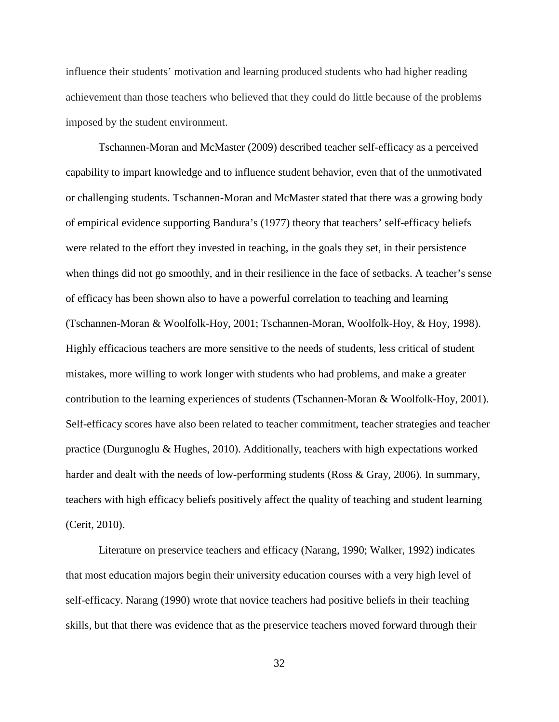influence their students' motivation and learning produced students who had higher reading achievement than those teachers who believed that they could do little because of the problems imposed by the student environment.

Tschannen-Moran and McMaster (2009) described teacher self-efficacy as a perceived capability to impart knowledge and to influence student behavior, even that of the unmotivated or challenging students. Tschannen-Moran and McMaster stated that there was a growing body of empirical evidence supporting Bandura's (1977) theory that teachers' self-efficacy beliefs were related to the effort they invested in teaching, in the goals they set, in their persistence when things did not go smoothly, and in their resilience in the face of setbacks. A teacher's sense of efficacy has been shown also to have a powerful correlation to teaching and learning (Tschannen-Moran & Woolfolk-Hoy, 2001; Tschannen-Moran, Woolfolk-Hoy, & Hoy, 1998). Highly efficacious teachers are more sensitive to the needs of students, less critical of student mistakes, more willing to work longer with students who had problems, and make a greater contribution to the learning experiences of students (Tschannen-Moran & Woolfolk-Hoy, 2001). Self-efficacy scores have also been related to teacher commitment, teacher strategies and teacher practice (Durgunoglu & Hughes, 2010). Additionally, teachers with high expectations worked harder and dealt with the needs of low-performing students (Ross & Gray, 2006). In summary, teachers with high efficacy beliefs positively affect the quality of teaching and student learning (Cerit, 2010).

Literature on preservice teachers and efficacy (Narang, 1990; Walker, 1992) indicates that most education majors begin their university education courses with a very high level of self-efficacy. Narang (1990) wrote that novice teachers had positive beliefs in their teaching skills, but that there was evidence that as the preservice teachers moved forward through their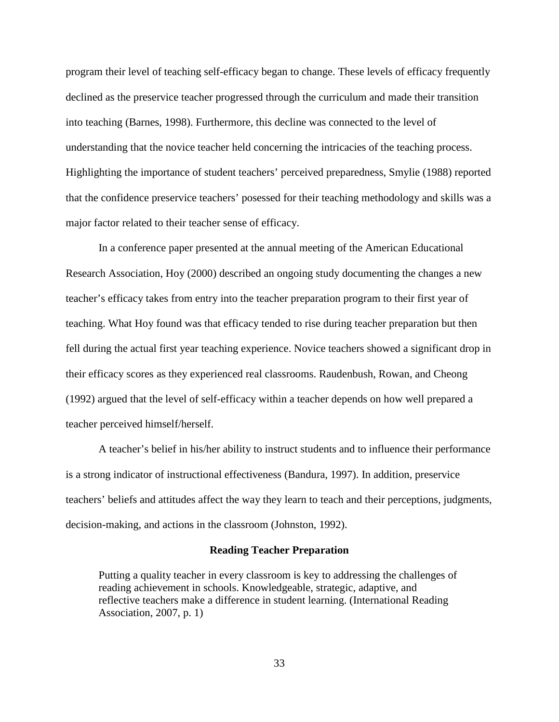program their level of teaching self-efficacy began to change. These levels of efficacy frequently declined as the preservice teacher progressed through the curriculum and made their transition into teaching (Barnes, 1998). Furthermore, this decline was connected to the level of understanding that the novice teacher held concerning the intricacies of the teaching process. Highlighting the importance of student teachers' perceived preparedness, Smylie (1988) reported that the confidence preservice teachers' posessed for their teaching methodology and skills was a major factor related to their teacher sense of efficacy.

In a conference paper presented at the annual meeting of the American Educational Research Association, Hoy (2000) described an ongoing study documenting the changes a new teacher's efficacy takes from entry into the teacher preparation program to their first year of teaching. What Hoy found was that efficacy tended to rise during teacher preparation but then fell during the actual first year teaching experience. Novice teachers showed a significant drop in their efficacy scores as they experienced real classrooms. Raudenbush, Rowan, and Cheong (1992) argued that the level of self-efficacy within a teacher depends on how well prepared a teacher perceived himself/herself.

A teacher's belief in his/her ability to instruct students and to influence their performance is a strong indicator of instructional effectiveness (Bandura, 1997). In addition, preservice teachers' beliefs and attitudes affect the way they learn to teach and their perceptions, judgments, decision-making, and actions in the classroom (Johnston, 1992).

## **Reading Teacher Preparation**

Putting a quality teacher in every classroom is key to addressing the challenges of reading achievement in schools. Knowledgeable, strategic, adaptive, and reflective teachers make a difference in student learning. (International Reading Association, 2007, p. 1)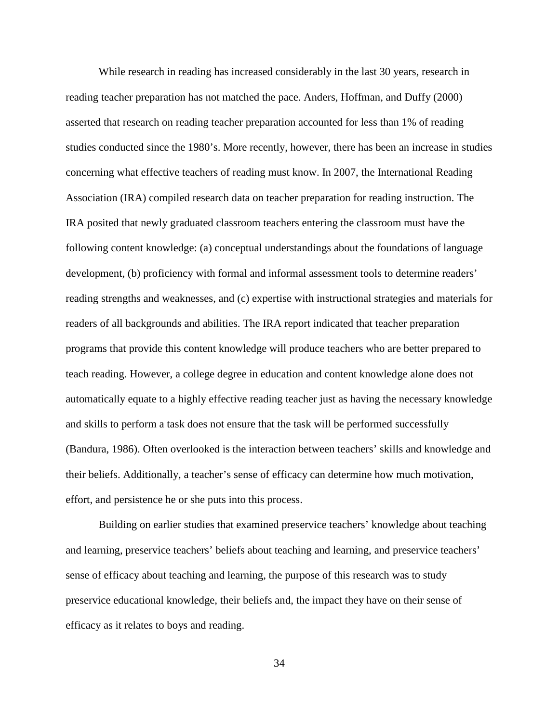While research in reading has increased considerably in the last 30 years, research in reading teacher preparation has not matched the pace. Anders, Hoffman, and Duffy (2000) asserted that research on reading teacher preparation accounted for less than 1% of reading studies conducted since the 1980's. More recently, however, there has been an increase in studies concerning what effective teachers of reading must know. In 2007, the International Reading Association (IRA) compiled research data on teacher preparation for reading instruction. The IRA posited that newly graduated classroom teachers entering the classroom must have the following content knowledge: (a) conceptual understandings about the foundations of language development, (b) proficiency with formal and informal assessment tools to determine readers' reading strengths and weaknesses, and (c) expertise with instructional strategies and materials for readers of all backgrounds and abilities. The IRA report indicated that teacher preparation programs that provide this content knowledge will produce teachers who are better prepared to teach reading. However, a college degree in education and content knowledge alone does not automatically equate to a highly effective reading teacher just as having the necessary knowledge and skills to perform a task does not ensure that the task will be performed successfully (Bandura, 1986). Often overlooked is the interaction between teachers' skills and knowledge and their beliefs. Additionally, a teacher's sense of efficacy can determine how much motivation, effort, and persistence he or she puts into this process.

Building on earlier studies that examined preservice teachers' knowledge about teaching and learning, preservice teachers' beliefs about teaching and learning, and preservice teachers' sense of efficacy about teaching and learning, the purpose of this research was to study preservice educational knowledge, their beliefs and, the impact they have on their sense of efficacy as it relates to boys and reading.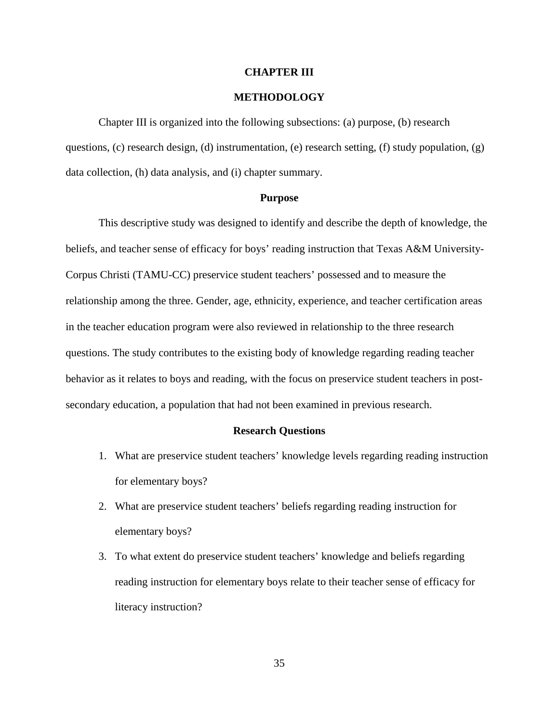## **CHAPTER III**

# **METHODOLOGY**

Chapter III is organized into the following subsections: (a) purpose, (b) research questions, (c) research design, (d) instrumentation, (e) research setting, (f) study population, (g) data collection, (h) data analysis, and (i) chapter summary.

## **Purpose**

This descriptive study was designed to identify and describe the depth of knowledge, the beliefs, and teacher sense of efficacy for boys' reading instruction that Texas A&M University-Corpus Christi (TAMU-CC) preservice student teachers' possessed and to measure the relationship among the three. Gender, age, ethnicity, experience, and teacher certification areas in the teacher education program were also reviewed in relationship to the three research questions. The study contributes to the existing body of knowledge regarding reading teacher behavior as it relates to boys and reading, with the focus on preservice student teachers in postsecondary education, a population that had not been examined in previous research.

## **Research Questions**

- 1. What are preservice student teachers' knowledge levels regarding reading instruction for elementary boys?
- 2. What are preservice student teachers' beliefs regarding reading instruction for elementary boys?
- 3. To what extent do preservice student teachers' knowledge and beliefs regarding reading instruction for elementary boys relate to their teacher sense of efficacy for literacy instruction?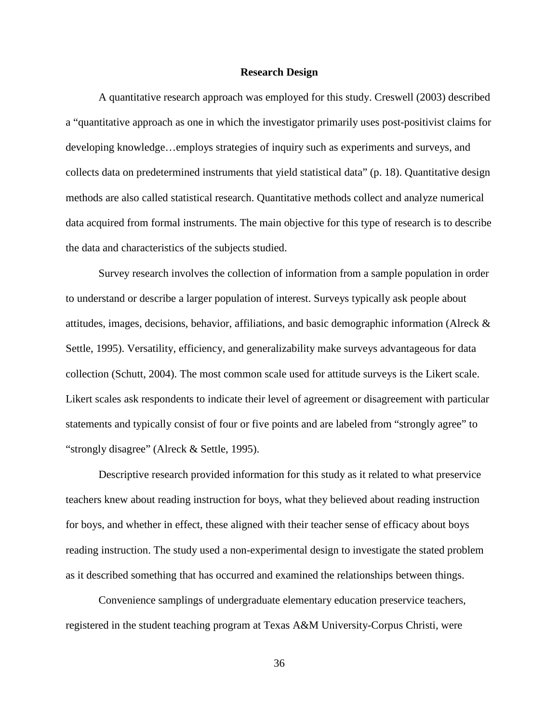## **Research Design**

A quantitative research approach was employed for this study. Creswell (2003) described a "quantitative approach as one in which the investigator primarily uses post-positivist claims for developing knowledge…employs strategies of inquiry such as experiments and surveys, and collects data on predetermined instruments that yield statistical data" (p. 18). Quantitative design methods are also called statistical research. Quantitative methods collect and analyze numerical data acquired from formal instruments. The main objective for this type of research is to describe the data and characteristics of the subjects studied.

Survey research involves the collection of information from a sample population in order to understand or describe a larger population of interest. Surveys typically ask people about attitudes, images, decisions, behavior, affiliations, and basic demographic information (Alreck & Settle, 1995). Versatility, efficiency, and generalizability make surveys advantageous for data collection (Schutt, 2004). The most common scale used for attitude surveys is the Likert scale. Likert scales ask respondents to indicate their level of agreement or disagreement with particular statements and typically consist of four or five points and are labeled from "strongly agree" to "strongly disagree" (Alreck & Settle, 1995).

Descriptive research provided information for this study as it related to what preservice teachers knew about reading instruction for boys, what they believed about reading instruction for boys, and whether in effect, these aligned with their teacher sense of efficacy about boys reading instruction. The study used a non-experimental design to investigate the stated problem as it described something that has occurred and examined the relationships between things.

Convenience samplings of undergraduate elementary education preservice teachers, registered in the student teaching program at Texas A&M University-Corpus Christi, were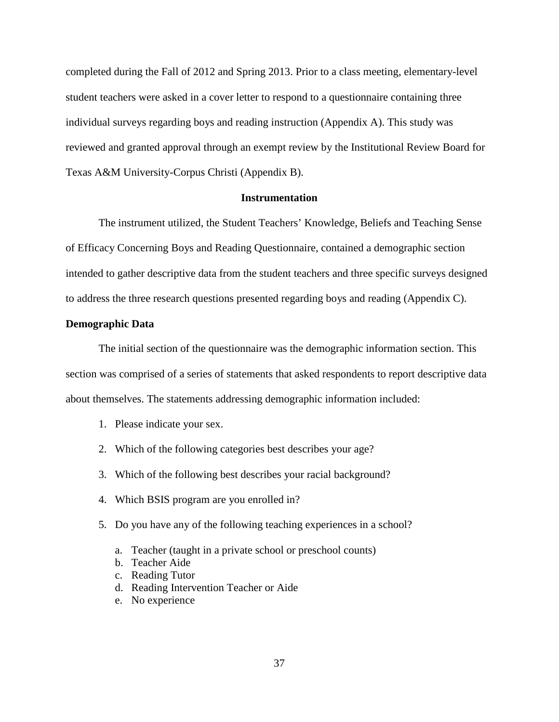completed during the Fall of 2012 and Spring 2013. Prior to a class meeting, elementary-level student teachers were asked in a cover letter to respond to a questionnaire containing three individual surveys regarding boys and reading instruction (Appendix A). This study was reviewed and granted approval through an exempt review by the Institutional Review Board for Texas A&M University-Corpus Christi (Appendix B).

## **Instrumentation**

The instrument utilized, the Student Teachers' Knowledge, Beliefs and Teaching Sense of Efficacy Concerning Boys and Reading Questionnaire, contained a demographic section intended to gather descriptive data from the student teachers and three specific surveys designed to address the three research questions presented regarding boys and reading (Appendix C).

## **Demographic Data**

The initial section of the questionnaire was the demographic information section. This section was comprised of a series of statements that asked respondents to report descriptive data about themselves. The statements addressing demographic information included:

- 1. Please indicate your sex.
- 2. Which of the following categories best describes your age?
- 3. Which of the following best describes your racial background?
- 4. Which BSIS program are you enrolled in?
- 5. Do you have any of the following teaching experiences in a school?
	- a. Teacher (taught in a private school or preschool counts)
	- b. Teacher Aide
	- c. Reading Tutor
	- d. Reading Intervention Teacher or Aide
	- e. No experience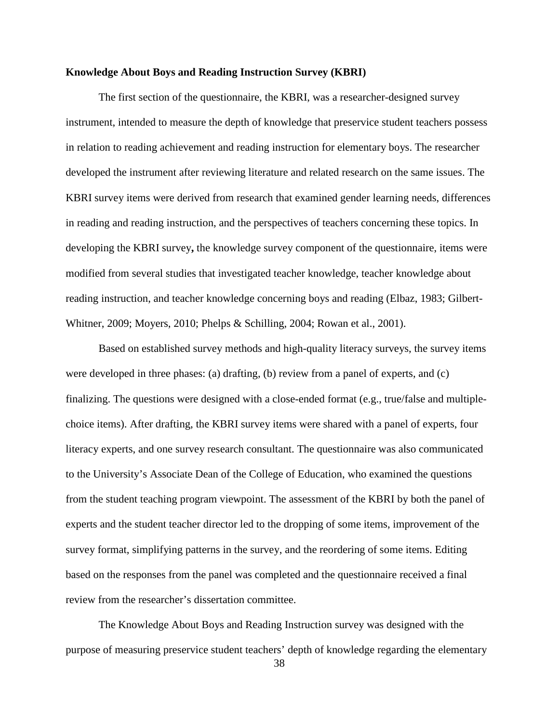## **Knowledge About Boys and Reading Instruction Survey (KBRI)**

The first section of the questionnaire, the KBRI, was a researcher-designed survey instrument, intended to measure the depth of knowledge that preservice student teachers possess in relation to reading achievement and reading instruction for elementary boys. The researcher developed the instrument after reviewing literature and related research on the same issues. The KBRI survey items were derived from research that examined gender learning needs, differences in reading and reading instruction, and the perspectives of teachers concerning these topics. In developing the KBRI survey**,** the knowledge survey component of the questionnaire, items were modified from several studies that investigated teacher knowledge, teacher knowledge about reading instruction, and teacher knowledge concerning boys and reading (Elbaz, 1983; Gilbert-Whitner, 2009; Moyers, 2010; Phelps & Schilling, 2004; Rowan et al., 2001).

Based on established survey methods and high-quality literacy surveys, the survey items were developed in three phases: (a) drafting, (b) review from a panel of experts, and (c) finalizing. The questions were designed with a close-ended format (e.g., true/false and multiplechoice items). After drafting, the KBRI survey items were shared with a panel of experts, four literacy experts, and one survey research consultant. The questionnaire was also communicated to the University's Associate Dean of the College of Education, who examined the questions from the student teaching program viewpoint. The assessment of the KBRI by both the panel of experts and the student teacher director led to the dropping of some items, improvement of the survey format, simplifying patterns in the survey, and the reordering of some items. Editing based on the responses from the panel was completed and the questionnaire received a final review from the researcher's dissertation committee.

The Knowledge About Boys and Reading Instruction survey was designed with the purpose of measuring preservice student teachers' depth of knowledge regarding the elementary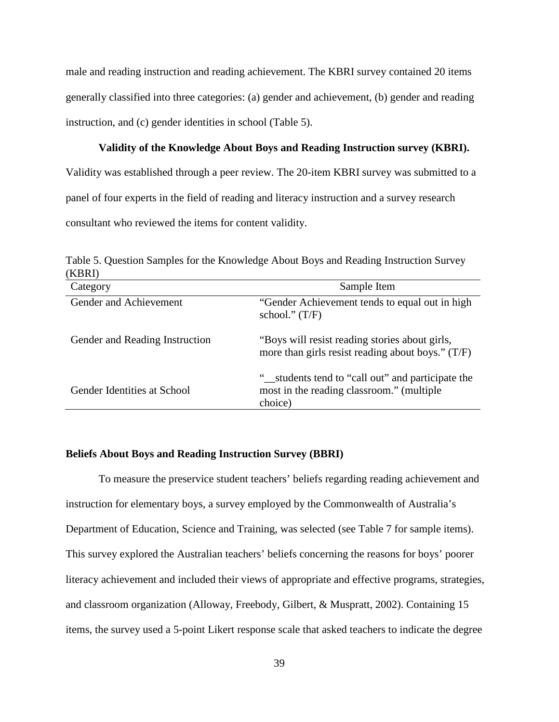male and reading instruction and reading achievement. The KBRI survey contained 20 items generally classified into three categories: (a) gender and achievement, (b) gender and reading instruction, and (c) gender identities in school (Table 5).

## **Validity of the Knowledge About Boys and Reading Instruction survey (KBRI).**

Validity was established through a peer review. The 20-item KBRI survey was submitted to a panel of four experts in the field of reading and literacy instruction and a survey research consultant who reviewed the items for content validity.

| Category                       | Sample Item                                                                                               |
|--------------------------------|-----------------------------------------------------------------------------------------------------------|
| Gender and Achievement         | "Gender Achievement tends to equal out in high<br>school." $(T/F)$                                        |
| Gender and Reading Instruction | "Boys will resist reading stories about girls,<br>more than girls resist reading about boys." $(T/F)$     |
| Gender Identities at School    | "_students tend to "call out" and participate the<br>most in the reading classroom." (multiple<br>choice) |

Table 5. Question Samples for the Knowledge About Boys and Reading Instruction Survey (KBRI)

## **Beliefs About Boys and Reading Instruction Survey (BBRI)**

To measure the preservice student teachers' beliefs regarding reading achievement and instruction for elementary boys, a survey employed by the Commonwealth of Australia's Department of Education, Science and Training, was selected (see Table 7 for sample items). This survey explored the Australian teachers' beliefs concerning the reasons for boys' poorer literacy achievement and included their views of appropriate and effective programs, strategies, and classroom organization (Alloway, Freebody, Gilbert, & Muspratt, 2002). Containing 15 items, the survey used a 5-point Likert response scale that asked teachers to indicate the degree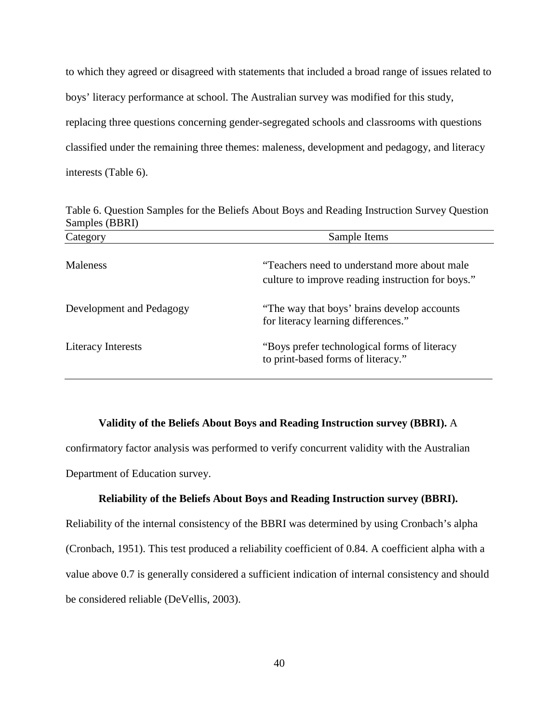to which they agreed or disagreed with statements that included a broad range of issues related to boys' literacy performance at school. The Australian survey was modified for this study, replacing three questions concerning gender-segregated schools and classrooms with questions classified under the remaining three themes: maleness, development and pedagogy, and literacy interests (Table 6).

| Sample Items                                                                                       |  |  |
|----------------------------------------------------------------------------------------------------|--|--|
| "Teachers need to understand more about male"<br>culture to improve reading instruction for boys." |  |  |
| "The way that boys' brains develop accounts"<br>for literacy learning differences."                |  |  |
| "Boys prefer technological forms of literacy"<br>to print-based forms of literacy."                |  |  |
|                                                                                                    |  |  |

Table 6. Question Samples for the Beliefs About Boys and Reading Instruction Survey Question Samples (BBRI)

#### **Validity of the Beliefs About Boys and Reading Instruction survey (BBRI).** A

confirmatory factor analysis was performed to verify concurrent validity with the Australian Department of Education survey.

## **Reliability of the Beliefs About Boys and Reading Instruction survey (BBRI).**

Reliability of the internal consistency of the BBRI was determined by using Cronbach's alpha (Cronbach, 1951). This test produced a reliability coefficient of 0.84. A coefficient alpha with a value above 0.7 is generally considered a sufficient indication of internal consistency and should be considered reliable (DeVellis, 2003).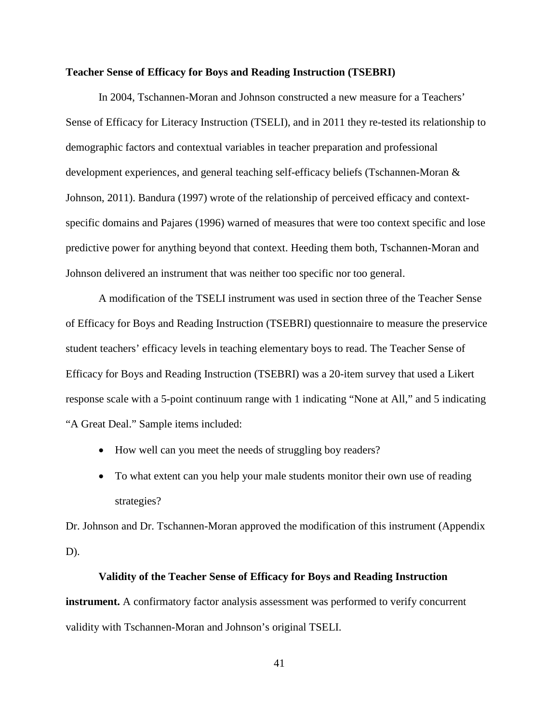## **Teacher Sense of Efficacy for Boys and Reading Instruction (TSEBRI)**

In 2004, Tschannen-Moran and Johnson constructed a new measure for a Teachers' Sense of Efficacy for Literacy Instruction (TSELI), and in 2011 they re-tested its relationship to demographic factors and contextual variables in teacher preparation and professional development experiences, and general teaching self-efficacy beliefs (Tschannen-Moran & Johnson, 2011). Bandura (1997) wrote of the relationship of perceived efficacy and contextspecific domains and Pajares (1996) warned of measures that were too context specific and lose predictive power for anything beyond that context. Heeding them both, Tschannen-Moran and Johnson delivered an instrument that was neither too specific nor too general.

A modification of the TSELI instrument was used in section three of the Teacher Sense of Efficacy for Boys and Reading Instruction (TSEBRI) questionnaire to measure the preservice student teachers' efficacy levels in teaching elementary boys to read. The Teacher Sense of Efficacy for Boys and Reading Instruction (TSEBRI) was a 20-item survey that used a Likert response scale with a 5-point continuum range with 1 indicating "None at All," and 5 indicating "A Great Deal." Sample items included:

- How well can you meet the needs of struggling boy readers?
- To what extent can you help your male students monitor their own use of reading strategies?

Dr. Johnson and Dr. Tschannen-Moran approved the modification of this instrument (Appendix D).

## **Validity of the Teacher Sense of Efficacy for Boys and Reading Instruction**

**instrument.** A confirmatory factor analysis assessment was performed to verify concurrent validity with Tschannen-Moran and Johnson's original TSELI.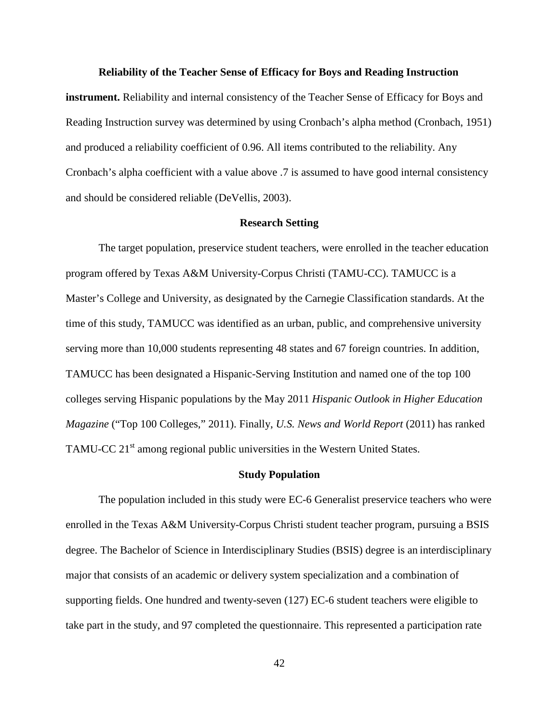#### **Reliability of the Teacher Sense of Efficacy for Boys and Reading Instruction**

**instrument.** Reliability and internal consistency of the Teacher Sense of Efficacy for Boys and Reading Instruction survey was determined by using Cronbach's alpha method (Cronbach, 1951) and produced a reliability coefficient of 0.96. All items contributed to the reliability. Any Cronbach's alpha coefficient with a value above .7 is assumed to have good internal consistency and should be considered reliable (DeVellis, 2003).

#### **Research Setting**

The target population, preservice student teachers, were enrolled in the teacher education program offered by Texas A&M University-Corpus Christi (TAMU-CC). TAMUCC is a Master's College and University, as designated by the Carnegie Classification standards. At the time of this study, TAMUCC was identified as an urban, public, and comprehensive university serving more than 10,000 students representing 48 states and 67 foreign countries. In addition, TAMUCC has been designated a Hispanic-Serving Institution and named one of the top 100 colleges serving Hispanic populations by the May 2011 *Hispanic Outlook in Higher Education Magazine* ("Top 100 Colleges," 2011). Finally, *U.S. News and World Report* (2011) has ranked TAMU-CC 21<sup>st</sup> among regional public universities in the Western United States.

#### **Study Population**

The population included in this study were EC-6 Generalist preservice teachers who were enrolled in the Texas A&M University-Corpus Christi student teacher program, pursuing a BSIS degree. The Bachelor of Science in Interdisciplinary Studies (BSIS) degree is an interdisciplinary major that consists of an academic or delivery system specialization and a combination of supporting fields. One hundred and twenty-seven (127) EC-6 student teachers were eligible to take part in the study, and 97 completed the questionnaire. This represented a participation rate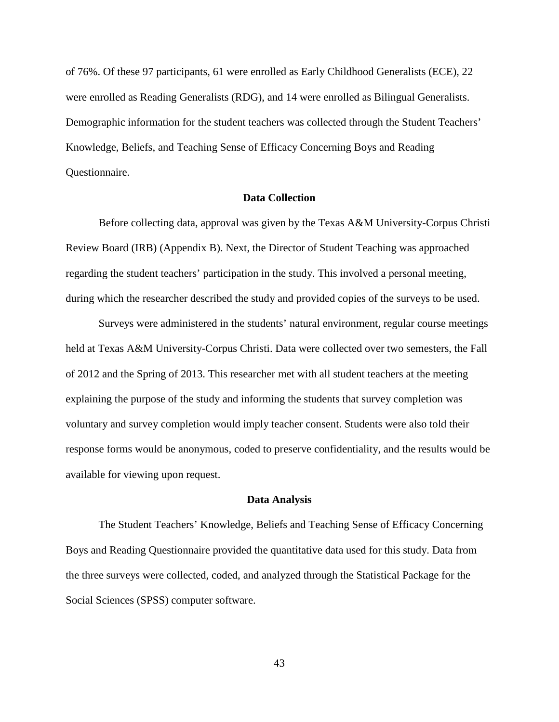of 76%. Of these 97 participants, 61 were enrolled as Early Childhood Generalists (ECE), 22 were enrolled as Reading Generalists (RDG), and 14 were enrolled as Bilingual Generalists. Demographic information for the student teachers was collected through the Student Teachers' Knowledge, Beliefs, and Teaching Sense of Efficacy Concerning Boys and Reading Questionnaire.

# **Data Collection**

Before collecting data, approval was given by the Texas A&M University-Corpus Christi Review Board (IRB) (Appendix B). Next, the Director of Student Teaching was approached regarding the student teachers' participation in the study. This involved a personal meeting, during which the researcher described the study and provided copies of the surveys to be used.

Surveys were administered in the students' natural environment, regular course meetings held at Texas A&M University-Corpus Christi. Data were collected over two semesters, the Fall of 2012 and the Spring of 2013. This researcher met with all student teachers at the meeting explaining the purpose of the study and informing the students that survey completion was voluntary and survey completion would imply teacher consent. Students were also told their response forms would be anonymous, coded to preserve confidentiality, and the results would be available for viewing upon request.

#### **Data Analysis**

The Student Teachers' Knowledge, Beliefs and Teaching Sense of Efficacy Concerning Boys and Reading Questionnaire provided the quantitative data used for this study. Data from the three surveys were collected, coded, and analyzed through the Statistical Package for the Social Sciences (SPSS) computer software.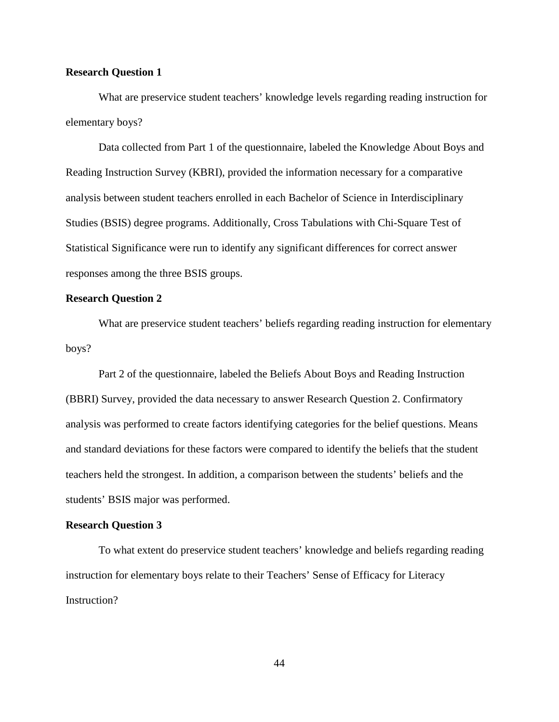# **Research Question 1**

What are preservice student teachers' knowledge levels regarding reading instruction for elementary boys?

Data collected from Part 1 of the questionnaire, labeled the Knowledge About Boys and Reading Instruction Survey (KBRI), provided the information necessary for a comparative analysis between student teachers enrolled in each Bachelor of Science in Interdisciplinary Studies (BSIS) degree programs. Additionally, Cross Tabulations with Chi-Square Test of Statistical Significance were run to identify any significant differences for correct answer responses among the three BSIS groups.

# **Research Question 2**

What are preservice student teachers' beliefs regarding reading instruction for elementary boys?

Part 2 of the questionnaire, labeled the Beliefs About Boys and Reading Instruction (BBRI) Survey, provided the data necessary to answer Research Question 2. Confirmatory analysis was performed to create factors identifying categories for the belief questions. Means and standard deviations for these factors were compared to identify the beliefs that the student teachers held the strongest. In addition, a comparison between the students' beliefs and the students' BSIS major was performed.

## **Research Question 3**

To what extent do preservice student teachers' knowledge and beliefs regarding reading instruction for elementary boys relate to their Teachers' Sense of Efficacy for Literacy Instruction?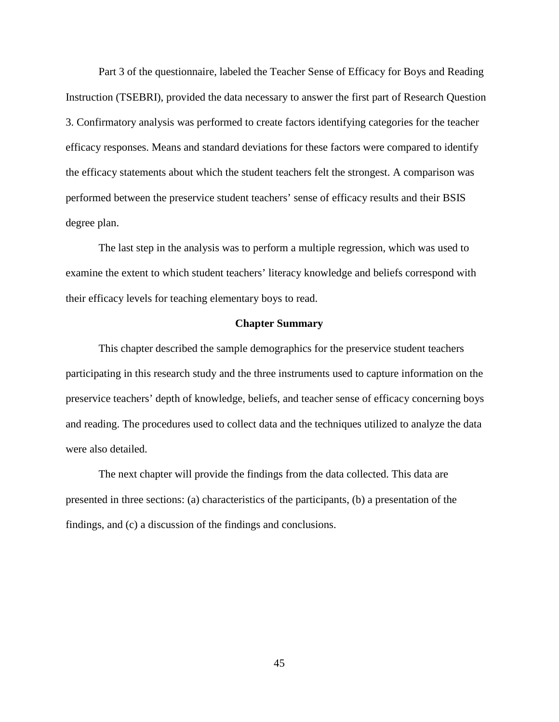Part 3 of the questionnaire, labeled the Teacher Sense of Efficacy for Boys and Reading Instruction (TSEBRI), provided the data necessary to answer the first part of Research Question 3. Confirmatory analysis was performed to create factors identifying categories for the teacher efficacy responses. Means and standard deviations for these factors were compared to identify the efficacy statements about which the student teachers felt the strongest. A comparison was performed between the preservice student teachers' sense of efficacy results and their BSIS degree plan.

The last step in the analysis was to perform a multiple regression, which was used to examine the extent to which student teachers' literacy knowledge and beliefs correspond with their efficacy levels for teaching elementary boys to read.

# **Chapter Summary**

This chapter described the sample demographics for the preservice student teachers participating in this research study and the three instruments used to capture information on the preservice teachers' depth of knowledge, beliefs, and teacher sense of efficacy concerning boys and reading. The procedures used to collect data and the techniques utilized to analyze the data were also detailed.

The next chapter will provide the findings from the data collected. This data are presented in three sections: (a) characteristics of the participants, (b) a presentation of the findings, and (c) a discussion of the findings and conclusions.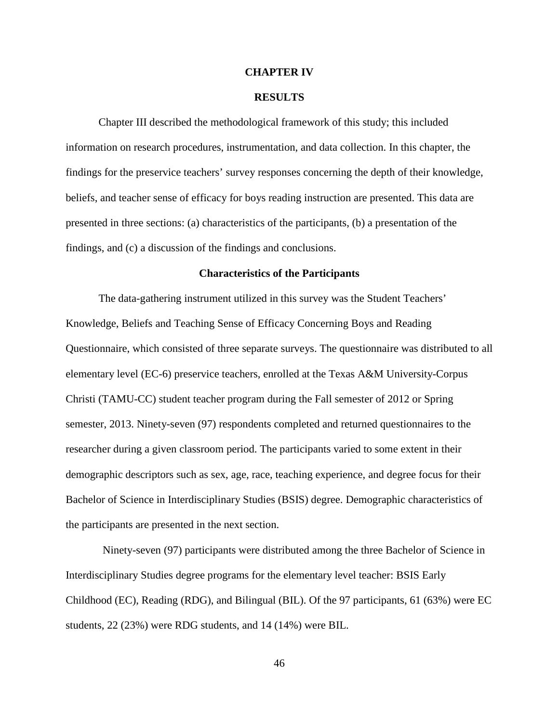## **CHAPTER IV**

## **RESULTS**

Chapter III described the methodological framework of this study; this included information on research procedures, instrumentation, and data collection. In this chapter, the findings for the preservice teachers' survey responses concerning the depth of their knowledge, beliefs, and teacher sense of efficacy for boys reading instruction are presented. This data are presented in three sections: (a) characteristics of the participants, (b) a presentation of the findings, and (c) a discussion of the findings and conclusions.

#### **Characteristics of the Participants**

The data-gathering instrument utilized in this survey was the Student Teachers' Knowledge, Beliefs and Teaching Sense of Efficacy Concerning Boys and Reading Questionnaire, which consisted of three separate surveys. The questionnaire was distributed to all elementary level (EC-6) preservice teachers, enrolled at the Texas A&M University-Corpus Christi (TAMU-CC) student teacher program during the Fall semester of 2012 or Spring semester, 2013. Ninety-seven (97) respondents completed and returned questionnaires to the researcher during a given classroom period. The participants varied to some extent in their demographic descriptors such as sex, age, race, teaching experience, and degree focus for their Bachelor of Science in Interdisciplinary Studies (BSIS) degree. Demographic characteristics of the participants are presented in the next section.

Ninety-seven (97) participants were distributed among the three Bachelor of Science in Interdisciplinary Studies degree programs for the elementary level teacher: BSIS Early Childhood (EC), Reading (RDG), and Bilingual (BIL). Of the 97 participants, 61 (63%) were EC students, 22 (23%) were RDG students, and 14 (14%) were BIL.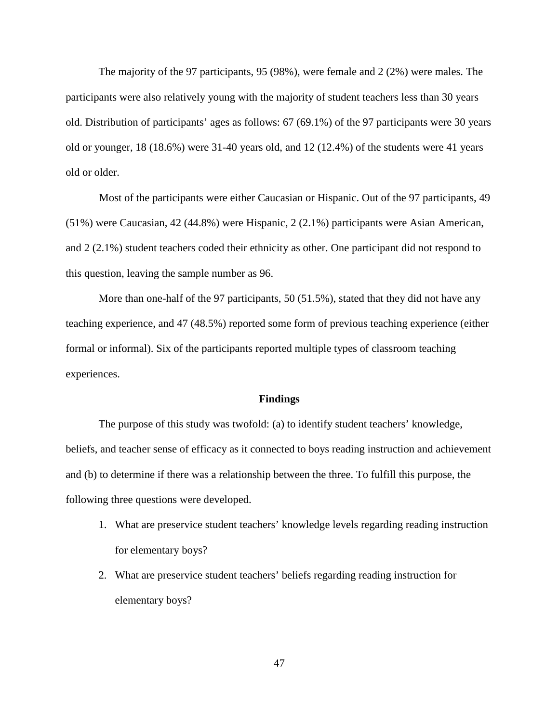The majority of the 97 participants, 95 (98%), were female and 2 (2%) were males. The participants were also relatively young with the majority of student teachers less than 30 years old. Distribution of participants' ages as follows: 67 (69.1%) of the 97 participants were 30 years old or younger, 18 (18.6%) were 31-40 years old, and 12 (12.4%) of the students were 41 years old or older.

Most of the participants were either Caucasian or Hispanic. Out of the 97 participants, 49 (51%) were Caucasian, 42 (44.8%) were Hispanic, 2 (2.1%) participants were Asian American, and 2 (2.1%) student teachers coded their ethnicity as other. One participant did not respond to this question, leaving the sample number as 96.

More than one-half of the 97 participants, 50 (51.5%), stated that they did not have any teaching experience, and 47 (48.5%) reported some form of previous teaching experience (either formal or informal). Six of the participants reported multiple types of classroom teaching experiences.

## **Findings**

The purpose of this study was twofold: (a) to identify student teachers' knowledge, beliefs, and teacher sense of efficacy as it connected to boys reading instruction and achievement and (b) to determine if there was a relationship between the three. To fulfill this purpose, the following three questions were developed.

- 1. What are preservice student teachers' knowledge levels regarding reading instruction for elementary boys?
- 2. What are preservice student teachers' beliefs regarding reading instruction for elementary boys?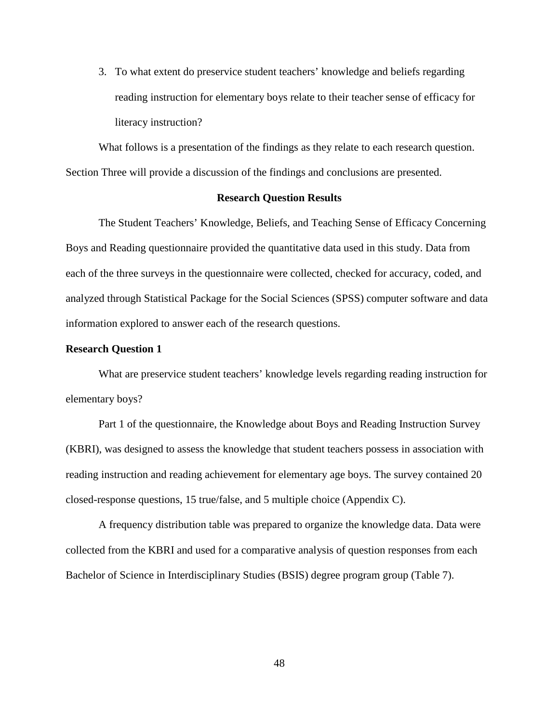3. To what extent do preservice student teachers' knowledge and beliefs regarding reading instruction for elementary boys relate to their teacher sense of efficacy for literacy instruction?

What follows is a presentation of the findings as they relate to each research question. Section Three will provide a discussion of the findings and conclusions are presented.

# **Research Question Results**

The Student Teachers' Knowledge, Beliefs, and Teaching Sense of Efficacy Concerning Boys and Reading questionnaire provided the quantitative data used in this study. Data from each of the three surveys in the questionnaire were collected, checked for accuracy, coded, and analyzed through Statistical Package for the Social Sciences (SPSS) computer software and data information explored to answer each of the research questions.

## **Research Question 1**

What are preservice student teachers' knowledge levels regarding reading instruction for elementary boys?

Part 1 of the questionnaire, the Knowledge about Boys and Reading Instruction Survey (KBRI), was designed to assess the knowledge that student teachers possess in association with reading instruction and reading achievement for elementary age boys. The survey contained 20 closed-response questions, 15 true/false, and 5 multiple choice (Appendix C).

A frequency distribution table was prepared to organize the knowledge data. Data were collected from the KBRI and used for a comparative analysis of question responses from each Bachelor of Science in Interdisciplinary Studies (BSIS) degree program group (Table 7).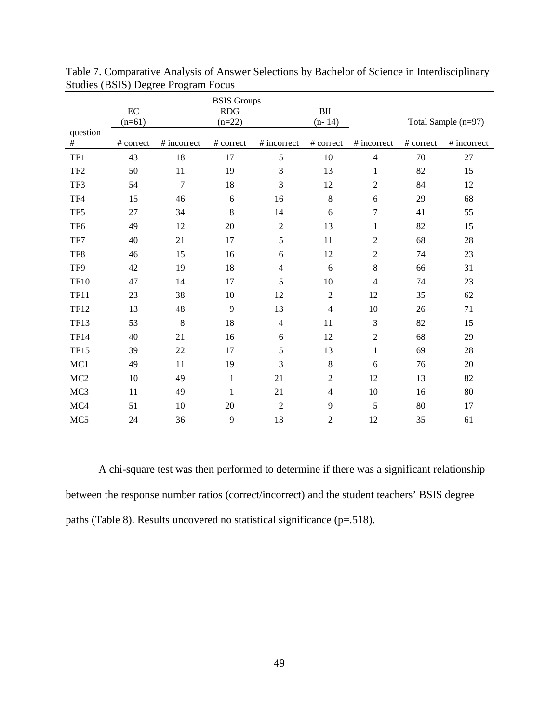|                 | $\rm EC$<br>$(n=61)$ |                | <b>BSIS</b> Groups<br><b>RDG</b><br>$(n=22)$ |                | $\operatorname{BIL}$<br>$(n-14)$ |                |           | Total Sample (n=97) |
|-----------------|----------------------|----------------|----------------------------------------------|----------------|----------------------------------|----------------|-----------|---------------------|
| question<br>#   | # correct            | # incorrect    | # correct                                    | # incorrect    | # correct                        | # incorrect    | # correct | # incorrect         |
| TF1             | 43                   | 18             | 17                                           | 5              | 10                               | $\overline{4}$ | 70        | 27                  |
| TF <sub>2</sub> | 50                   | 11             | 19                                           | 3              | 13                               | $\mathbf{1}$   | 82        | 15                  |
| TF3             | 54                   | $\overline{7}$ | 18                                           | 3              | 12                               | $\overline{2}$ | 84        | 12                  |
| TF4             | 15                   | 46             | 6                                            | 16             | $8\,$                            | 6              | 29        | 68                  |
| TF <sub>5</sub> | 27                   | 34             | 8                                            | 14             | 6                                | 7              | 41        | 55                  |
| TF <sub>6</sub> | 49                   | 12             | 20                                           | $\overline{2}$ | 13                               | $\mathbf{1}$   | 82        | 15                  |
| TF7             | 40                   | 21             | 17                                           | 5              | 11                               | $\overline{c}$ | 68        | 28                  |
| TF8             | 46                   | 15             | 16                                           | 6              | 12                               | $\sqrt{2}$     | 74        | 23                  |
| TF9             | 42                   | 19             | 18                                           | $\overline{4}$ | $\sqrt{6}$                       | $8\,$          | 66        | 31                  |
| <b>TF10</b>     | 47                   | 14             | 17                                           | 5              | 10                               | $\overline{4}$ | 74        | 23                  |
| <b>TF11</b>     | 23                   | 38             | 10                                           | 12             | $\sqrt{2}$                       | 12             | 35        | 62                  |
| <b>TF12</b>     | 13                   | 48             | 9                                            | 13             | $\overline{4}$                   | 10             | 26        | 71                  |
| <b>TF13</b>     | 53                   | 8              | 18                                           | $\overline{4}$ | 11                               | 3              | 82        | 15                  |
| <b>TF14</b>     | 40                   | 21             | 16                                           | 6              | 12                               | $\overline{2}$ | 68        | 29                  |
| <b>TF15</b>     | 39                   | 22             | 17                                           | 5              | 13                               | $\mathbf{1}$   | 69        | 28                  |
| MC1             | 49                   | 11             | 19                                           | 3              | 8                                | 6              | 76        | 20                  |
| MC <sub>2</sub> | 10                   | 49             | $\mathbf{1}$                                 | 21             | $\overline{2}$                   | 12             | 13        | 82                  |
| MC <sub>3</sub> | 11                   | 49             | $\mathbf 1$                                  | 21             | $\overline{4}$                   | 10             | 16        | 80                  |
| MC4             | 51                   | 10             | 20                                           | $\overline{2}$ | 9                                | 5              | 80        | 17                  |
| MC5             | 24                   | 36             | 9                                            | 13             | $\overline{c}$                   | 12             | 35        | 61                  |

Table 7. Comparative Analysis of Answer Selections by Bachelor of Science in Interdisciplinary Studies (BSIS) Degree Program Focus

A chi-square test was then performed to determine if there was a significant relationship between the response number ratios (correct/incorrect) and the student teachers' BSIS degree paths (Table 8). Results uncovered no statistical significance (p=.518).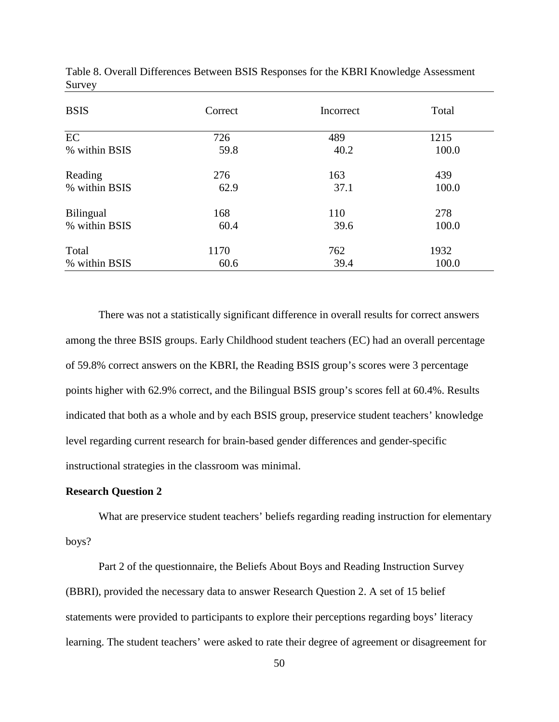| <b>BSIS</b>      | Correct | Incorrect | Total |
|------------------|---------|-----------|-------|
| EC               | 726     | 489       | 1215  |
| % within BSIS    | 59.8    | 40.2      | 100.0 |
| Reading          | 276     | 163       | 439   |
| % within BSIS    | 62.9    | 37.1      | 100.0 |
| <b>Bilingual</b> | 168     | 110       | 278   |
| % within BSIS    | 60.4    | 39.6      | 100.0 |
| Total            | 1170    | 762       | 1932  |
| % within BSIS    | 60.6    | 39.4      | 100.0 |

Table 8. Overall Differences Between BSIS Responses for the KBRI Knowledge Assessment Survey

There was not a statistically significant difference in overall results for correct answers among the three BSIS groups. Early Childhood student teachers (EC) had an overall percentage of 59.8% correct answers on the KBRI, the Reading BSIS group's scores were 3 percentage points higher with 62.9% correct, and the Bilingual BSIS group's scores fell at 60.4%. Results indicated that both as a whole and by each BSIS group, preservice student teachers' knowledge level regarding current research for brain-based gender differences and gender-specific instructional strategies in the classroom was minimal.

# **Research Question 2**

What are preservice student teachers' beliefs regarding reading instruction for elementary boys?

Part 2 of the questionnaire, the Beliefs About Boys and Reading Instruction Survey (BBRI), provided the necessary data to answer Research Question 2. A set of 15 belief statements were provided to participants to explore their perceptions regarding boys' literacy learning. The student teachers' were asked to rate their degree of agreement or disagreement for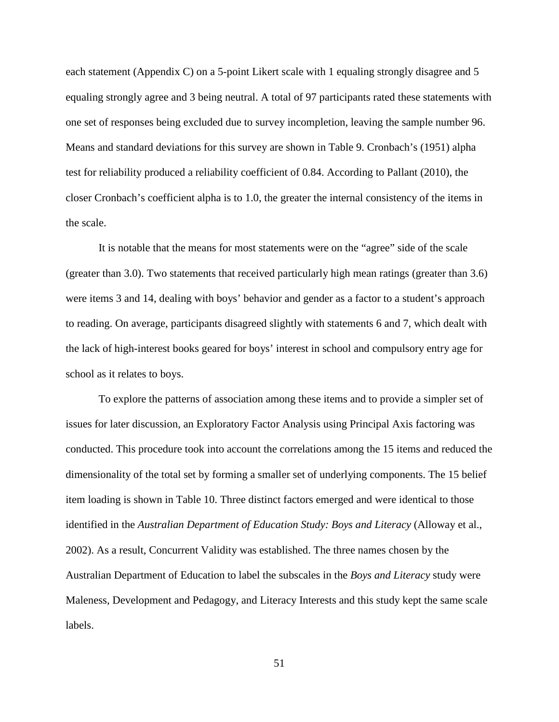each statement (Appendix C) on a 5-point Likert scale with 1 equaling strongly disagree and 5 equaling strongly agree and 3 being neutral. A total of 97 participants rated these statements with one set of responses being excluded due to survey incompletion, leaving the sample number 96. Means and standard deviations for this survey are shown in Table 9. Cronbach's (1951) alpha test for reliability produced a reliability coefficient of 0.84. According to Pallant (2010), the closer Cronbach's coefficient alpha is to 1.0, the greater the internal consistency of the items in the scale.

It is notable that the means for most statements were on the "agree" side of the scale (greater than 3.0). Two statements that received particularly high mean ratings (greater than 3.6) were items 3 and 14, dealing with boys' behavior and gender as a factor to a student's approach to reading. On average, participants disagreed slightly with statements 6 and 7, which dealt with the lack of high-interest books geared for boys' interest in school and compulsory entry age for school as it relates to boys.

To explore the patterns of association among these items and to provide a simpler set of issues for later discussion, an Exploratory Factor Analysis using Principal Axis factoring was conducted. This procedure took into account the correlations among the 15 items and reduced the dimensionality of the total set by forming a smaller set of underlying components. The 15 belief item loading is shown in Table 10. Three distinct factors emerged and were identical to those identified in the *Australian Department of Education Study: Boys and Literacy* (Alloway et al., 2002). As a result, Concurrent Validity was established. The three names chosen by the Australian Department of Education to label the subscales in the *Boys and Literacy* study were Maleness, Development and Pedagogy, and Literacy Interests and this study kept the same scale labels.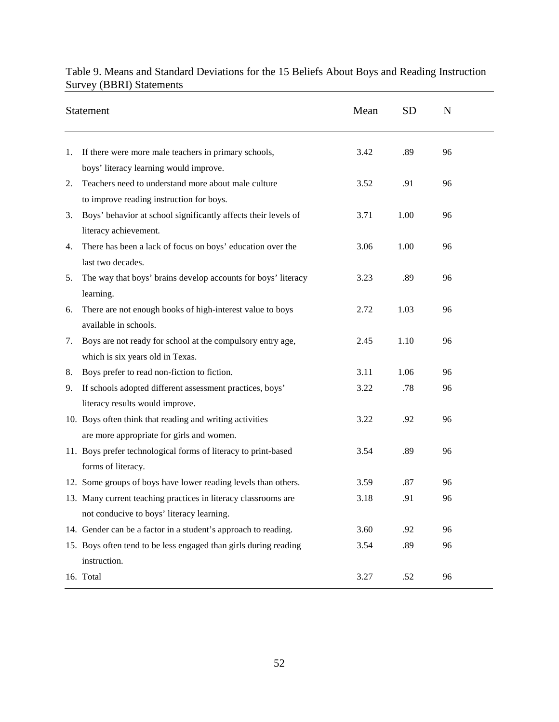|    | Statement                                                        | Mean | <b>SD</b> | N  |  |
|----|------------------------------------------------------------------|------|-----------|----|--|
| 1. | If there were more male teachers in primary schools,             | 3.42 | .89       | 96 |  |
|    | boys' literacy learning would improve.                           |      |           |    |  |
| 2. | Teachers need to understand more about male culture              | 3.52 | .91       | 96 |  |
|    | to improve reading instruction for boys.                         |      |           |    |  |
| 3. | Boys' behavior at school significantly affects their levels of   | 3.71 | 1.00      | 96 |  |
|    | literacy achievement.                                            |      |           |    |  |
| 4. | There has been a lack of focus on boys' education over the       | 3.06 | 1.00      | 96 |  |
|    | last two decades.                                                |      |           |    |  |
| 5. | The way that boys' brains develop accounts for boys' literacy    | 3.23 | .89       | 96 |  |
|    | learning.                                                        |      |           |    |  |
| 6. | There are not enough books of high-interest value to boys        | 2.72 | 1.03      | 96 |  |
|    | available in schools.                                            |      |           |    |  |
| 7. | Boys are not ready for school at the compulsory entry age,       | 2.45 | 1.10      | 96 |  |
|    | which is six years old in Texas.                                 |      |           |    |  |
| 8. | Boys prefer to read non-fiction to fiction.                      | 3.11 | 1.06      | 96 |  |
| 9. | If schools adopted different assessment practices, boys'         | 3.22 | .78       | 96 |  |
|    | literacy results would improve.                                  |      |           |    |  |
|    | 10. Boys often think that reading and writing activities         | 3.22 | .92       | 96 |  |
|    | are more appropriate for girls and women.                        |      |           |    |  |
|    | 11. Boys prefer technological forms of literacy to print-based   | 3.54 | .89       | 96 |  |
|    | forms of literacy.                                               |      |           |    |  |
|    | 12. Some groups of boys have lower reading levels than others.   | 3.59 | .87       | 96 |  |
|    | 13. Many current teaching practices in literacy classrooms are   | 3.18 | .91       | 96 |  |
|    | not conducive to boys' literacy learning.                        |      |           |    |  |
|    | 14. Gender can be a factor in a student's approach to reading.   | 3.60 | .92       | 96 |  |
|    | 15. Boys often tend to be less engaged than girls during reading | 3.54 | .89       | 96 |  |
|    | instruction.                                                     |      |           |    |  |
|    | 16. Total                                                        | 3.27 | .52       | 96 |  |

# Table 9. Means and Standard Deviations for the 15 Beliefs About Boys and Reading Instruction Survey (BBRI) Statements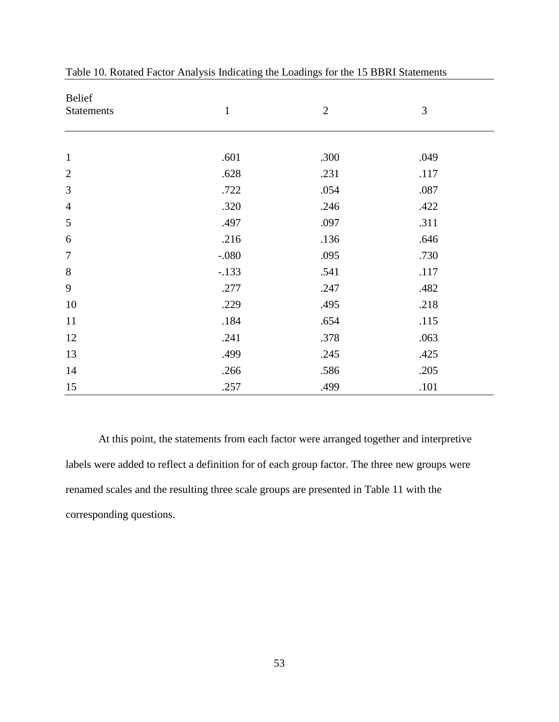| Belief            |              |                |      |
|-------------------|--------------|----------------|------|
| <b>Statements</b> | $\mathbf{1}$ | $\overline{2}$ | 3    |
|                   |              |                |      |
|                   |              |                |      |
| $\mathbf 1$       | .601         | .300           | .049 |
| $\overline{2}$    | .628         | .231           | .117 |
| 3                 | .722         | .054           | .087 |
| $\overline{4}$    | .320         | .246           | .422 |
| 5                 | .497         | .097           | .311 |
| 6                 | .216         | .136           | .646 |
| $\boldsymbol{7}$  | $-.080$      | .095           | .730 |
| 8                 | $-.133$      | .541           | .117 |
| 9                 | .277         | .247           | .482 |
| 10                | .229         | .495           | .218 |
| 11                | .184         | .654           | .115 |
| 12                | .241         | .378           | .063 |
| 13                | .499         | .245           | .425 |
| 14                | .266         | .586           | .205 |
| 15                | .257         | .499           | .101 |

Table 10. Rotated Factor Analysis Indicating the Loadings for the 15 BBRI Statements

At this point, the statements from each factor were arranged together and interpretive labels were added to reflect a definition for of each group factor. The three new groups were renamed scales and the resulting three scale groups are presented in Table 11 with the corresponding questions.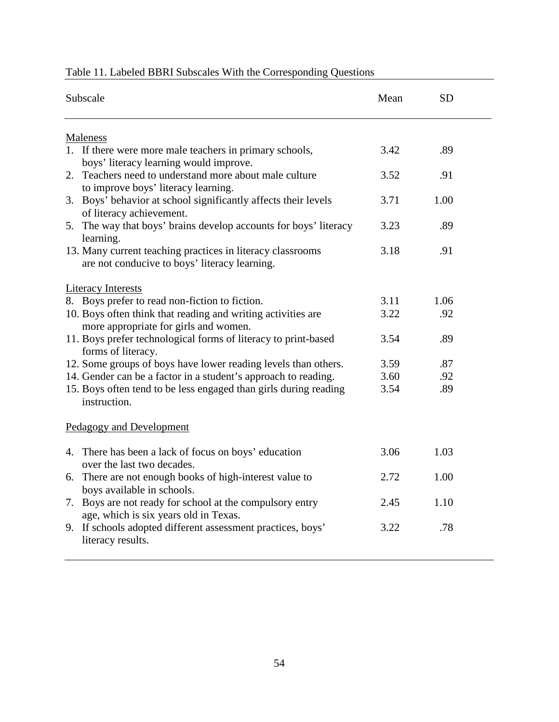| Subscale                                                                                                    | Mean | <b>SD</b> |  |
|-------------------------------------------------------------------------------------------------------------|------|-----------|--|
| <b>Maleness</b>                                                                                             |      |           |  |
| 1. If there were more male teachers in primary schools,<br>boys' literacy learning would improve.           | 3.42 | .89       |  |
| 2. Teachers need to understand more about male culture<br>to improve boys' literacy learning.               | 3.52 | .91       |  |
| 3. Boys' behavior at school significantly affects their levels<br>of literacy achievement.                  | 3.71 | 1.00      |  |
| 5. The way that boys' brains develop accounts for boys' literacy<br>learning.                               | 3.23 | .89       |  |
| 13. Many current teaching practices in literacy classrooms<br>are not conducive to boys' literacy learning. | 3.18 | .91       |  |
| <b>Literacy Interests</b>                                                                                   |      |           |  |
| 8. Boys prefer to read non-fiction to fiction.                                                              | 3.11 | 1.06      |  |
| 10. Boys often think that reading and writing activities are<br>more appropriate for girls and women.       | 3.22 | .92       |  |
| 11. Boys prefer technological forms of literacy to print-based<br>forms of literacy.                        | 3.54 | .89       |  |
| 12. Some groups of boys have lower reading levels than others.                                              | 3.59 | .87       |  |
| 14. Gender can be a factor in a student's approach to reading.                                              | 3.60 | .92       |  |
| 15. Boys often tend to be less engaged than girls during reading<br>instruction.                            | 3.54 | .89       |  |
| <b>Pedagogy and Development</b>                                                                             |      |           |  |
| 4. There has been a lack of focus on boys' education<br>over the last two decades.                          | 3.06 | 1.03      |  |
| 6. There are not enough books of high-interest value to<br>boys available in schools.                       | 2.72 | 1.00      |  |
| 7. Boys are not ready for school at the compulsory entry<br>age, which is six years old in Texas.           | 2.45 | 1.10      |  |
| 9. If schools adopted different assessment practices, boys'<br>literacy results.                            | 3.22 | .78       |  |

# Table 11. Labeled BBRI Subscales With the Corresponding Questions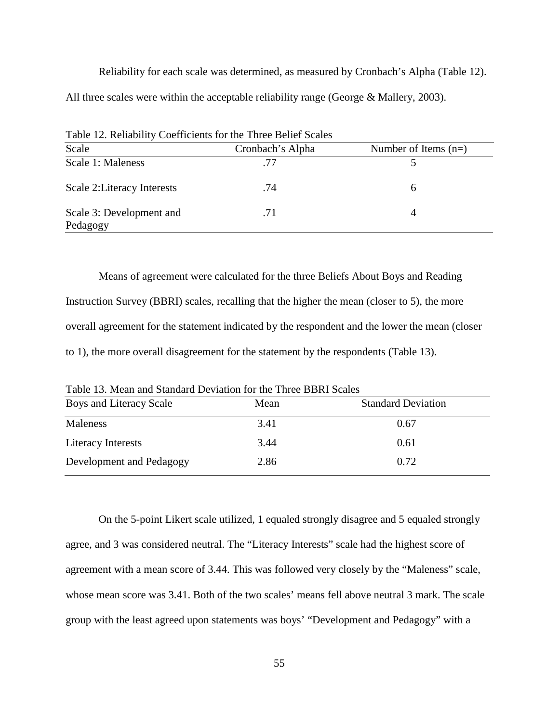Reliability for each scale was determined, as measured by Cronbach's Alpha (Table 12). All three scales were within the acceptable reliability range (George & Mallery, 2003).

| Table 12. Reliability Coefficients for the Three Belief Scales |                  |                        |  |  |  |
|----------------------------------------------------------------|------------------|------------------------|--|--|--|
| Scale                                                          | Cronbach's Alpha | Number of Items $(n=)$ |  |  |  |
| Scale 1: Maleness                                              | 77               |                        |  |  |  |
| Scale 2: Literacy Interests                                    | .74              | <sub>6</sub>           |  |  |  |
| Scale 3: Development and<br>Pedagogy                           | .71              | 4                      |  |  |  |

Means of agreement were calculated for the three Beliefs About Boys and Reading Instruction Survey (BBRI) scales, recalling that the higher the mean (closer to 5), the more overall agreement for the statement indicated by the respondent and the lower the mean (closer to 1), the more overall disagreement for the statement by the respondents (Table 13).

| Mean | <b>Standard Deviation</b> |  |  |  |
|------|---------------------------|--|--|--|
| 3.41 | 0.67                      |  |  |  |
| 3.44 | 0.61                      |  |  |  |
| 2.86 | 0.72                      |  |  |  |
|      |                           |  |  |  |

Table 13. Mean and Standard Deviation for the Three BBRI Scales

On the 5-point Likert scale utilized, 1 equaled strongly disagree and 5 equaled strongly agree, and 3 was considered neutral. The "Literacy Interests" scale had the highest score of agreement with a mean score of 3.44. This was followed very closely by the "Maleness" scale, whose mean score was 3.41. Both of the two scales' means fell above neutral 3 mark. The scale group with the least agreed upon statements was boys' "Development and Pedagogy" with a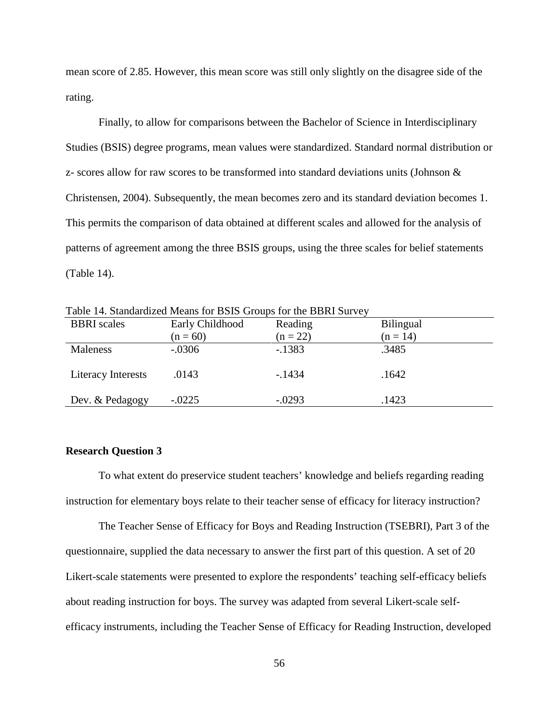mean score of 2.85. However, this mean score was still only slightly on the disagree side of the rating.

Finally, to allow for comparisons between the Bachelor of Science in Interdisciplinary Studies (BSIS) degree programs, mean values were standardized. Standard normal distribution or z- scores allow for raw scores to be transformed into standard deviations units (Johnson & Christensen, 2004). Subsequently, the mean becomes zero and its standard deviation becomes 1. This permits the comparison of data obtained at different scales and allowed for the analysis of patterns of agreement among the three BSIS groups, using the three scales for belief statements (Table 14).

|                    | Tuble I is build will be the unb for Dono Oroups for the DDRI but it |            |                  |
|--------------------|----------------------------------------------------------------------|------------|------------------|
| <b>BBRI</b> scales | Early Childhood                                                      | Reading    | <b>Bilingual</b> |
|                    | $(n = 60)$                                                           | $(n = 22)$ | $(n = 14)$       |
| Maleness           | $-.0306$                                                             | $-1383$    | .3485            |
|                    |                                                                      |            |                  |
| Literacy Interests | .0143                                                                | $-1434$    | .1642            |
|                    |                                                                      |            |                  |
| Dev. & Pedagogy    | $-.0225$                                                             | $-.0293$   | .1423            |

Table 14. Standardized Means for BSIS Groups for the BBRI Survey

# **Research Question 3**

To what extent do preservice student teachers' knowledge and beliefs regarding reading instruction for elementary boys relate to their teacher sense of efficacy for literacy instruction?

The Teacher Sense of Efficacy for Boys and Reading Instruction (TSEBRI), Part 3 of the questionnaire, supplied the data necessary to answer the first part of this question. A set of 20 Likert-scale statements were presented to explore the respondents' teaching self-efficacy beliefs about reading instruction for boys. The survey was adapted from several Likert-scale selfefficacy instruments, including the Teacher Sense of Efficacy for Reading Instruction, developed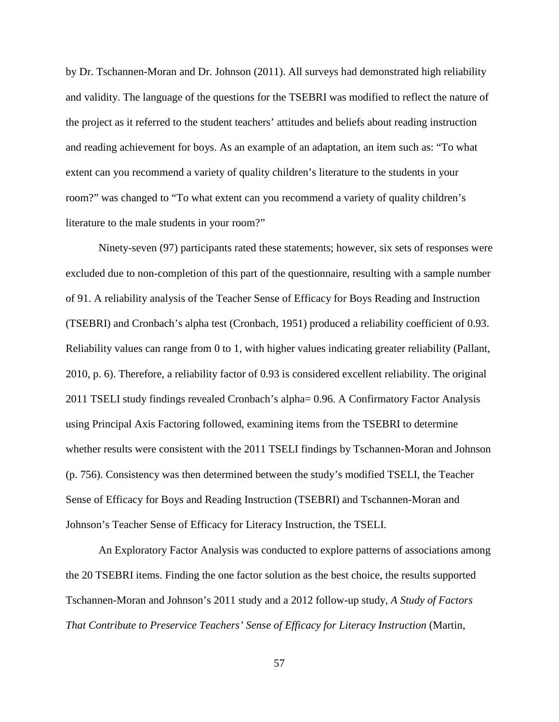by Dr. Tschannen-Moran and Dr. Johnson (2011). All surveys had demonstrated high reliability and validity. The language of the questions for the TSEBRI was modified to reflect the nature of the project as it referred to the student teachers' attitudes and beliefs about reading instruction and reading achievement for boys. As an example of an adaptation, an item such as: "To what extent can you recommend a variety of quality children's literature to the students in your room?" was changed to "To what extent can you recommend a variety of quality children's literature to the male students in your room?"

Ninety-seven (97) participants rated these statements; however, six sets of responses were excluded due to non-completion of this part of the questionnaire, resulting with a sample number of 91. A reliability analysis of the Teacher Sense of Efficacy for Boys Reading and Instruction (TSEBRI) and Cronbach's alpha test (Cronbach, 1951) produced a reliability coefficient of 0.93. Reliability values can range from 0 to 1, with higher values indicating greater reliability (Pallant, 2010, p. 6). Therefore, a reliability factor of 0.93 is considered excellent reliability. The original 2011 TSELI study findings revealed Cronbach's alpha= 0.96. A Confirmatory Factor Analysis using Principal Axis Factoring followed, examining items from the TSEBRI to determine whether results were consistent with the 2011 TSELI findings by Tschannen-Moran and Johnson (p. 756). Consistency was then determined between the study's modified TSELI, the Teacher Sense of Efficacy for Boys and Reading Instruction (TSEBRI) and Tschannen-Moran and Johnson's Teacher Sense of Efficacy for Literacy Instruction, the TSELI.

An Exploratory Factor Analysis was conducted to explore patterns of associations among the 20 TSEBRI items. Finding the one factor solution as the best choice, the results supported Tschannen-Moran and Johnson's 2011 study and a 2012 follow-up study, *A Study of Factors That Contribute to Preservice Teachers' Sense of Efficacy for Literacy Instruction* (Martin,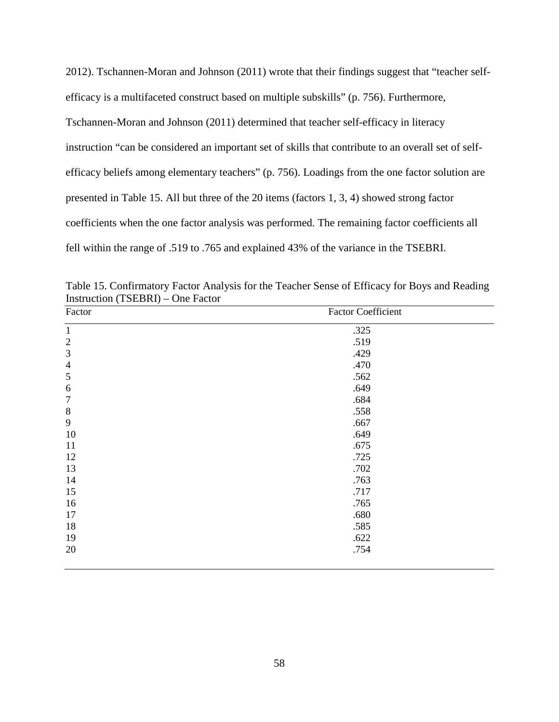2012). Tschannen-Moran and Johnson (2011) wrote that their findings suggest that "teacher selfefficacy is a multifaceted construct based on multiple subskills" (p. 756). Furthermore, Tschannen-Moran and Johnson (2011) determined that teacher self-efficacy in literacy instruction "can be considered an important set of skills that contribute to an overall set of selfefficacy beliefs among elementary teachers" (p. 756). Loadings from the one factor solution are presented in Table 15. All but three of the 20 items (factors 1, 3, 4) showed strong factor coefficients when the one factor analysis was performed. The remaining factor coefficients all fell within the range of .519 to .765 and explained 43% of the variance in the TSEBRI.

| Factor           | <b>Factor Coefficient</b> |  |
|------------------|---------------------------|--|
| $\mathbf{1}$     | .325                      |  |
| $\overline{2}$   | .519                      |  |
| $\mathfrak{Z}$   | .429                      |  |
| $\overline{4}$   | .470                      |  |
| $\mathfrak{S}$   | .562                      |  |
| 6                | .649                      |  |
| $\boldsymbol{7}$ | .684                      |  |
| $8\,$            | .558                      |  |
| 9                | .667                      |  |
| 10               | .649                      |  |
| 11               | .675                      |  |
| 12               | .725                      |  |
| 13               | .702                      |  |
| 14               | .763                      |  |
| 15               | .717                      |  |
| 16               | .765                      |  |
| 17               | .680                      |  |
| 18               | .585                      |  |
| 19               | .622                      |  |
| 20               | .754                      |  |
|                  |                           |  |

Table 15. Confirmatory Factor Analysis for the Teacher Sense of Efficacy for Boys and Reading Instruction (TSEBRI) – One Factor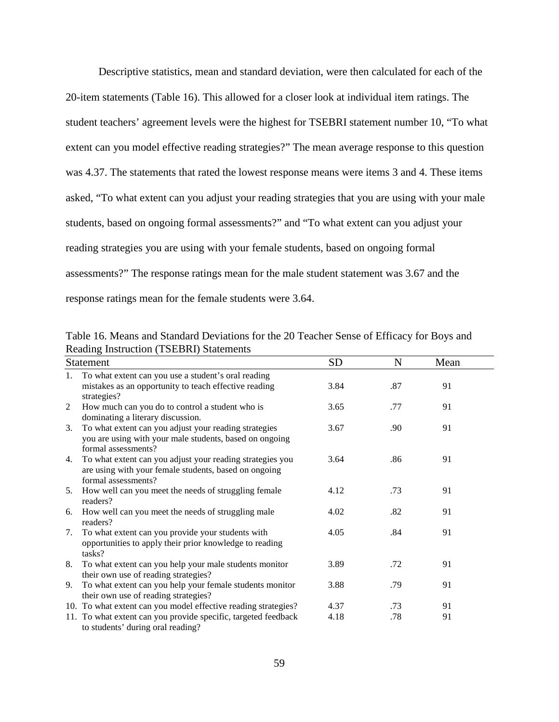Descriptive statistics, mean and standard deviation, were then calculated for each of the

20-item statements (Table 16). This allowed for a closer look at individual item ratings. The student teachers' agreement levels were the highest for TSEBRI statement number 10, "To what extent can you model effective reading strategies?" The mean average response to this question was 4.37. The statements that rated the lowest response means were items 3 and 4. These items asked, "To what extent can you adjust your reading strategies that you are using with your male students, based on ongoing formal assessments?" and "To what extent can you adjust your reading strategies you are using with your female students, based on ongoing formal assessments?" The response ratings mean for the male student statement was 3.67 and the response ratings mean for the female students were 3.64.

|    | <b>Statement</b>                                                                                                                        | <b>SD</b> | $\mathbf N$ | Mean |  |
|----|-----------------------------------------------------------------------------------------------------------------------------------------|-----------|-------------|------|--|
| 1. | To what extent can you use a student's oral reading                                                                                     |           |             |      |  |
|    | mistakes as an opportunity to teach effective reading<br>strategies?                                                                    | 3.84      | .87         | 91   |  |
| 2  | How much can you do to control a student who is                                                                                         | 3.65      | .77         | 91   |  |
|    | dominating a literary discussion.                                                                                                       |           |             |      |  |
| 3. | To what extent can you adjust your reading strategies<br>you are using with your male students, based on ongoing<br>formal assessments? | 3.67      | .90         | 91   |  |
| 4. | To what extent can you adjust your reading strategies you                                                                               | 3.64      | .86         | 91   |  |
|    | are using with your female students, based on ongoing<br>formal assessments?                                                            |           |             |      |  |
| 5. | How well can you meet the needs of struggling female<br>readers?                                                                        | 4.12      | .73         | 91   |  |
| 6. | How well can you meet the needs of struggling male<br>readers?                                                                          | 4.02      | .82         | 91   |  |
| 7. | To what extent can you provide your students with<br>opportunities to apply their prior knowledge to reading<br>tasks?                  | 4.05      | .84         | 91   |  |
| 8. | To what extent can you help your male students monitor<br>their own use of reading strategies?                                          | 3.89      | .72         | 91   |  |
| 9. | To what extent can you help your female students monitor<br>their own use of reading strategies?                                        | 3.88      | .79         | 91   |  |
|    | 10. To what extent can you model effective reading strategies?                                                                          | 4.37      | .73         | 91   |  |
|    | 11. To what extent can you provide specific, targeted feedback                                                                          | 4.18      | .78         | 91   |  |
|    | to students' during oral reading?                                                                                                       |           |             |      |  |

Table 16. Means and Standard Deviations for the 20 Teacher Sense of Efficacy for Boys and Reading Instruction (TSEBRI) Statements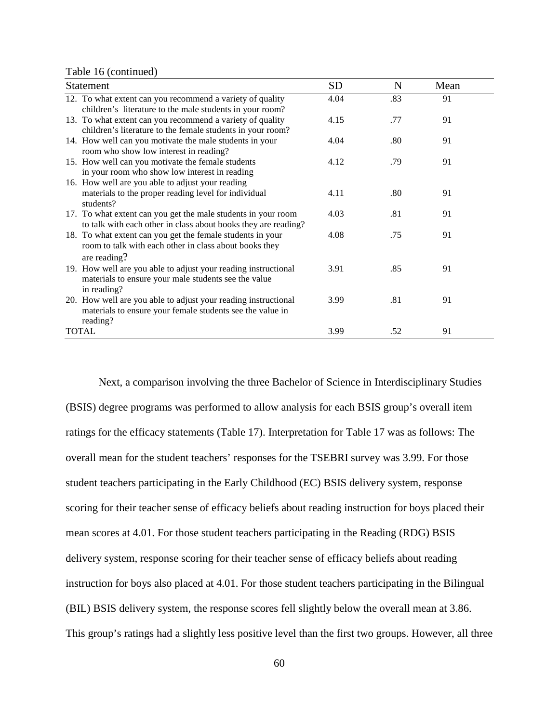Table 16 (continued)

| <b>Statement</b>                                                                                                                        | <b>SD</b> | N   | Mean |  |
|-----------------------------------------------------------------------------------------------------------------------------------------|-----------|-----|------|--|
| 12. To what extent can you recommend a variety of quality<br>children's literature to the male students in your room?                   | 4.04      | .83 | 91   |  |
| 13. To what extent can you recommend a variety of quality<br>children's literature to the female students in your room?                 | 4.15      | .77 | 91   |  |
| 14. How well can you motivate the male students in your<br>room who show low interest in reading?                                       | 4.04      | .80 | 91   |  |
| 15. How well can you motivate the female students<br>in your room who show low interest in reading                                      | 4.12      | .79 | 91   |  |
| 16. How well are you able to adjust your reading<br>materials to the proper reading level for individual<br>students?                   | 4.11      | .80 | 91   |  |
| 17. To what extent can you get the male students in your room<br>to talk with each other in class about books they are reading?         | 4.03      | .81 | 91   |  |
| 18. To what extent can you get the female students in your<br>room to talk with each other in class about books they<br>are reading?    | 4.08      | .75 | 91   |  |
| 19. How well are you able to adjust your reading instructional<br>materials to ensure your male students see the value<br>in reading?   | 3.91      | .85 | 91   |  |
| 20. How well are you able to adjust your reading instructional<br>materials to ensure your female students see the value in<br>reading? | 3.99      | .81 | 91   |  |
| <b>TOTAL</b>                                                                                                                            | 3.99      | .52 | 91   |  |

Next, a comparison involving the three Bachelor of Science in Interdisciplinary Studies (BSIS) degree programs was performed to allow analysis for each BSIS group's overall item ratings for the efficacy statements (Table 17). Interpretation for Table 17 was as follows: The overall mean for the student teachers' responses for the TSEBRI survey was 3.99. For those student teachers participating in the Early Childhood (EC) BSIS delivery system, response scoring for their teacher sense of efficacy beliefs about reading instruction for boys placed their mean scores at 4.01. For those student teachers participating in the Reading (RDG) BSIS delivery system, response scoring for their teacher sense of efficacy beliefs about reading instruction for boys also placed at 4.01. For those student teachers participating in the Bilingual (BIL) BSIS delivery system, the response scores fell slightly below the overall mean at 3.86. This group's ratings had a slightly less positive level than the first two groups. However, all three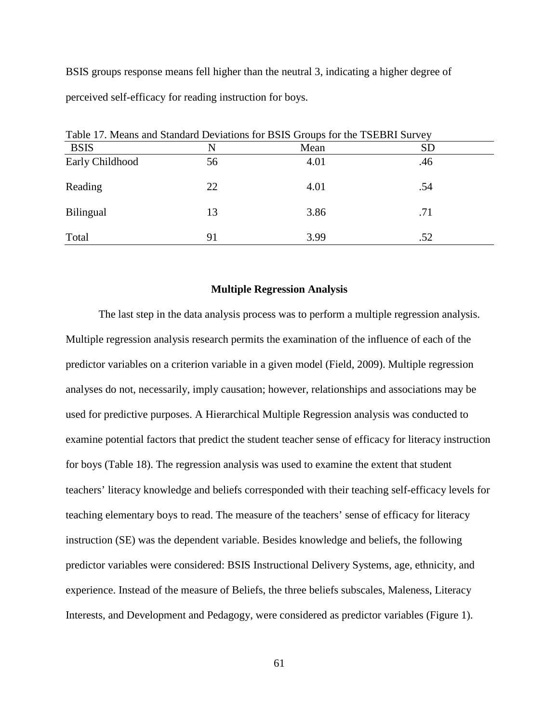BSIS groups response means fell higher than the neutral 3, indicating a higher degree of perceived self-efficacy for reading instruction for boys.

| Table 17. Means and Standard Deviations for BSIS Groups for the TSEBRI Survey |    |      |     |  |  |
|-------------------------------------------------------------------------------|----|------|-----|--|--|
| <b>BSIS</b>                                                                   | N  | Mean | SD  |  |  |
| Early Childhood                                                               | 56 | 4.01 | .46 |  |  |
| Reading                                                                       | 22 | 4.01 | .54 |  |  |
| <b>Bilingual</b>                                                              | 13 | 3.86 | .71 |  |  |
| Total                                                                         | 91 | 3.99 | .52 |  |  |

Table 17. Means and Standard Deviations for BSIS Groups for the TSEBRI Survey

## **Multiple Regression Analysis**

The last step in the data analysis process was to perform a multiple regression analysis. Multiple regression analysis research permits the examination of the influence of each of the predictor variables on a criterion variable in a given model (Field, 2009). Multiple regression analyses do not, necessarily, imply causation; however, relationships and associations may be used for predictive purposes. A Hierarchical Multiple Regression analysis was conducted to examine potential factors that predict the student teacher sense of efficacy for literacy instruction for boys (Table 18). The regression analysis was used to examine the extent that student teachers' literacy knowledge and beliefs corresponded with their teaching self-efficacy levels for teaching elementary boys to read. The measure of the teachers' sense of efficacy for literacy instruction (SE) was the dependent variable. Besides knowledge and beliefs, the following predictor variables were considered: BSIS Instructional Delivery Systems, age, ethnicity, and experience. Instead of the measure of Beliefs, the three beliefs subscales, Maleness, Literacy Interests, and Development and Pedagogy, were considered as predictor variables (Figure 1).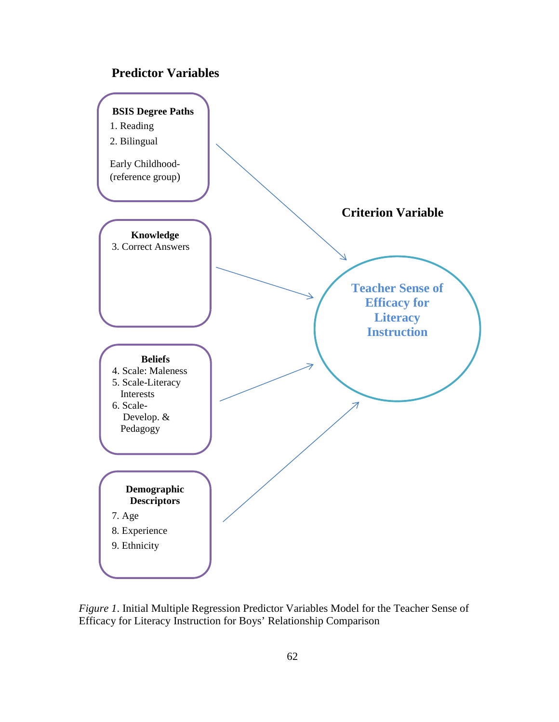# **Predictor Variables**



*Figure 1*. Initial Multiple Regression Predictor Variables Model for the Teacher Sense of Efficacy for Literacy Instruction for Boys' Relationship Comparison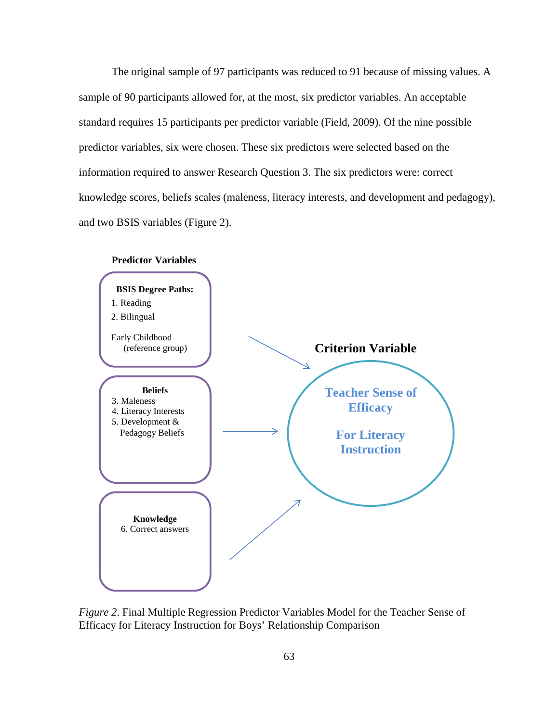The original sample of 97 participants was reduced to 91 because of missing values. A sample of 90 participants allowed for, at the most, six predictor variables. An acceptable standard requires 15 participants per predictor variable (Field, 2009). Of the nine possible predictor variables, six were chosen. These six predictors were selected based on the information required to answer Research Question 3. The six predictors were: correct knowledge scores, beliefs scales (maleness, literacy interests, and development and pedagogy), and two BSIS variables (Figure 2).



*Figure 2*. Final Multiple Regression Predictor Variables Model for the Teacher Sense of Efficacy for Literacy Instruction for Boys' Relationship Comparison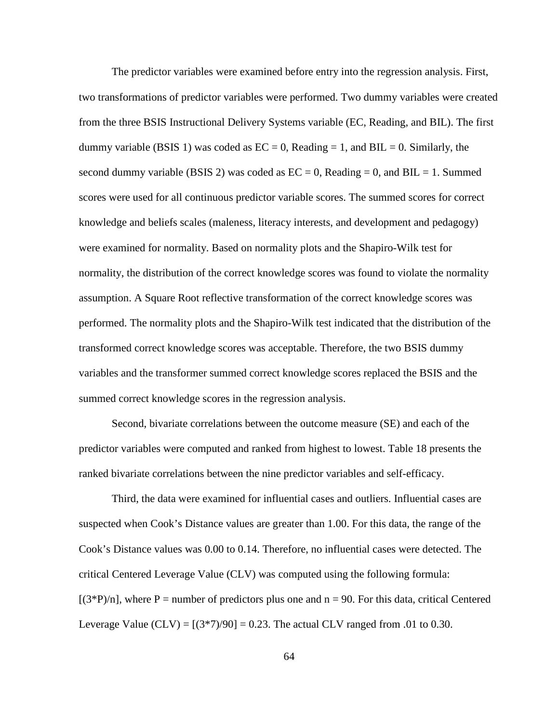The predictor variables were examined before entry into the regression analysis. First, two transformations of predictor variables were performed. Two dummy variables were created from the three BSIS Instructional Delivery Systems variable (EC, Reading, and BIL). The first dummy variable (BSIS 1) was coded as  $EC = 0$ , Reading  $= 1$ , and BIL  $= 0$ . Similarly, the second dummy variable (BSIS 2) was coded as  $EC = 0$ , Reading = 0, and BIL = 1. Summed scores were used for all continuous predictor variable scores. The summed scores for correct knowledge and beliefs scales (maleness, literacy interests, and development and pedagogy) were examined for normality. Based on normality plots and the Shapiro-Wilk test for normality, the distribution of the correct knowledge scores was found to violate the normality assumption. A Square Root reflective transformation of the correct knowledge scores was performed. The normality plots and the Shapiro-Wilk test indicated that the distribution of the transformed correct knowledge scores was acceptable. Therefore, the two BSIS dummy variables and the transformer summed correct knowledge scores replaced the BSIS and the summed correct knowledge scores in the regression analysis.

Second, bivariate correlations between the outcome measure (SE) and each of the predictor variables were computed and ranked from highest to lowest. Table 18 presents the ranked bivariate correlations between the nine predictor variables and self-efficacy.

Third, the data were examined for influential cases and outliers. Influential cases are suspected when Cook's Distance values are greater than 1.00. For this data, the range of the Cook's Distance values was 0.00 to 0.14. Therefore, no influential cases were detected. The critical Centered Leverage Value (CLV) was computed using the following formula:  $[(3*P)/n]$ , where P = number of predictors plus one and n = 90. For this data, critical Centered Leverage Value  $(CLV) = [(3*7)/90] = 0.23$ . The actual CLV ranged from .01 to 0.30.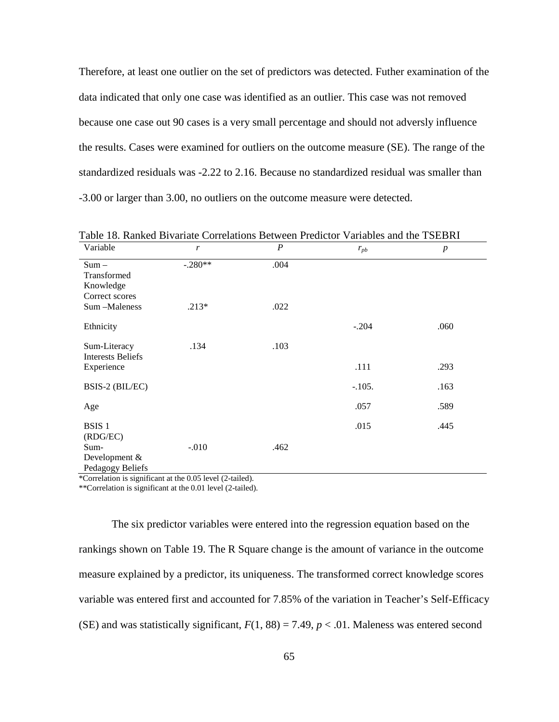Therefore, at least one outlier on the set of predictors was detected. Futher examination of the data indicated that only one case was identified as an outlier. This case was not removed because one case out 90 cases is a very small percentage and should not adversly influence the results. Cases were examined for outliers on the outcome measure (SE). The range of the standardized residuals was -2.22 to 2.16. Because no standardized residual was smaller than -3.00 or larger than 3.00, no outliers on the outcome measure were detected.

| Variable                                              | $\mathbf{r}$ | $\boldsymbol{P}$ | $r_{pb}$ | $\boldsymbol{p}$ |  |
|-------------------------------------------------------|--------------|------------------|----------|------------------|--|
| $Sum -$<br>Transformed<br>Knowledge<br>Correct scores | $-.280**$    | .004             |          |                  |  |
| Sum -Maleness                                         | $.213*$      | .022             |          |                  |  |
| Ethnicity                                             |              |                  | $-.204$  | .060             |  |
| Sum-Literacy<br><b>Interests Beliefs</b>              | .134         | .103             |          |                  |  |
| Experience                                            |              |                  | .111     | .293             |  |
| BSIS-2 (BIL/EC)                                       |              |                  | $-.105.$ | .163             |  |
| Age                                                   |              |                  | .057     | .589             |  |
| BSIS <sub>1</sub><br>(RDG/EC)                         |              |                  | .015     | .445             |  |
| Sum-<br>Development &<br>Pedagogy Beliefs             | $-.010$      | .462             |          |                  |  |

Table 18. Ranked Bivariate Correlations Between Predictor Variables and the TSEBRI

\*Correlation is significant at the 0.05 level (2-tailed).

\*\*Correlation is significant at the 0.01 level (2-tailed).

The six predictor variables were entered into the regression equation based on the rankings shown on Table 19. The R Square change is the amount of variance in the outcome measure explained by a predictor, its uniqueness. The transformed correct knowledge scores variable was entered first and accounted for 7.85% of the variation in Teacher's Self-Efficacy (SE) and was statistically significant,  $F(1, 88) = 7.49$ ,  $p < .01$ . Maleness was entered second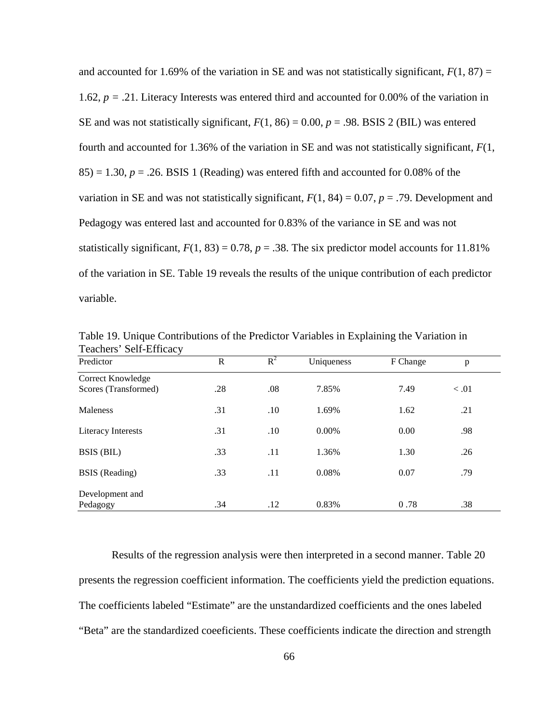and accounted for 1.69% of the variation in SE and was not statistically significant,  $F(1, 87) =$ 1.62,  $p = .21$ . Literacy Interests was entered third and accounted for 0.00% of the variation in SE and was not statistically significant,  $F(1, 86) = 0.00$ ,  $p = .98$ . BSIS 2 (BIL) was entered fourth and accounted for 1.36% of the variation in SE and was not statistically significant, *F*(1,  $85$ ) = 1.30,  $p = 0.26$ . BSIS 1 (Reading) was entered fifth and accounted for 0.08% of the variation in SE and was not statistically significant,  $F(1, 84) = 0.07$ ,  $p = .79$ . Development and Pedagogy was entered last and accounted for 0.83% of the variance in SE and was not statistically significant,  $F(1, 83) = 0.78$ ,  $p = .38$ . The six predictor model accounts for 11.81% of the variation in SE. Table 19 reveals the results of the unique contribution of each predictor variable.

| Teachers Self-Ellicacy |     |       |            |          |        |  |
|------------------------|-----|-------|------------|----------|--------|--|
| Predictor              | R   | $R^2$ | Uniqueness | F Change | p      |  |
| Correct Knowledge      |     |       |            |          |        |  |
| Scores (Transformed)   | .28 | .08   | 7.85%      | 7.49     | < 0.01 |  |
| Maleness               | .31 | .10   | 1.69%      | 1.62     | .21    |  |
| Literacy Interests     | .31 | .10   | $0.00\%$   | 0.00     | .98    |  |
| BSIS (BIL)             | .33 | .11   | 1.36%      | 1.30     | .26    |  |
| <b>BSIS</b> (Reading)  | .33 | .11   | 0.08%      | 0.07     | .79    |  |
| Development and        |     |       |            |          |        |  |
| Pedagogy               | .34 | .12   | 0.83%      | 0.78     | .38    |  |

Table 19. Unique Contributions of the Predictor Variables in Explaining the Variation in Teachers' Self-Efficacy

Results of the regression analysis were then interpreted in a second manner. Table 20 presents the regression coefficient information. The coefficients yield the prediction equations. The coefficients labeled "Estimate" are the unstandardized coefficients and the ones labeled "Beta" are the standardized coeeficients. These coefficients indicate the direction and strength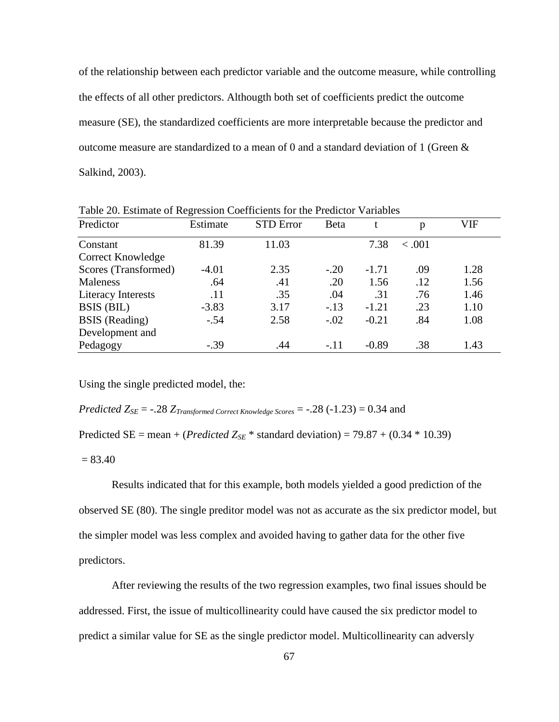of the relationship between each predictor variable and the outcome measure, while controlling the effects of all other predictors. Althougth both set of coefficients predict the outcome measure (SE), the standardized coefficients are more interpretable because the predictor and outcome measure are standardized to a mean of 0 and a standard deviation of 1 (Green & Salkind, 2003).

| Predictor             | Estimate | <b>STD</b> Error | <b>B</b> eta |         | p      | VIF  |
|-----------------------|----------|------------------|--------------|---------|--------|------|
| Constant              | 81.39    | 11.03            |              | 7.38    | < .001 |      |
| Correct Knowledge     |          |                  |              |         |        |      |
| Scores (Transformed)  | $-4.01$  | 2.35             | $-.20$       | $-1.71$ | .09    | 1.28 |
| Maleness              | .64      | .41              | .20          | 1.56    | .12    | 1.56 |
| Literacy Interests    | .11      | .35              | .04          | .31     | .76    | 1.46 |
| BSIS (BIL)            | $-3.83$  | 3.17             | $-.13$       | $-1.21$ | .23    | 1.10 |
| <b>BSIS</b> (Reading) | $-.54$   | 2.58             | $-.02$       | $-0.21$ | .84    | 1.08 |
| Development and       |          |                  |              |         |        |      |
| Pedagogy              | $-.39$   | .44              | $-.11$       | $-0.89$ | .38    | 1.43 |

Table 20. Estimate of Regression Coefficients for the Predictor Variables

Using the single predicted model, the:

*Predicted*  $Z_{SE}$  = -.28  $Z_{Transformed\ Correct\ Knowledge\ Score}$  = -.28 (-1.23) = 0.34 and

Predicted SE = mean + (*Predicted*  $Z_{SE}$ <sup>\*</sup> standard deviation) = 79.87 + (0.34 \* 10.39)

 $= 83.40$ 

Results indicated that for this example, both models yielded a good prediction of the observed SE (80). The single preditor model was not as accurate as the six predictor model, but the simpler model was less complex and avoided having to gather data for the other five predictors.

After reviewing the results of the two regression examples, two final issues should be addressed. First, the issue of multicollinearity could have caused the six predictor model to predict a similar value for SE as the single predictor model. Multicollinearity can adversly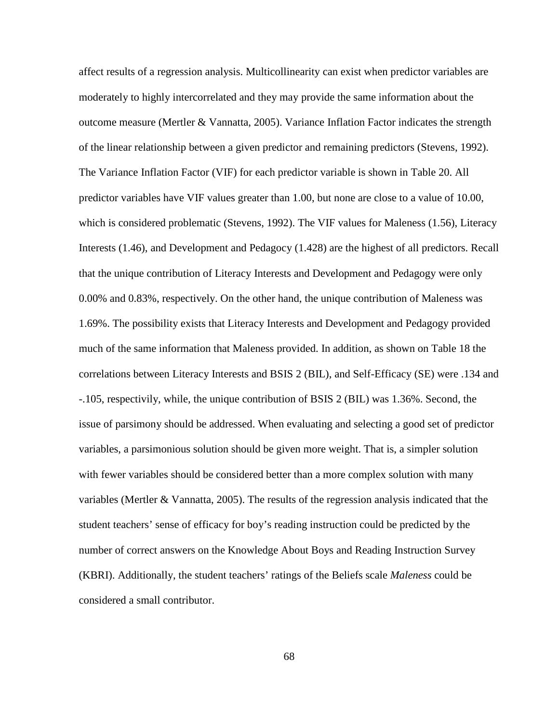affect results of a regression analysis. Multicollinearity can exist when predictor variables are moderately to highly intercorrelated and they may provide the same information about the outcome measure (Mertler & Vannatta, 2005). Variance Inflation Factor indicates the strength of the linear relationship between a given predictor and remaining predictors (Stevens, 1992). The Variance Inflation Factor (VIF) for each predictor variable is shown in Table 20. All predictor variables have VIF values greater than 1.00, but none are close to a value of 10.00, which is considered problematic (Stevens, 1992). The VIF values for Maleness (1.56), Literacy Interests (1.46), and Development and Pedagocy (1.428) are the highest of all predictors. Recall that the unique contribution of Literacy Interests and Development and Pedagogy were only 0.00% and 0.83%, respectively. On the other hand, the unique contribution of Maleness was 1.69%. The possibility exists that Literacy Interests and Development and Pedagogy provided much of the same information that Maleness provided. In addition, as shown on Table 18 the correlations between Literacy Interests and BSIS 2 (BIL), and Self-Efficacy (SE) were .134 and -.105, respectivily, while, the unique contribution of BSIS 2 (BIL) was 1.36%. Second, the issue of parsimony should be addressed. When evaluating and selecting a good set of predictor variables, a parsimonious solution should be given more weight. That is, a simpler solution with fewer variables should be considered better than a more complex solution with many variables (Mertler & Vannatta, 2005). The results of the regression analysis indicated that the student teachers' sense of efficacy for boy's reading instruction could be predicted by the number of correct answers on the Knowledge About Boys and Reading Instruction Survey (KBRI). Additionally, the student teachers' ratings of the Beliefs scale *Maleness* could be considered a small contributor.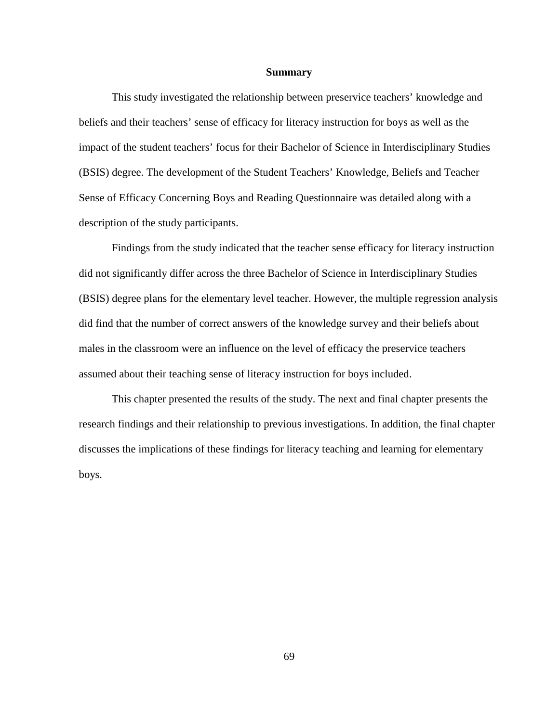#### **Summary**

This study investigated the relationship between preservice teachers' knowledge and beliefs and their teachers' sense of efficacy for literacy instruction for boys as well as the impact of the student teachers' focus for their Bachelor of Science in Interdisciplinary Studies (BSIS) degree. The development of the Student Teachers' Knowledge, Beliefs and Teacher Sense of Efficacy Concerning Boys and Reading Questionnaire was detailed along with a description of the study participants.

Findings from the study indicated that the teacher sense efficacy for literacy instruction did not significantly differ across the three Bachelor of Science in Interdisciplinary Studies (BSIS) degree plans for the elementary level teacher. However, the multiple regression analysis did find that the number of correct answers of the knowledge survey and their beliefs about males in the classroom were an influence on the level of efficacy the preservice teachers assumed about their teaching sense of literacy instruction for boys included.

This chapter presented the results of the study. The next and final chapter presents the research findings and their relationship to previous investigations. In addition, the final chapter discusses the implications of these findings for literacy teaching and learning for elementary boys.

69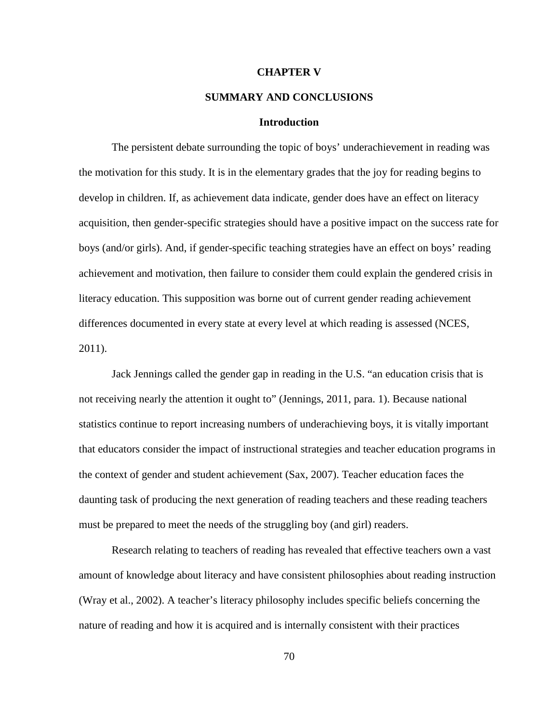#### **CHAPTER V**

# **SUMMARY AND CONCLUSIONS**

## **Introduction**

The persistent debate surrounding the topic of boys' underachievement in reading was the motivation for this study. It is in the elementary grades that the joy for reading begins to develop in children. If, as achievement data indicate, gender does have an effect on literacy acquisition, then gender-specific strategies should have a positive impact on the success rate for boys (and/or girls). And, if gender-specific teaching strategies have an effect on boys' reading achievement and motivation, then failure to consider them could explain the gendered crisis in literacy education. This supposition was borne out of current gender reading achievement differences documented in every state at every level at which reading is assessed (NCES, 2011).

Jack Jennings called the gender gap in reading in the U.S. "an education crisis that is not receiving nearly the attention it ought to" (Jennings, 2011, para. 1). Because national statistics continue to report increasing numbers of underachieving boys, it is vitally important that educators consider the impact of instructional strategies and teacher education programs in the context of gender and student achievement (Sax, 2007). Teacher education faces the daunting task of producing the next generation of reading teachers and these reading teachers must be prepared to meet the needs of the struggling boy (and girl) readers.

Research relating to teachers of reading has revealed that effective teachers own a vast amount of knowledge about literacy and have consistent philosophies about reading instruction (Wray et al., 2002). A teacher's literacy philosophy includes specific beliefs concerning the nature of reading and how it is acquired and is internally consistent with their practices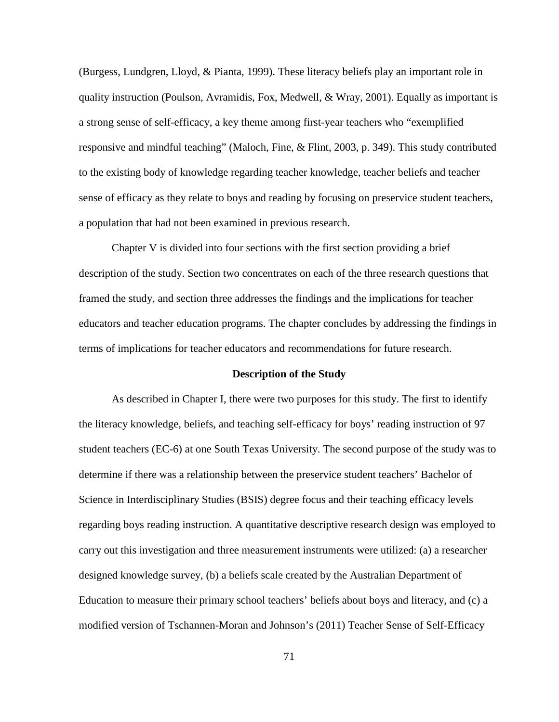(Burgess, Lundgren, Lloyd, & Pianta, 1999). These literacy beliefs play an important role in quality instruction (Poulson, Avramidis, Fox, Medwell, & Wray, 2001). Equally as important is a strong sense of self-efficacy, a key theme among first-year teachers who "exemplified responsive and mindful teaching" (Maloch, Fine, & Flint, 2003, p. 349). This study contributed to the existing body of knowledge regarding teacher knowledge, teacher beliefs and teacher sense of efficacy as they relate to boys and reading by focusing on preservice student teachers, a population that had not been examined in previous research.

Chapter V is divided into four sections with the first section providing a brief description of the study. Section two concentrates on each of the three research questions that framed the study, and section three addresses the findings and the implications for teacher educators and teacher education programs. The chapter concludes by addressing the findings in terms of implications for teacher educators and recommendations for future research.

#### **Description of the Study**

As described in Chapter I, there were two purposes for this study. The first to identify the literacy knowledge, beliefs, and teaching self-efficacy for boys' reading instruction of 97 student teachers (EC-6) at one South Texas University. The second purpose of the study was to determine if there was a relationship between the preservice student teachers' Bachelor of Science in Interdisciplinary Studies (BSIS) degree focus and their teaching efficacy levels regarding boys reading instruction. A quantitative descriptive research design was employed to carry out this investigation and three measurement instruments were utilized: (a) a researcher designed knowledge survey, (b) a beliefs scale created by the Australian Department of Education to measure their primary school teachers' beliefs about boys and literacy, and (c) a modified version of Tschannen-Moran and Johnson's (2011) Teacher Sense of Self-Efficacy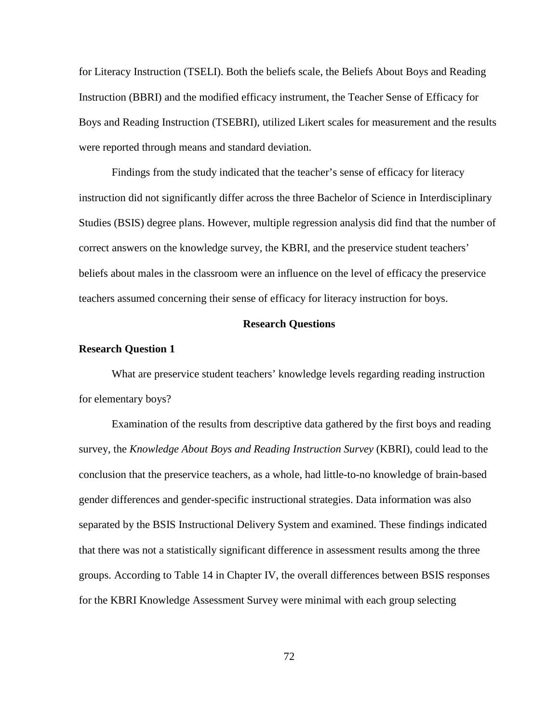for Literacy Instruction (TSELI). Both the beliefs scale, the Beliefs About Boys and Reading Instruction (BBRI) and the modified efficacy instrument, the Teacher Sense of Efficacy for Boys and Reading Instruction (TSEBRI), utilized Likert scales for measurement and the results were reported through means and standard deviation.

Findings from the study indicated that the teacher's sense of efficacy for literacy instruction did not significantly differ across the three Bachelor of Science in Interdisciplinary Studies (BSIS) degree plans. However, multiple regression analysis did find that the number of correct answers on the knowledge survey, the KBRI, and the preservice student teachers' beliefs about males in the classroom were an influence on the level of efficacy the preservice teachers assumed concerning their sense of efficacy for literacy instruction for boys.

#### **Research Questions**

## **Research Question 1**

What are preservice student teachers' knowledge levels regarding reading instruction for elementary boys?

Examination of the results from descriptive data gathered by the first boys and reading survey, the *Knowledge About Boys and Reading Instruction Survey* (KBRI), could lead to the conclusion that the preservice teachers, as a whole, had little-to-no knowledge of brain-based gender differences and gender-specific instructional strategies. Data information was also separated by the BSIS Instructional Delivery System and examined. These findings indicated that there was not a statistically significant difference in assessment results among the three groups. According to Table 14 in Chapter IV, the overall differences between BSIS responses for the KBRI Knowledge Assessment Survey were minimal with each group selecting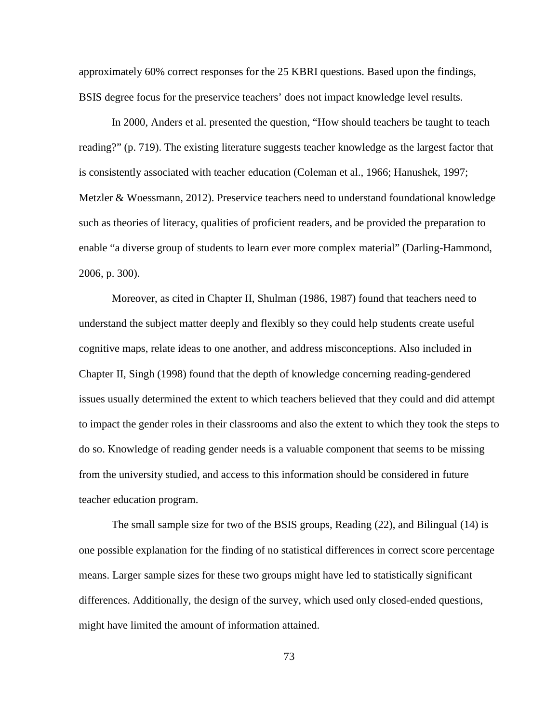approximately 60% correct responses for the 25 KBRI questions. Based upon the findings, BSIS degree focus for the preservice teachers' does not impact knowledge level results.

In 2000, Anders et al. presented the question, "How should teachers be taught to teach reading?" (p. 719). The existing literature suggests teacher knowledge as the largest factor that is consistently associated with teacher education (Coleman et al., 1966; Hanushek, 1997; Metzler & Woessmann, 2012). Preservice teachers need to understand foundational knowledge such as theories of literacy, qualities of proficient readers, and be provided the preparation to enable "a diverse group of students to learn ever more complex material" (Darling-Hammond, 2006, p. 300).

Moreover, as cited in Chapter II, Shulman (1986, 1987) found that teachers need to understand the subject matter deeply and flexibly so they could help students create useful cognitive maps, relate ideas to one another, and address misconceptions. Also included in Chapter II, Singh (1998) found that the depth of knowledge concerning reading-gendered issues usually determined the extent to which teachers believed that they could and did attempt to impact the gender roles in their classrooms and also the extent to which they took the steps to do so. Knowledge of reading gender needs is a valuable component that seems to be missing from the university studied, and access to this information should be considered in future teacher education program.

The small sample size for two of the BSIS groups, Reading (22), and Bilingual (14) is one possible explanation for the finding of no statistical differences in correct score percentage means. Larger sample sizes for these two groups might have led to statistically significant differences. Additionally, the design of the survey, which used only closed-ended questions, might have limited the amount of information attained.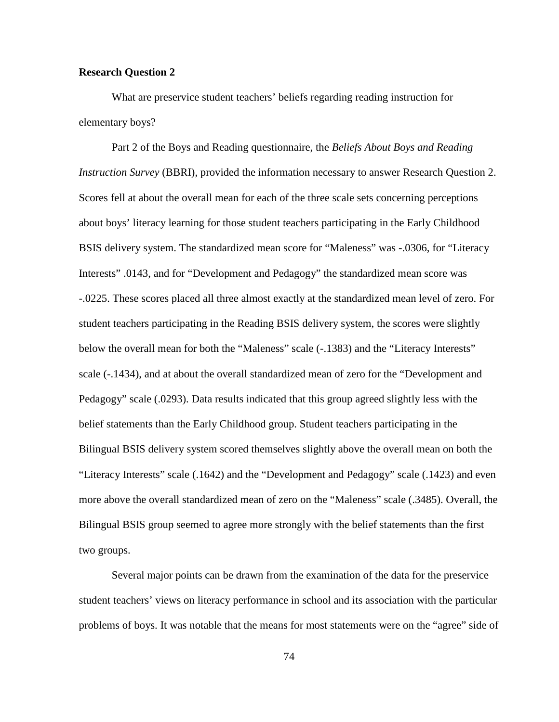## **Research Question 2**

What are preservice student teachers' beliefs regarding reading instruction for elementary boys?

Part 2 of the Boys and Reading questionnaire, the *Beliefs About Boys and Reading Instruction Survey* (BBRI), provided the information necessary to answer Research Question 2. Scores fell at about the overall mean for each of the three scale sets concerning perceptions about boys' literacy learning for those student teachers participating in the Early Childhood BSIS delivery system. The standardized mean score for "Maleness" was -.0306, for "Literacy Interests" .0143, and for "Development and Pedagogy" the standardized mean score was -.0225. These scores placed all three almost exactly at the standardized mean level of zero. For student teachers participating in the Reading BSIS delivery system, the scores were slightly below the overall mean for both the "Maleness" scale (-.1383) and the "Literacy Interests" scale (-.1434), and at about the overall standardized mean of zero for the "Development and Pedagogy" scale (.0293). Data results indicated that this group agreed slightly less with the belief statements than the Early Childhood group. Student teachers participating in the Bilingual BSIS delivery system scored themselves slightly above the overall mean on both the "Literacy Interests" scale (.1642) and the "Development and Pedagogy" scale (.1423) and even more above the overall standardized mean of zero on the "Maleness" scale (.3485). Overall, the Bilingual BSIS group seemed to agree more strongly with the belief statements than the first two groups.

Several major points can be drawn from the examination of the data for the preservice student teachers' views on literacy performance in school and its association with the particular problems of boys. It was notable that the means for most statements were on the "agree" side of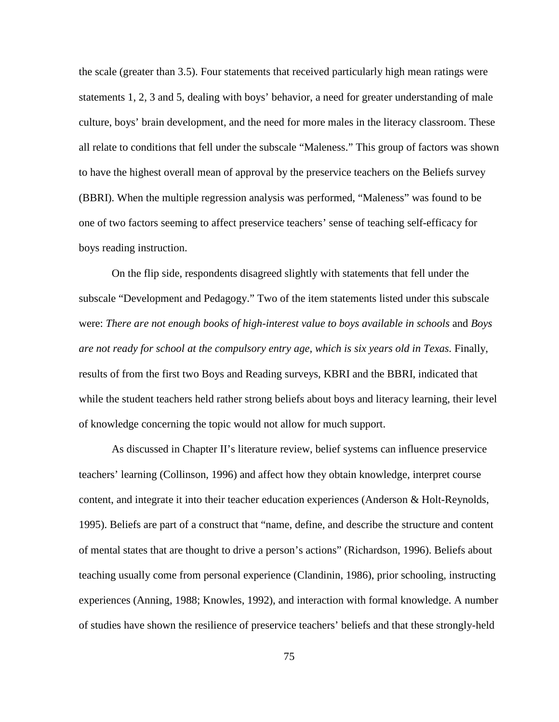the scale (greater than 3.5). Four statements that received particularly high mean ratings were statements 1, 2, 3 and 5, dealing with boys' behavior, a need for greater understanding of male culture, boys' brain development, and the need for more males in the literacy classroom. These all relate to conditions that fell under the subscale "Maleness." This group of factors was shown to have the highest overall mean of approval by the preservice teachers on the Beliefs survey (BBRI). When the multiple regression analysis was performed, "Maleness" was found to be one of two factors seeming to affect preservice teachers' sense of teaching self-efficacy for boys reading instruction.

On the flip side, respondents disagreed slightly with statements that fell under the subscale "Development and Pedagogy." Two of the item statements listed under this subscale were: *There are not enough books of high-interest value to boys available in schools* and *Boys are not ready for school at the compulsory entry age, which is six years old in Texas.* Finally, results of from the first two Boys and Reading surveys, KBRI and the BBRI, indicated that while the student teachers held rather strong beliefs about boys and literacy learning, their level of knowledge concerning the topic would not allow for much support.

As discussed in Chapter II's literature review, belief systems can influence preservice teachers' learning (Collinson, 1996) and affect how they obtain knowledge, interpret course content, and integrate it into their teacher education experiences (Anderson & Holt-Reynolds, 1995). Beliefs are part of a construct that "name, define, and describe the structure and content of mental states that are thought to drive a person's actions" (Richardson, 1996). Beliefs about teaching usually come from personal experience (Clandinin, 1986), prior schooling, instructing experiences (Anning, 1988; Knowles, 1992), and interaction with formal knowledge. A number of studies have shown the resilience of preservice teachers' beliefs and that these strongly-held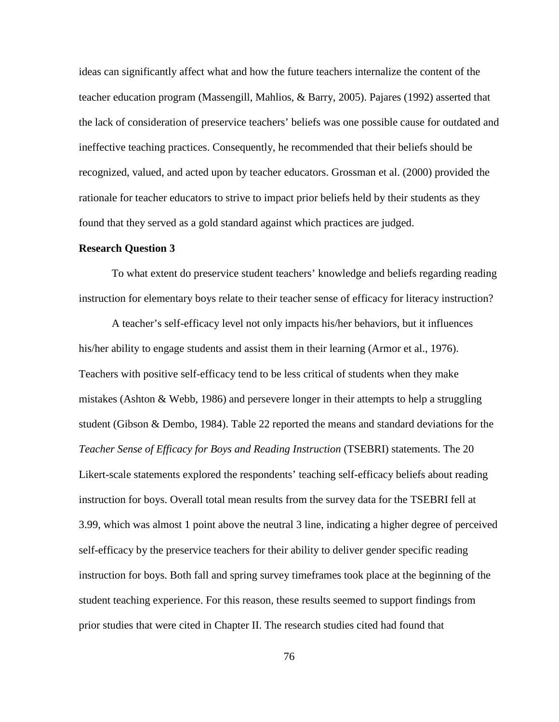ideas can significantly affect what and how the future teachers internalize the content of the teacher education program (Massengill, Mahlios, & Barry, 2005). Pajares (1992) asserted that the lack of consideration of preservice teachers' beliefs was one possible cause for outdated and ineffective teaching practices. Consequently, he recommended that their beliefs should be recognized, valued, and acted upon by teacher educators. Grossman et al. (2000) provided the rationale for teacher educators to strive to impact prior beliefs held by their students as they found that they served as a gold standard against which practices are judged.

#### **Research Question 3**

To what extent do preservice student teachers' knowledge and beliefs regarding reading instruction for elementary boys relate to their teacher sense of efficacy for literacy instruction?

A teacher's self-efficacy level not only impacts his/her behaviors, but it influences his/her ability to engage students and assist them in their learning (Armor et al., 1976). Teachers with positive self-efficacy tend to be less critical of students when they make mistakes (Ashton & Webb, 1986) and persevere longer in their attempts to help a struggling student (Gibson & Dembo, 1984). Table 22 reported the means and standard deviations for the *Teacher Sense of Efficacy for Boys and Reading Instruction* (TSEBRI) statements. The 20 Likert-scale statements explored the respondents' teaching self-efficacy beliefs about reading instruction for boys. Overall total mean results from the survey data for the TSEBRI fell at 3.99, which was almost 1 point above the neutral 3 line, indicating a higher degree of perceived self-efficacy by the preservice teachers for their ability to deliver gender specific reading instruction for boys. Both fall and spring survey timeframes took place at the beginning of the student teaching experience. For this reason, these results seemed to support findings from prior studies that were cited in Chapter II. The research studies cited had found that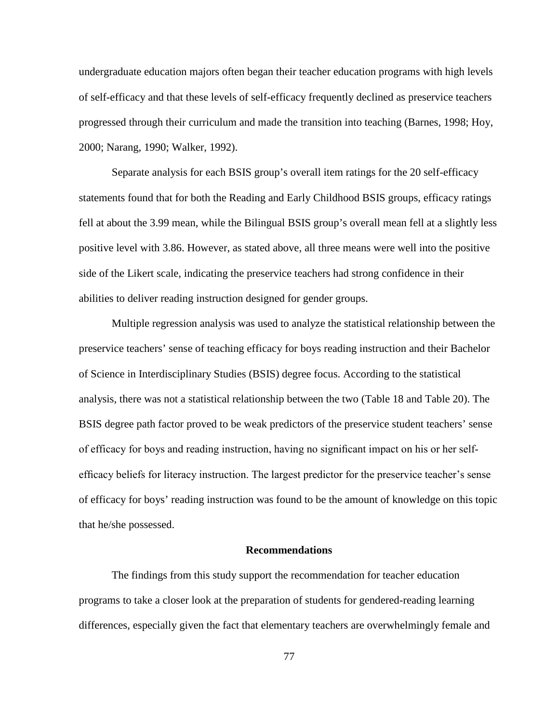undergraduate education majors often began their teacher education programs with high levels of self-efficacy and that these levels of self-efficacy frequently declined as preservice teachers progressed through their curriculum and made the transition into teaching (Barnes, 1998; Hoy, 2000; Narang, 1990; Walker, 1992).

Separate analysis for each BSIS group's overall item ratings for the 20 self-efficacy statements found that for both the Reading and Early Childhood BSIS groups, efficacy ratings fell at about the 3.99 mean, while the Bilingual BSIS group's overall mean fell at a slightly less positive level with 3.86. However, as stated above, all three means were well into the positive side of the Likert scale, indicating the preservice teachers had strong confidence in their abilities to deliver reading instruction designed for gender groups.

Multiple regression analysis was used to analyze the statistical relationship between the preservice teachers' sense of teaching efficacy for boys reading instruction and their Bachelor of Science in Interdisciplinary Studies (BSIS) degree focus. According to the statistical analysis, there was not a statistical relationship between the two (Table 18 and Table 20). The BSIS degree path factor proved to be weak predictors of the preservice student teachers' sense of efficacy for boys and reading instruction, having no significant impact on his or her selfefficacy beliefs for literacy instruction. The largest predictor for the preservice teacher's sense of efficacy for boys' reading instruction was found to be the amount of knowledge on this topic that he/she possessed.

## **Recommendations**

The findings from this study support the recommendation for teacher education programs to take a closer look at the preparation of students for gendered-reading learning differences, especially given the fact that elementary teachers are overwhelmingly female and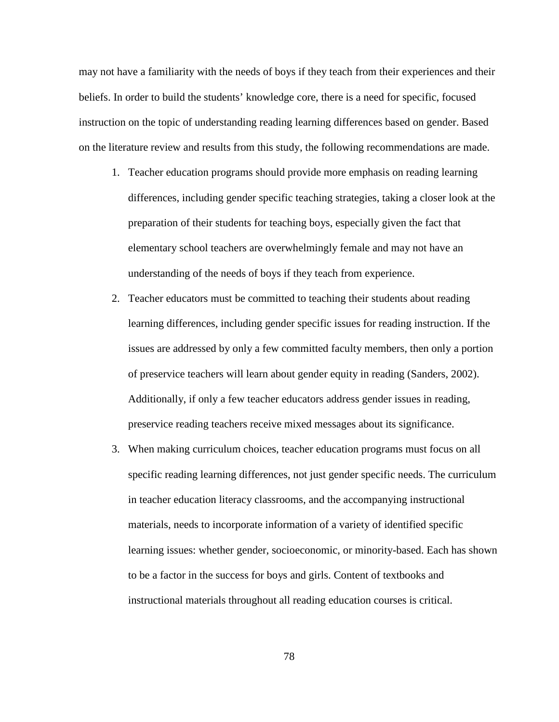may not have a familiarity with the needs of boys if they teach from their experiences and their beliefs. In order to build the students' knowledge core, there is a need for specific, focused instruction on the topic of understanding reading learning differences based on gender. Based on the literature review and results from this study, the following recommendations are made.

- 1. Teacher education programs should provide more emphasis on reading learning differences, including gender specific teaching strategies, taking a closer look at the preparation of their students for teaching boys, especially given the fact that elementary school teachers are overwhelmingly female and may not have an understanding of the needs of boys if they teach from experience.
- 2. Teacher educators must be committed to teaching their students about reading learning differences, including gender specific issues for reading instruction. If the issues are addressed by only a few committed faculty members, then only a portion of preservice teachers will learn about gender equity in reading (Sanders, 2002). Additionally, if only a few teacher educators address gender issues in reading, preservice reading teachers receive mixed messages about its significance.
- 3. When making curriculum choices, teacher education programs must focus on all specific reading learning differences, not just gender specific needs. The curriculum in teacher education literacy classrooms, and the accompanying instructional materials, needs to incorporate information of a variety of identified specific learning issues: whether gender, socioeconomic, or minority-based. Each has shown to be a factor in the success for boys and girls. Content of textbooks and instructional materials throughout all reading education courses is critical.

78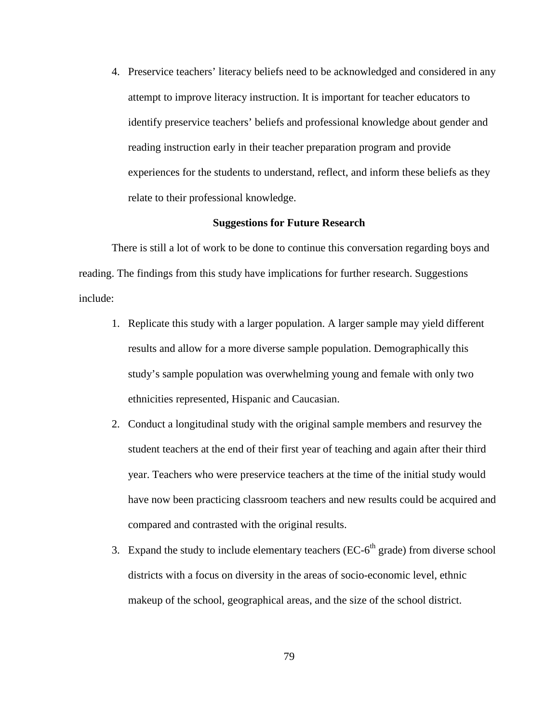4. Preservice teachers' literacy beliefs need to be acknowledged and considered in any attempt to improve literacy instruction. It is important for teacher educators to identify preservice teachers' beliefs and professional knowledge about gender and reading instruction early in their teacher preparation program and provide experiences for the students to understand, reflect, and inform these beliefs as they relate to their professional knowledge.

## **Suggestions for Future Research**

There is still a lot of work to be done to continue this conversation regarding boys and reading. The findings from this study have implications for further research. Suggestions include:

- 1. Replicate this study with a larger population. A larger sample may yield different results and allow for a more diverse sample population. Demographically this study's sample population was overwhelming young and female with only two ethnicities represented, Hispanic and Caucasian.
- 2. Conduct a longitudinal study with the original sample members and resurvey the student teachers at the end of their first year of teaching and again after their third year. Teachers who were preservice teachers at the time of the initial study would have now been practicing classroom teachers and new results could be acquired and compared and contrasted with the original results.
- 3. Expand the study to include elementary teachers ( $EC-6<sup>th</sup>$  grade) from diverse school districts with a focus on diversity in the areas of socio-economic level, ethnic makeup of the school, geographical areas, and the size of the school district.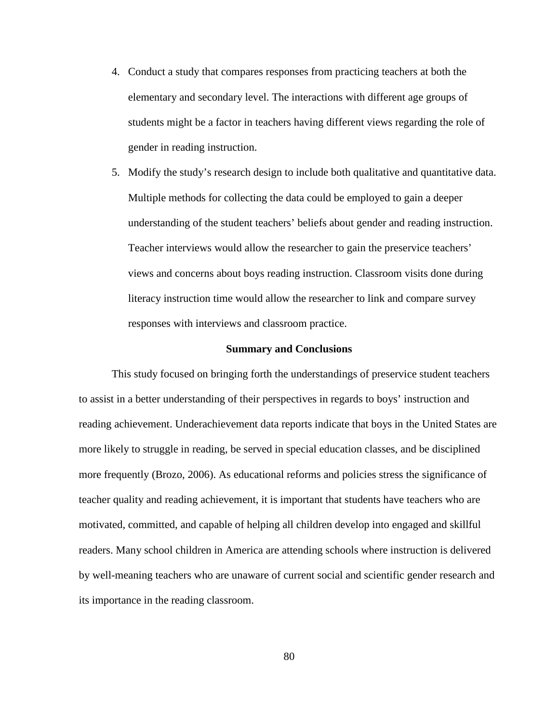- 4. Conduct a study that compares responses from practicing teachers at both the elementary and secondary level. The interactions with different age groups of students might be a factor in teachers having different views regarding the role of gender in reading instruction.
- 5. Modify the study's research design to include both qualitative and quantitative data. Multiple methods for collecting the data could be employed to gain a deeper understanding of the student teachers' beliefs about gender and reading instruction. Teacher interviews would allow the researcher to gain the preservice teachers' views and concerns about boys reading instruction. Classroom visits done during literacy instruction time would allow the researcher to link and compare survey responses with interviews and classroom practice.

#### **Summary and Conclusions**

This study focused on bringing forth the understandings of preservice student teachers to assist in a better understanding of their perspectives in regards to boys' instruction and reading achievement. Underachievement data reports indicate that boys in the United States are more likely to struggle in reading, be served in special education classes, and be disciplined more frequently (Brozo, 2006). As educational reforms and policies stress the significance of teacher quality and reading achievement, it is important that students have teachers who are motivated, committed, and capable of helping all children develop into engaged and skillful readers. Many school children in America are attending schools where instruction is delivered by well-meaning teachers who are unaware of current social and scientific gender research and its importance in the reading classroom.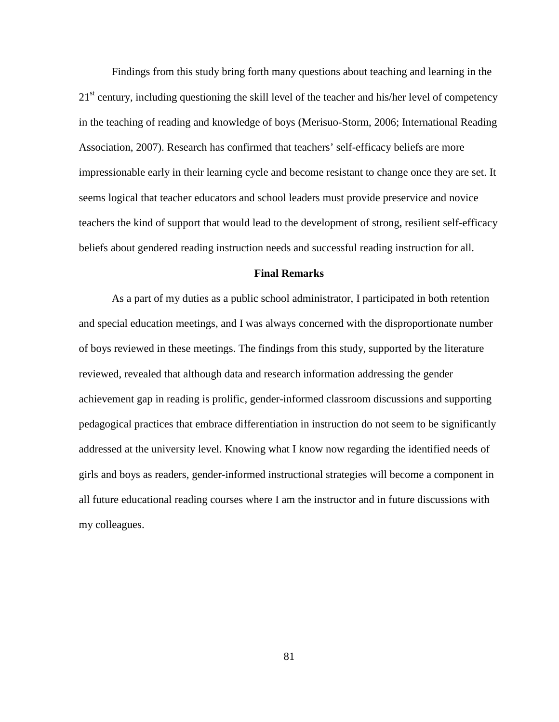Findings from this study bring forth many questions about teaching and learning in the 21<sup>st</sup> century, including questioning the skill level of the teacher and his/her level of competency in the teaching of reading and knowledge of boys (Merisuo-Storm, 2006; International Reading Association, 2007). Research has confirmed that teachers' self-efficacy beliefs are more impressionable early in their learning cycle and become resistant to change once they are set. It seems logical that teacher educators and school leaders must provide preservice and novice teachers the kind of support that would lead to the development of strong, resilient self-efficacy beliefs about gendered reading instruction needs and successful reading instruction for all.

## **Final Remarks**

As a part of my duties as a public school administrator, I participated in both retention and special education meetings, and I was always concerned with the disproportionate number of boys reviewed in these meetings. The findings from this study, supported by the literature reviewed, revealed that although data and research information addressing the gender achievement gap in reading is prolific, gender-informed classroom discussions and supporting pedagogical practices that embrace differentiation in instruction do not seem to be significantly addressed at the university level. Knowing what I know now regarding the identified needs of girls and boys as readers, gender-informed instructional strategies will become a component in all future educational reading courses where I am the instructor and in future discussions with my colleagues.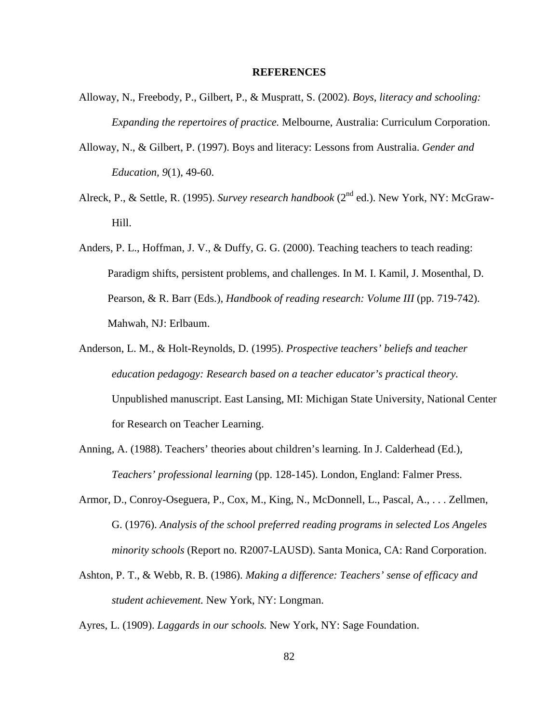#### **REFERENCES**

- Alloway, N., Freebody, P., Gilbert, P., & Muspratt, S. (2002). *Boys, literacy and schooling: Expanding the repertoires of practice.* Melbourne, Australia: Curriculum Corporation.
- Alloway, N., & Gilbert, P. (1997). Boys and literacy: Lessons from Australia. *Gender and Education, 9*(1), 49-60.
- Alreck, P., & Settle, R. (1995). *Survey research handbook* (2<sup>nd</sup> ed.). New York, NY: McGraw-Hill.
- Anders, P. L., Hoffman, J. V., & Duffy, G. G. (2000). Teaching teachers to teach reading: Paradigm shifts, persistent problems, and challenges. In M. I. Kamil, J. Mosenthal, D. Pearson, & R. Barr (Eds.), *Handbook of reading research: Volume III* (pp. 719-742). Mahwah, NJ: Erlbaum.
- Anderson, L. M., & Holt-Reynolds, D. (1995). *Prospective teachers' beliefs and teacher education pedagogy: Research based on a teacher educator's practical theory.* Unpublished manuscript. East Lansing, MI: Michigan State University, National Center for Research on Teacher Learning.
- Anning, A. (1988). Teachers' theories about children's learning. In J. Calderhead (Ed.), *Teachers' professional learning* (pp. 128-145). London, England: Falmer Press.
- Armor, D., Conroy-Oseguera, P., Cox, M., King, N., McDonnell, L., Pascal, A., . . . Zellmen, G. (1976). *Analysis of the school preferred reading programs in selected Los Angeles minority schools* (Report no. R2007-LAUSD). Santa Monica, CA: Rand Corporation.
- Ashton, P. T., & Webb, R. B. (1986). *Making a difference: Teachers' sense of efficacy and student achievement.* New York, NY: Longman.

Ayres, L. (1909). *Laggards in our schools.* New York, NY: Sage Foundation.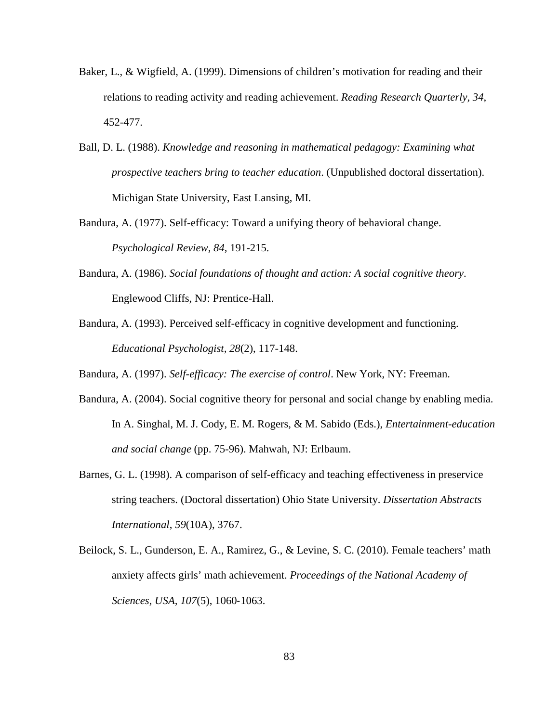- Baker, L., & Wigfield, A. (1999). Dimensions of children's motivation for reading and their relations to reading activity and reading achievement. *Reading Research Quarterly, 34*, 452-477.
- Ball, D. L. (1988). *Knowledge and reasoning in mathematical pedagogy: Examining what prospective teachers bring to teacher education*. (Unpublished doctoral dissertation). Michigan State University, East Lansing, MI.
- Bandura, A. (1977). Self-efficacy: Toward a unifying theory of behavioral change. *Psychological Review*, *84*, 191-215.
- Bandura, A. (1986). *[Social foundations of thought and action: A social cognitive theory](http://en.wikipedia.org/wiki/Social_Foundations_of_Thought_and_Action)*. Englewood Cliffs, NJ: Prentice-Hall.
- Bandura, A. (1993). Perceived self-efficacy in cognitive development and functioning. *Educational Psychologist, 28*(2), 117-148.
- Bandura, A. (1997). *Self-efficacy: The exercise of control*. New York, NY: Freeman.
- Bandura, A. (2004). Social cognitive theory for personal and social change by enabling media. In A. Singhal, M. J. Cody, E. M. Rogers, & M. Sabido (Eds.), *Entertainment-education and social change* (pp. 75-96). Mahwah, NJ: Erlbaum.
- Barnes, G. L. (1998). A comparison of self-efficacy and teaching effectiveness in preservice string teachers. (Doctoral dissertation) Ohio State University. *Dissertation Abstracts International*, *59*(10A), 3767.
- Beilock, S. L., Gunderson, E. A., Ramirez, G., & Levine, S. C. (2010). Female teachers' math anxiety affects girls' math achievement. *Proceedings of the National Academy of Sciences, USA, 107*(5), 1060‐1063.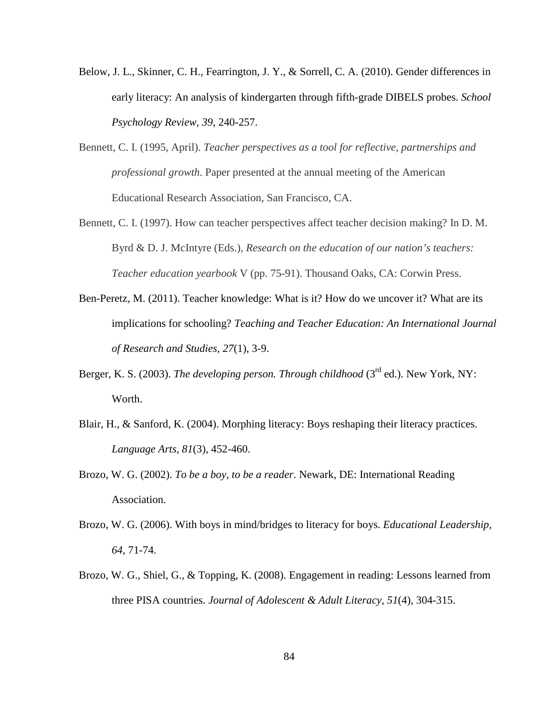- Below, J. L., Skinner, C. H., Fearrington, J. Y., & Sorrell, C. A. (2010). Gender differences in early literacy: An analysis of kindergarten through fifth-grade DIBELS probes. *School Psychology Review, 39*, 240-257.
- Bennett, C. I. (1995, April). *Teacher perspectives as a tool for reflective, partnerships and professional growth*. Paper presented at the annual meeting of the American Educational Research Association, San Francisco, CA.
- Bennett, C. I. (1997). How can teacher perspectives affect teacher decision making? In D. M. Byrd & D. J. McIntyre (Eds.), *Research on the education of our nation's teachers: Teacher education yearbook* V (pp. 75-91). Thousand Oaks, CA: Corwin Press.
- Ben-Peretz, M. (2011). Teacher knowledge: What is it? How do we uncover it? What are its implications for schooling? *Teaching and Teacher Education: An International Journal of Research and Studies*, *27*(1), 3-9.
- Berger, K. S. (2003). *The developing person. Through childhood* (3<sup>rd</sup> ed.). New York, NY: Worth.
- Blair, H., & Sanford, K. (2004). Morphing literacy: Boys reshaping their literacy practices. *Language Arts, 81*(3), 452-460.
- Brozo, W. G. (2002). *To be a boy, to be a reader*. Newark, DE: International Reading Association.
- Brozo, W. G. (2006). With boys in mind/bridges to literacy for boys. *Educational Leadership, 64,* 71-74.
- Brozo, W. G., Shiel, G., & Topping, K. (2008). Engagement in reading: Lessons learned from three PISA countries. *Journal of Adolescent & Adult Literacy*, *51*(4), 304-315.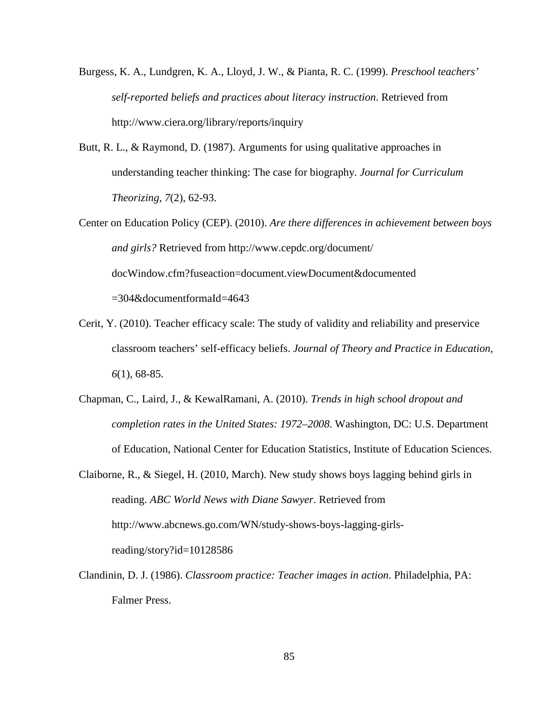- Burgess, K. A., Lundgren, K. A., Lloyd, J. W., & Pianta, R. C. (1999). *Preschool teachers' self-reported beliefs and practices about literacy instruction*. Retrieved from http://www.ciera.org/library/reports/inquiry
- Butt, R. L., & Raymond, D. (1987). Arguments for using qualitative approaches in understanding teacher thinking: The case for biography. *Journal for Curriculum Theorizing, 7*(2), 62-93.
- Center on Education Policy (CEP). (2010). *Are there differences in achievement between boys and girls?* Retrieved from http://www.cepdc.org/document/ docWindow.cfm?fuseaction=document.viewDocument&documented  $=304$ &documentformaId $=4643$
- Cerit, Y. (2010). Teacher efficacy scale: The study of validity and reliability and preservice classroom teachers' self-efficacy beliefs. *Journal of Theory and Practice in Education, 6*(1), 68-85.
- Chapman, C., Laird, J., & KewalRamani, A. (2010). *Trends in high school dropout and completion rates in the United States: 1972–2008*. Washington, DC: U.S. Department of Education, National Center for Education Statistics, Institute of Education Sciences.
- Claiborne, R., & Siegel, H. (2010, March). New study shows boys lagging behind girls in reading. *ABC World News with Diane Sawyer*. Retrieved from http://www.abcnews.go.com/WN/study-shows-boys-lagging-girlsreading/story?id=10128586
- Clandinin, D. J. (1986). *Classroom practice: Teacher images in action*. Philadelphia, PA: Falmer Press.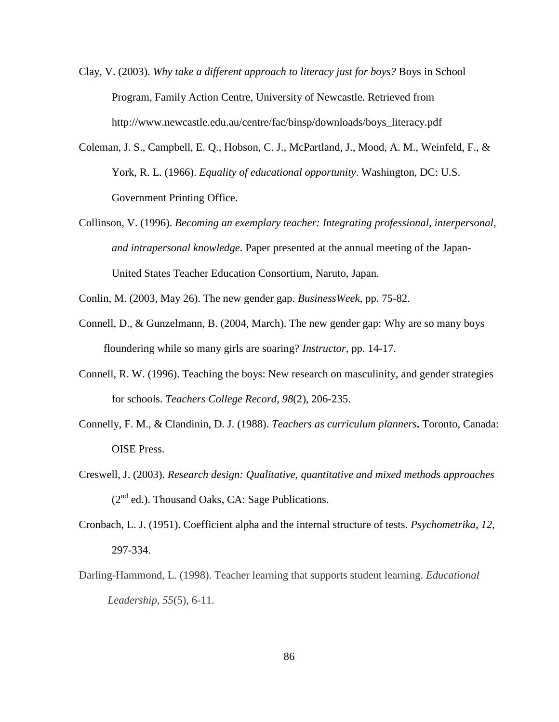- Clay, V. (2003). *Why take a different approach to literacy just for boys?* Boys in School Program, Family Action Centre, University of Newcastle. Retrieved from http://www.newcastle.edu.au/centre/fac/binsp/downloads/boys\_literacy.pdf
- Coleman, J. S., Campbell, E. Q., Hobson, C. J., McPartland, J., Mood, A. M., Weinfeld, F., & York, R. L. (1966). *Equality of educational opportunity*. Washington, DC: U.S. Government Printing Office.
- Collinson, V. (1996). *Becoming an exemplary teacher: Integrating professional, interpersonal, and intrapersonal knowledge*. Paper presented at the annual meeting of the Japan-United States Teacher Education Consortium, Naruto, Japan.

Conlin, M. (2003, May 26). The new gender gap. *BusinessWeek*, pp. 75-82.

- Connell, D., & Gunzelmann, B. (2004, March). The new gender gap: Why are so many boys floundering while so many girls are soaring? *Instructor*, pp. 14-17.
- Connell, R. W. (1996). Teaching the boys: New research on masculinity, and gender strategies for schools. *Teachers College Record, 98*(2), 206-235.
- Connelly, F. M., & Clandinin, D. J. (1988). *Teachers as curriculum planners***.** Toronto, Canada: OISE Press.
- Creswell, J. (2003). *Research design: Qualitative, quantitative and mixed methods approaches*  $(2<sup>nd</sup>$  ed.). Thousand Oaks, CA: Sage Publications.
- Cronbach, L. J. (1951). Coefficient alpha and the internal structure of tests. *Psychometrika, 12,* 297-334.
- Darling-Hammond, L. (1998). Teacher learning that supports student learning. *Educational Leadership*, *55*(5), 6-11.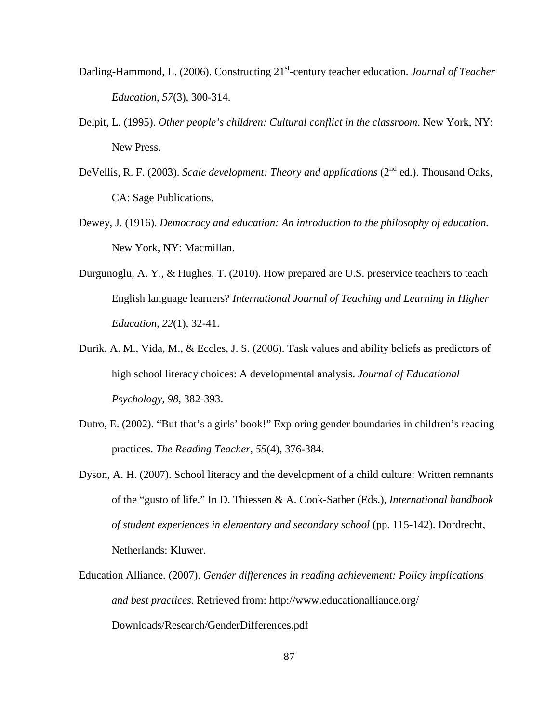- Darling-Hammond, L. (2006). Constructing 21<sup>st</sup>-century teacher education. *Journal of Teacher Education*, *57*(3), 300-314.
- Delpit, L. (1995). *Other people's children: Cultural conflict in the classroom*. New York, NY: New Press.
- DeVellis, R. F. (2003). *Scale development: Theory and applications* (2<sup>nd</sup> ed.). Thousand Oaks, CA: Sage Publications.
- Dewey, J. (1916). *Democracy and education: An introduction to the philosophy of education.* New York, NY: Macmillan.
- Durgunoglu, A. Y., & Hughes, T. (2010). How prepared are U.S. preservice teachers to teach English language learners? *International Journal of Teaching and Learning in Higher Education, 22*(1), 32-41.
- Durik, A. M., Vida, M., & Eccles, J. S. (2006). Task values and ability beliefs as predictors of high school literacy choices: A developmental analysis. *Journal of Educational Psychology, 98*, 382-393.
- Dutro, E. (2002). "But that's a girls' book!" Exploring gender boundaries in children's reading practices. *The Reading Teacher*, *55*(4), 376-384.
- Dyson, A. H. (2007). School literacy and the development of a child culture: Written remnants of the "gusto of life." In D. Thiessen & A. Cook-Sather (Eds.), *International handbook of student experiences in elementary and secondary school* (pp. 115-142). Dordrecht, Netherlands: Kluwer.
- Education Alliance. (2007). *Gender differences in reading achievement: Policy implications and best practices.* Retrieved from: http://www.educationalliance.org/ Downloads/Research/GenderDifferences.pdf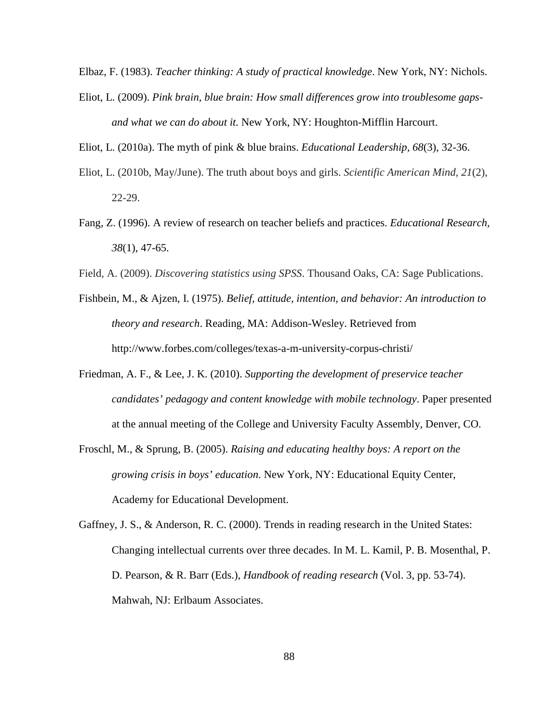Elbaz, F. (1983). *Teacher thinking: A study of practical knowledge*. New York, NY: Nichols.

Eliot, L. (2009). *Pink brain, blue brain: How small differences grow into troublesome gapsand what we can do about it.* New York, NY: Houghton-Mifflin Harcourt.

Eliot, L. (2010a). The myth of pink & blue brains. *[Educational Leadership](http://www.stemequitypipeline.org/_documents/ASCD Article.pdf), 68*(3), 32-36.

- Eliot, L. (2010b, May/June). The truth about boys and girls. *Scientific American Mind, 21*(2), 22-29.
- Fang, Z. (1996). A review of research on teacher beliefs and practices. *Educational Research, 38*(1), 47-65.
- Field, A. (2009). *Discovering statistics using SPSS*. Thousand Oaks, CA: Sage Publications.
- Fishbein, M., & Ajzen, I. (1975). *Belief, attitude, intention, and behavior: An introduction to theory and research*. Reading, MA: Addison-Wesley. Retrieved from http://www.forbes.com/colleges/texas-a-m-university-corpus-christi/
- Friedman, A. F., & Lee, J. K. (2010). *Supporting the development of preservice teacher candidates' pedagogy and content knowledge with mobile technology*. Paper presented at the annual meeting of the College and University Faculty Assembly, Denver, CO.
- Froschl, M., & Sprung, B. (2005). *Raising and educating healthy boys: A report on the growing crisis in boys' education*. New York, NY: Educational Equity Center, Academy for Educational Development.
- Gaffney, J. S., & Anderson, R. C. (2000). Trends in reading research in the United States: Changing intellectual currents over three decades. In M. L. Kamil, P. B. Mosenthal, P. D. Pearson, & R. Barr (Eds.), *Handbook of reading research* (Vol. 3, pp. 53-74). Mahwah, NJ: Erlbaum Associates.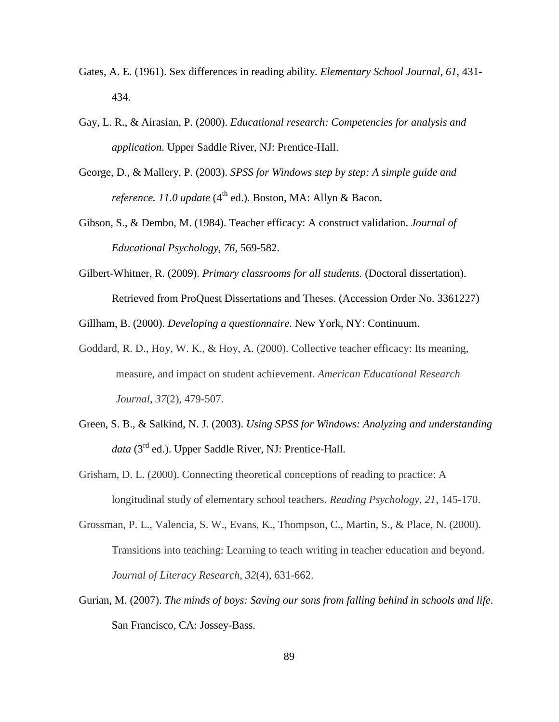- Gates, A. E. (1961). Sex differences in reading ability. *Elementary School Journal*, *61*, 431- 434.
- Gay, L. R., & Airasian, P. (2000). *Educational research: Competencies for analysis and application*. Upper Saddle River, NJ: Prentice-Hall.
- George, D., & Mallery, P. (2003). *SPSS for Windows step by step: A simple guide and reference. 11.0 update* (4<sup>th</sup> ed.). Boston, MA: Allyn & Bacon.
- Gibson, S., & Dembo, M. (1984). Teacher efficacy: A construct validation. *Journal of Educational Psychology*, *76,* 569-582.
- Gilbert-Whitner, R. (2009). *Primary classrooms for all students.* (Doctoral dissertation). Retrieved from ProQuest Dissertations and Theses. (Accession Order No. 3361227)

Gillham, B. (2000). *Developing a questionnaire*. New York, NY: Continuum.

- Goddard, R. D., Hoy, W. K., & Hoy, A. (2000). Collective teacher efficacy: Its meaning, measure, and impact on student achievement. *American Educational Research Journal*, *37*(2), 479-507.
- Green, S. B., & Salkind, N. J. (2003). *Using SPSS for Windows: Analyzing and understanding data* (3rd ed.). Upper Saddle River, NJ: Prentice-Hall.
- Grisham, D. L. (2000). Connecting theoretical conceptions of reading to practice: A longitudinal study of elementary school teachers. *Reading Psychology, 21*, 145-170.
- Grossman, P. L., Valencia, S. W., Evans, K., Thompson, C., Martin, S., & Place, N. (2000). Transitions into teaching: Learning to teach writing in teacher education and beyond. *Journal of Literacy Research, 32*(4), 631-662.
- Gurian, M. (2007). *The minds of boys: Saving our sons from falling behind in schools and life*. San Francisco, CA: Jossey-Bass.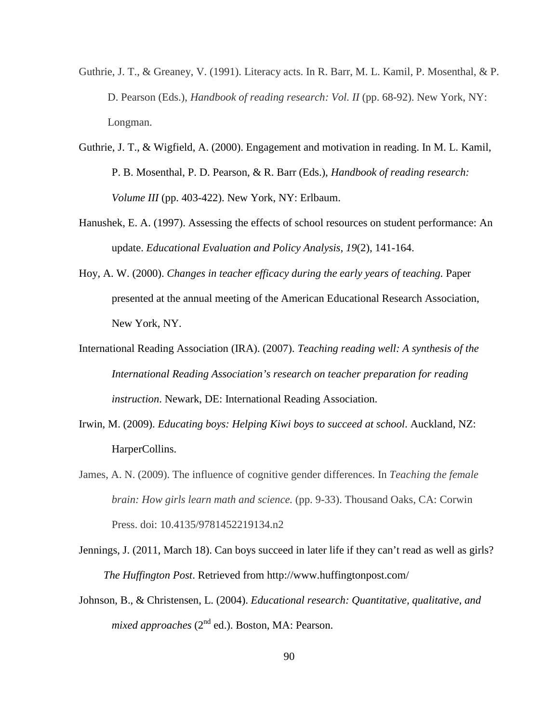- Guthrie, J. T., & Greaney, V. (1991). Literacy acts. In R. Barr, M. L. Kamil, P. Mosenthal, & P. D. Pearson (Eds.), *Handbook of reading research: Vol. II* (pp. 68-92). New York, NY: Longman.
- Guthrie, J. T., & Wigfield, A. (2000). Engagement and motivation in reading. In M. L. Kamil, P. B. Mosenthal, P. D. Pearson, & R. Barr (Eds.), *[Handbook of reading research:](http://marketplace.reading.org/products/IRA_Book_Forward.cfm?number=9138-553) [Volume III](http://marketplace.reading.org/products/IRA_Book_Forward.cfm?number=9138-553)* (pp. 403-422). New York, NY: Erlbaum.
- Hanushek, E. A. (1997). Assessing the effects of school resources on student performance: An update. *Educational Evaluation and Policy Analysis*, *19*(2), 141-164.
- Hoy, A. W. (2000). *Changes in teacher efficacy during the early years of teaching.* Paper presented at the annual meeting of the American Educational Research Association, New York, NY.
- International Reading Association (IRA). (2007). *Teaching reading well: A synthesis of the International Reading Association's research on teacher preparation for reading instruction*. Newark, DE: International Reading Association.
- Irwin, M. (2009). *Educating boys: Helping Kiwi boys to succeed at school*. Auckland, NZ: HarperCollins.
- James, A. N. (2009). The influence of cognitive gender differences. In *Teaching the female brain: How girls learn math and science.* (pp. 9-33). Thousand Oaks, CA: Corwin Press. doi: 10.4135/9781452219134.n2
- Jennings, J. (2011, March 18). Can boys succeed in later life if they can't read as well as girls? *The Huffington Post*. Retrieved from http://www.huffingtonpost.com/
- Johnson, B., & Christensen, L. (2004). *Educational research: Quantitative, qualitative, and mixed approaches* (2<sup>nd</sup> ed.). Boston, MA: Pearson.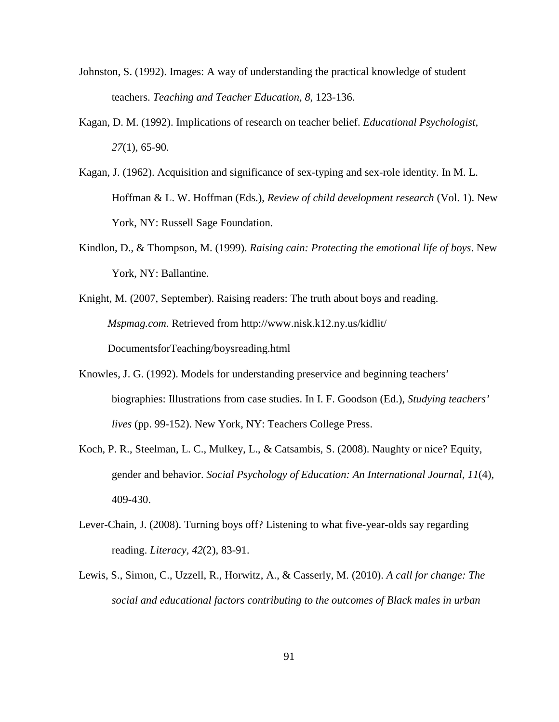- Johnston, S. (1992). Images: A way of understanding the practical knowledge of student teachers. *Teaching and Teacher Education, 8,* 123-136.
- Kagan, D. M. (1992). Implications of research on teacher belief. *Educational Psychologist, 27*(1), 65-90.
- Kagan, J. (1962). Acquisition and significance of sex-typing and sex-role identity. In M. L. Hoffman & L. W. Hoffman (Eds.), *Review of child development research* (Vol. 1). New York, NY: Russell Sage Foundation.
- Kindlon, D., & Thompson, M. (1999). *Raising cain: Protecting the emotional life of boys*. New York, NY: Ballantine.
- Knight, M. (2007, September). Raising readers: The truth about boys and reading. *Mspmag.com.* Retrieved from http://www.nisk.k12.ny.us/kidlit/ DocumentsforTeaching/boysreading.html
- Knowles, J. G. (1992). Models for understanding preservice and beginning teachers' biographies: Illustrations from case studies. In I. F. Goodson (Ed.), *Studying teachers' lives* (pp. 99-152). New York, NY: Teachers College Press.
- Koch, P. R., Steelman, L. C., Mulkey, L., & Catsambis, S. (2008). Naughty or nice? Equity, gender and behavior. *Social Psychology of Education: An International Journal*, *11*(4), 409-430.
- Lever-Chain, J. (2008). Turning boys off? Listening to what five-year-olds say regarding reading. *Literacy, 42*(2), 83-91.
- Lewis, S., Simon, C., Uzzell, R., Horwitz, A., & Casserly, M. (2010). *A call for change: The social and educational factors contributing to the outcomes of Black males in urban*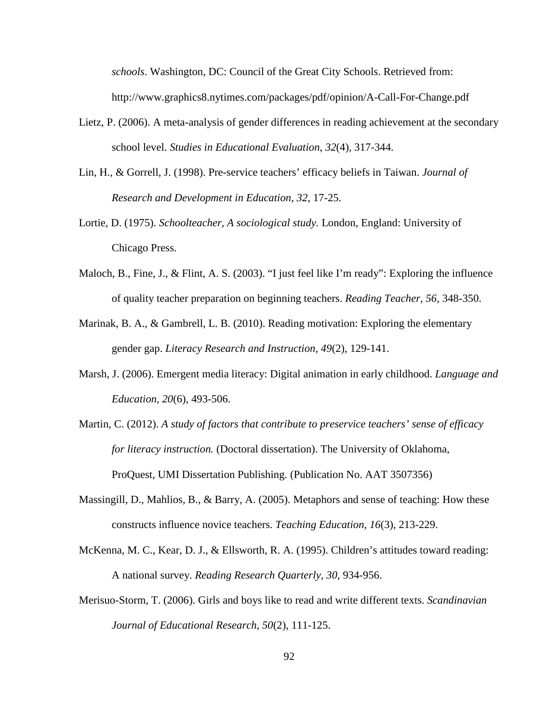*schools*. Washington, DC: Council of the Great City Schools. Retrieved from: http://www.graphics8.nytimes.com/packages/pdf/opinion/A-Call-For-Change.pdf

- Lietz, P. (2006). A meta-analysis of gender differences in reading achievement at the secondary school level. *Studies in Educational Evaluation*, *32*(4), 317-344.
- Lin, H., & Gorrell, J. (1998). Pre-service teachers' efficacy beliefs in Taiwan. *Journal of Research and Development in Education, 32,* 17-25.
- Lortie, D. (1975). *Schoolteacher, A sociological study.* London, England: University of Chicago Press.
- Maloch, B., Fine, J., & Flint, A. S. (2003). "I just feel like I'm ready": Exploring the influence of quality teacher preparation on beginning teachers. *Reading Teacher, 56,* 348-350.
- Marinak, B. A., & Gambrell, L. B. (2010). Reading motivation: Exploring the elementary gender gap. *Literacy Research and Instruction, 49*(2), 129-141.
- Marsh, J. (2006). Emergent media literacy: Digital animation in early childhood. *Language and Education, 20*(6), 493-506.
- Martin, C. (2012). *A study of factors that contribute to preservice teachers' sense of efficacy for literacy instruction.* (Doctoral dissertation). The University of Oklahoma, ProQuest, UMI Dissertation Publishing. (Publication No. AAT 3507356)
- Massingill, D., Mahlios, B., & Barry, A. (2005). Metaphors and sense of teaching: How these constructs influence novice teachers. *Teaching Education, 16*(3), 213-229.
- McKenna, M. C., Kear, D. J., & Ellsworth, R. A. (1995). Children's attitudes toward reading: A national survey. *Reading Research Quarterly, 30*, 934-956.
- Merisuo-Storm, T. (2006). Girls and boys like to read and write different texts. *Scandinavian Journal of Educational Research, 50*(2), 111-125.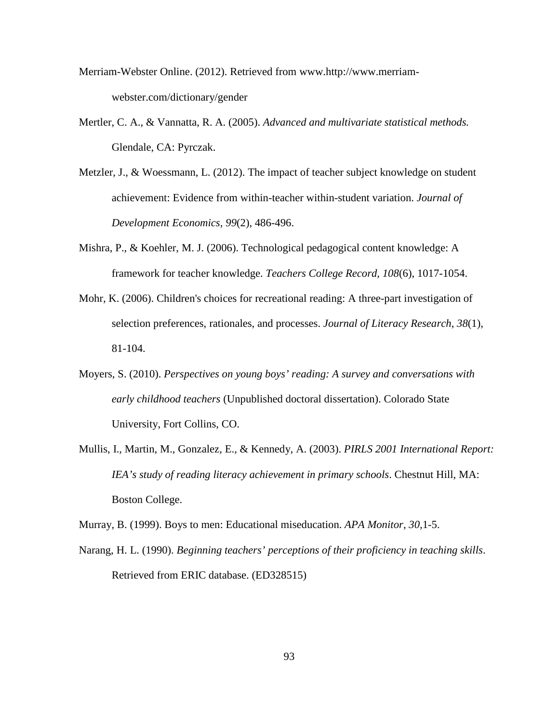- Merriam-Webster Online. (2012). Retrieved from www.http://www.merriamwebster.com/dictionary/gender
- Mertler, C. A., & Vannatta, R. A. (2005). *Advanced and multivariate statistical methods.* Glendale, CA: Pyrczak.
- Metzler, J., & Woessmann, L. (2012). The impact of teacher subject knowledge on student achievement: Evidence from within-teacher within-student variation. *Journal of Development Economics, 99*(2), 486-496.
- Mishra, P., & Koehler, M. J. (2006). Technological pedagogical content knowledge: A framework for teacher knowledge. *Teachers College Record, 108*(6), 1017-1054.
- Mohr, K. (2006). Children's choices for recreational reading: A three-part investigation of selection preferences, rationales, and processes. *Journal of Literacy Research*, *38*(1), 81-104.
- Moyers, S. (2010). *Perspectives on young boys' reading: A survey and conversations with early childhood teachers* (Unpublished doctoral dissertation). Colorado State University, Fort Collins, CO.
- Mullis, I., Martin, M., Gonzalez, E., & Kennedy, A. (2003). *PIRLS 2001 International Report: IEA's study of reading literacy achievement in primary schools*. Chestnut Hill, MA: Boston College.

Murray, B. (1999). Boys to men: Educational miseducation. *APA Monitor, 30,*1-5.

Narang, H. L. (1990). *Beginning teachers' perceptions of their proficiency in teaching skills*. Retrieved from ERIC database. (ED328515)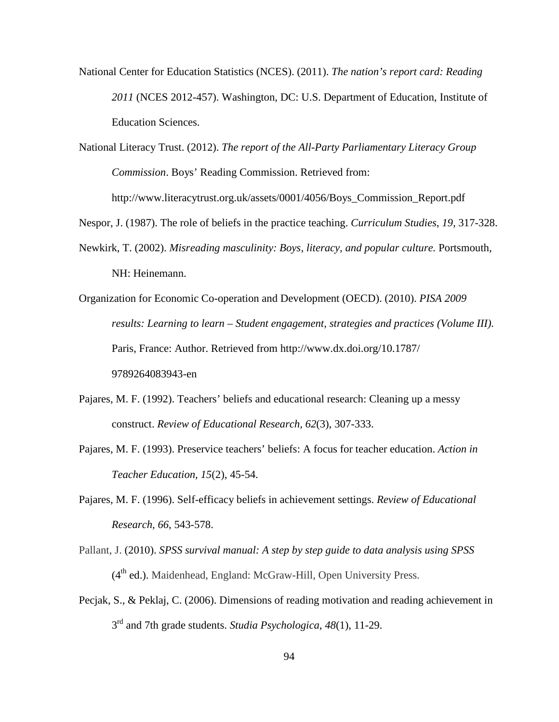National Center for Education Statistics (NCES). (2011). *The nation's report card: Reading 2011* (NCES 2012-457). Washington, DC: U.S. Department of Education, Institute of Education Sciences.

National Literacy Trust. (2012). *The report of the All-Party Parliamentary Literacy Group Commission*. Boys' Reading Commission. Retrieved from: http://www.literacytrust.org.uk/assets/0001/4056/Boys\_Commission\_Report.pdf

- Nespor, J. (1987). The role of beliefs in the practice teaching. *Curriculum Studies*, *19*, 317-328.
- Newkirk, T. (2002). *Misreading masculinity: Boys, literacy, and popular culture.* Portsmouth, NH: Heinemann.
- Organization for Economic Co-operation and Development (OECD). (2010). *PISA 2009 results: Learning to learn – Student engagement, strategies and practices (Volume III).* Paris, France: Author. Retrieved from http://www.dx.doi.org/10.1787/ 9789264083943-en
- Pajares, M. F. (1992). Teachers' beliefs and educational research: Cleaning up a messy construct. *Review of Educational Research, 62*(3), 307-333.
- Pajares, M. F. (1993). Preservice teachers' beliefs: A focus for teacher education. *Action in Teacher Education, 15*(2), 45-54.
- Pajares, M. F. (1996). Self-efficacy beliefs in achievement settings. *Review of Educational Research, 66*, 543-578.
- Pallant, J. (2010). *SPSS survival manual: A step by step guide to data analysis using SPSS*  $(4<sup>th</sup>$  ed.). Maidenhead, England: McGraw-Hill, Open University Press.
- Pecjak, S., & Peklaj, C. (2006). Dimensions of reading motivation and reading achievement in 3 rd and 7th grade students. *Studia Psychologica*, *48*(1), 11-29.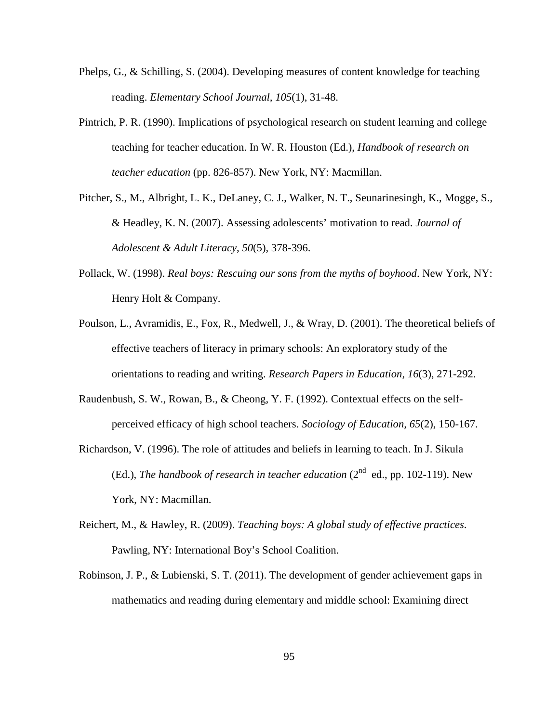- Phelps, G., & Schilling, S. (2004). Developing measures of content knowledge for teaching reading. *Elementary School Journal, 105*(1), 31-48.
- Pintrich, P. R. (1990). Implications of psychological research on student learning and college teaching for teacher education. In W. R. Houston (Ed.), *Handbook of research on teacher education* (pp. 826-857). New York, NY: Macmillan.
- Pitcher, S., M., Albright, L. K., DeLaney, C. J., Walker, N. T., Seunarinesingh, K., Mogge, S., & Headley, K. N. (2007). Assessing adolescents' motivation to read. *Journal of Adolescent & Adult Literacy*, *50*(5), 378-396.
- Pollack, W. (1998). *Real boys: Rescuing our sons from the myths of boyhood*. New York, NY: Henry Holt & Company.
- Poulson, L., Avramidis, E., Fox, R., Medwell, J., & Wray, D. (2001). The theoretical beliefs of effective teachers of literacy in primary schools: An exploratory study of the orientations to reading and writing. *Research Papers in Education, 16*(3), 271-292.
- Raudenbush, S. W., Rowan, B., & Cheong, Y. F. (1992). Contextual effects on the selfperceived efficacy of high school teachers. *Sociology of Education, 65*(2), 150-167.
- Richardson, V. (1996). The role of attitudes and beliefs in learning to teach. In J. Sikula (Ed.), *The handbook of research in teacher education*  $(2^{nd}$  ed., pp. 102-119). New York, NY: Macmillan.
- Reichert, M., & Hawley, R. (2009). *Teaching boys: A global study of effective practices*. Pawling, NY: International Boy's School Coalition.
- Robinson, J. P., & Lubienski, S. T. (2011). The development of gender achievement gaps in mathematics and reading during elementary and middle school: Examining direct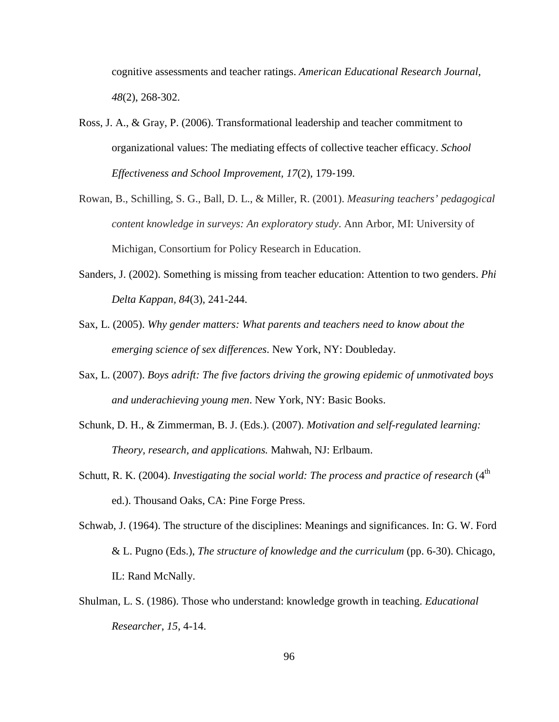cognitive assessments and teacher ratings. *American Educational Research Journal, 48*(2), 268‐302.

- Ross, J. A., & Gray, P. (2006). Transformational leadership and teacher commitment to organizational values: The mediating effects of collective teacher efficacy. *School Effectiveness and School Improvement, 17*(2), 179‐199.
- Rowan, B., Schilling, S. G., Ball, D. L., & Miller, R. (2001). *Measuring teachers' pedagogical content knowledge in surveys: An exploratory study*. Ann Arbor, MI: University of Michigan, Consortium for Policy Research in Education.
- Sanders, J. (2002). Something is missing from teacher education: Attention to two genders. *Phi Delta Kappan, 84*(3), 241-244.
- Sax, L. (2005). *Why gender matters: What parents and teachers need to know about the emerging science of sex differences*. New York, NY: Doubleday.
- Sax, L. (2007). *Boys adrift: The five factors driving the growing epidemic of unmotivated boys and underachieving young men*. New York, NY: Basic Books.
- Schunk, D. H., & Zimmerman, B. J. (Eds.). (2007). *Motivation and self-regulated learning: Theory, research, and applications.* Mahwah, NJ: Erlbaum.
- Schutt, R. K. (2004). *Investigating the social world: The process and practice of research* (4<sup>th</sup> ed.). Thousand Oaks, CA: Pine Forge Press.
- Schwab, J. (1964). The structure of the disciplines: Meanings and significances. In: G. W. Ford & L. Pugno (Eds.), *The structure of knowledge and the curriculum* (pp. 6-30). Chicago, IL: Rand McNally.
- Shulman, L. S. (1986). Those who understand: knowledge growth in teaching. *Educational Researcher*, *15*, 4-14.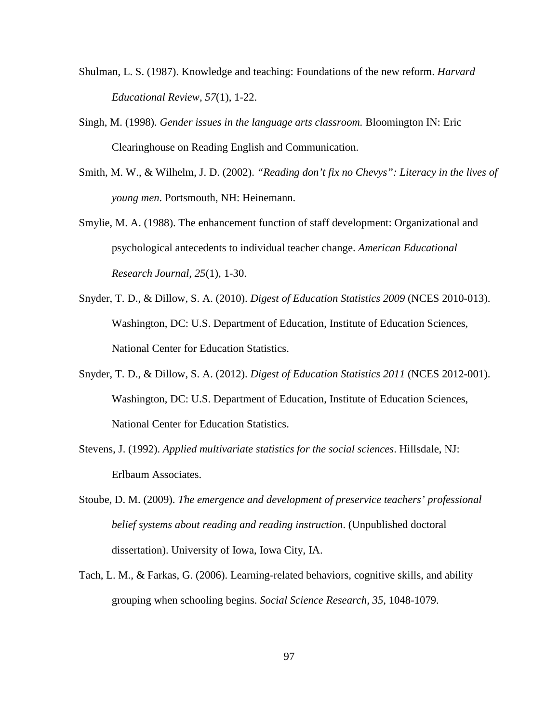- Shulman, L. S. (1987). Knowledge and teaching: Foundations of the new reform. *Harvard Educational Review, 57*(1), 1-22.
- Singh, M. (1998). *[Gender issues in the language arts classroom.](http://www.eric.ed.gov/contentdelivery/servlet/ERICServlet?accno=ED426409)* Bloomington IN: Eric Clearinghouse on Reading English and Communication.
- Smith, M. W., & Wilhelm, J. D. (2002). *"Reading don't fix no Chevys": Literacy in the lives of young men*. Portsmouth, NH: Heinemann.
- Smylie, M. A. (1988). The enhancement function of staff development: Organizational and psychological antecedents to individual teacher change. *American Educational Research Journal, 25*(1), 1-30.
- Snyder, T. D., & Dillow, S. A. (2010). *Digest of Education Statistics 2009* (NCES 2010-013). Washington, DC: U.S. Department of Education, Institute of Education Sciences, National Center for Education Statistics.
- Snyder, T. D., & Dillow, S. A. (2012). *Digest of Education Statistics 2011* (NCES 2012-001). Washington, DC: U.S. Department of Education, Institute of Education Sciences, National Center for Education Statistics.
- Stevens, J. (1992). *Applied multivariate statistics for the social sciences*. Hillsdale, NJ: Erlbaum Associates.
- Stoube, D. M. (2009). *The emergence and development of preservice teachers' professional belief systems about reading and reading instruction*. (Unpublished doctoral dissertation). University of Iowa, Iowa City, IA.
- Tach, L. M., & Farkas, G. (2006). Learning-related behaviors, cognitive skills, and ability grouping when schooling begins. *Social Science Research, 35,* 1048-1079.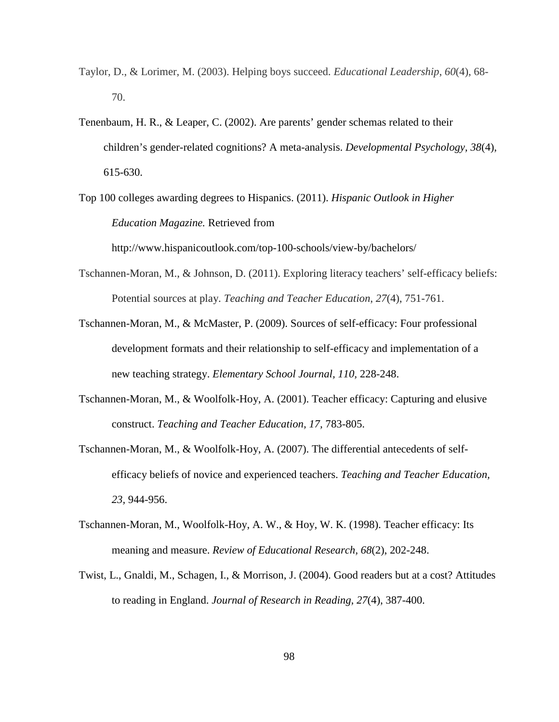- Taylor, D., & Lorimer, M. (2003). Helping boys succeed. *Educational Leadership*, *60*(4), 68- 70.
- Tenenbaum, H. R., & Leaper, C. (2002). Are parents' gender schemas related to their children's gender-related cognitions? A meta-analysis. *Developmental Psychology, 38*(4), 615-630.
- Top 100 colleges awarding degrees to Hispanics. (2011). *Hispanic Outlook in Higher Education Magazine.* Retrieved from

http://www.hispanicoutlook.com/top-100-schools/view-by/bachelors/

- Tschannen-Moran, M., & Johnson, D. (2011). Exploring literacy teachers' self-efficacy beliefs: Potential sources at play. *Teaching and Teacher Education*, *27*(4), 751-761.
- Tschannen-Moran, M., & McMaster, P. (2009). Sources of self-efficacy: Four professional development formats and their relationship to self-efficacy and implementation of a new teaching strategy. *Elementary School Journal, 110,* 228-248.
- Tschannen-Moran, M., & Woolfolk-Hoy, A. (2001). Teacher efficacy: Capturing and elusive construct. *Teaching and Teacher Education, 17,* 783-805.
- Tschannen-Moran, M., & Woolfolk-Hoy, A. (2007). The differential antecedents of selfefficacy beliefs of novice and experienced teachers. *Teaching and Teacher Education, 23,* 944-956.
- Tschannen-Moran, M., Woolfolk-Hoy, A. W., & Hoy, W. K. (1998). Teacher efficacy: Its meaning and measure. *Review of Educational Research, 68*(2), 202-248.
- Twist, L., Gnaldi, M., Schagen, I., & Morrison, J. (2004). Good readers but at a cost? Attitudes to reading in England. *Journal of Research in Reading*, *27*(4), 387-400.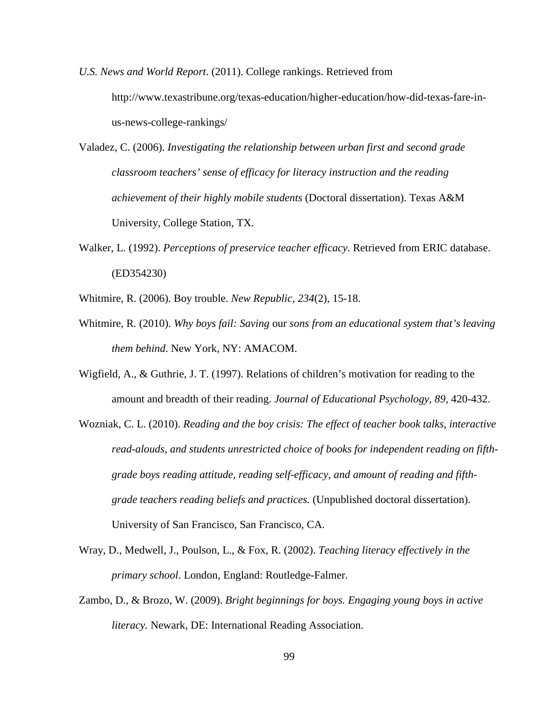- *U.S. News and World Report*. (2011). College rankings. Retrieved from http://www.texastribune.org/texas-education/higher-education/how-did-texas-fare-inus-news-college-rankings/
- Valadez, C. (2006). *Investigating the relationship between urban first and second grade classroom teachers' sense of efficacy for literacy instruction and the reading achievement of their highly mobile students* (Doctoral dissertation). Texas A&M University, College Station, TX.
- Walker, L. (1992). *Perceptions of preservice teacher efficacy*. Retrieved from ERIC database. (ED354230)
- Whitmire, R. (2006). Boy trouble. *New Republic, 234*(2), 15-18.
- Whitmire*,* R*.* (2010). *Why boys fail: Saving* our *sons from an educational system that's leaving them behind*. New York, NY: AMACOM.
- Wigfield, A., & Guthrie, J. T. (1997). Relations of children's motivation for reading to the amount and breadth of their reading. *Journal of Educational Psychology, 89*, 420-432.
- Wozniak, C. L. (2010). *Reading and the boy crisis: The effect of teacher book talks, interactive read-alouds, and students unrestricted choice of books for independent reading on fifthgrade boys reading attitude, reading self-efficacy, and amount of reading and fifthgrade teachers reading beliefs and practices.* (Unpublished doctoral dissertation). University of San Francisco, San Francisco, CA.
- Wray, D., Medwell, J., Poulson, L., & Fox, R. (2002). *Teaching literacy effectively in the primary school*. London, England: Routledge-Falmer.
- Zambo, D., & Brozo, W. (2009). *Bright beginnings for boys. Engaging young boys in active literacy.* Newark, DE: International Reading Association.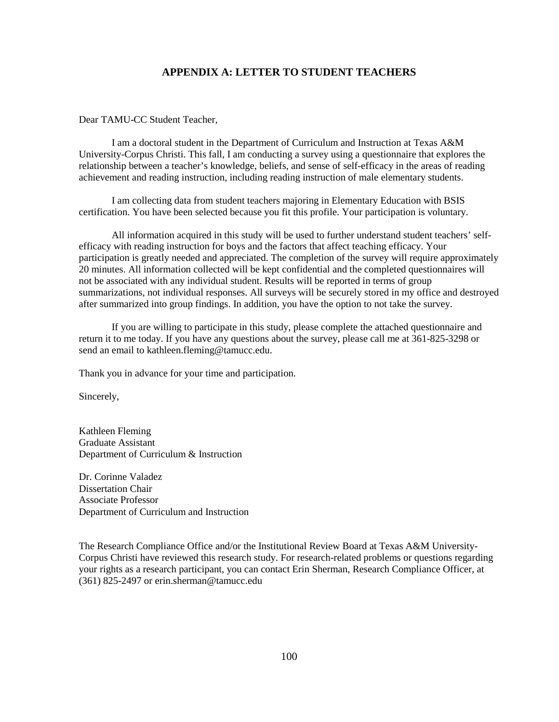### **APPENDIX A: LETTER TO STUDENT TEACHERS**

Dear TAMU-CC Student Teacher,

I am a doctoral student in the Department of Curriculum and Instruction at Texas A&M University-Corpus Christi. This fall, I am conducting a survey using a questionnaire that explores the relationship between a teacher's knowledge, beliefs, and sense of self-efficacy in the areas of reading achievement and reading instruction, including reading instruction of male elementary students.

I am collecting data from student teachers majoring in Elementary Education with BSIS certification. You have been selected because you fit this profile. Your participation is voluntary.

All information acquired in this study will be used to further understand student teachers' selfefficacy with reading instruction for boys and the factors that affect teaching efficacy. Your participation is greatly needed and appreciated. The completion of the survey will require approximately 20 minutes. All information collected will be kept confidential and the completed questionnaires will not be associated with any individual student. Results will be reported in terms of group summarizations, not individual responses. All surveys will be securely stored in my office and destroyed after summarized into group findings. In addition, you have the option to not take the survey.

If you are willing to participate in this study, please complete the attached questionnaire and return it to me today. If you have any questions about the survey, please call me at 361-825-3298 or send an email to kathleen.fleming@tamucc.edu.

Thank you in advance for your time and participation.

Sincerely,

Kathleen Fleming Graduate Assistant Department of Curriculum & Instruction

Dr. Corinne Valadez Dissertation Chair Associate Professor Department of Curriculum and Instruction

The Research Compliance Office and/or the Institutional Review Board at Texas A&M University-Corpus Christi have reviewed this research study. For research-related problems or questions regarding your rights as a research participant, you can contact Erin Sherman, Research Compliance Officer, at (361) 825-2497 or erin.sherman@tamucc.edu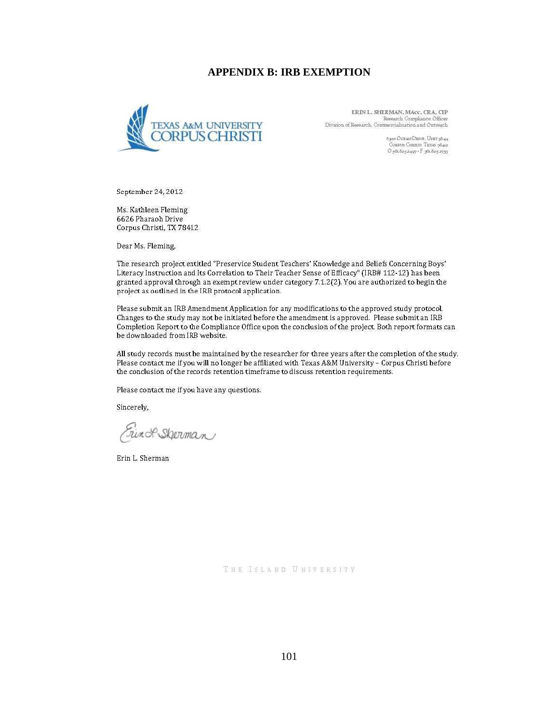#### **APPENDIX B: IRB EXEMPTION**



ERIN L. SHERMAN, MAcc, CRA, CIP Research Compliance Officer Division of Research, Commercialization and Outreach

> 6300 OCEAN DEIVE, UNIT 9844 CORPUS CHRISTINE | OVER 3044<br>|- CORPUS CHRISTI TEXAS 3842<br>|- O 361 825 2497 + F 361 825 2735

September 24, 2012

Ms. Kathleen Fleming 6626 Pharaoh Drive Corpus Christi, TX 78412

Dear Ms. Fleming,

The research project entitled "Preservice Student Teachers' Knowledge and Beliefs Concerning Boys' Literacy Instruction and Its Correlation to Their Teacher Sense of Efficacy" (IRB# 112-12) has been granted approval through an exempt review under category 7.1.2(2). You are authorized to begin the project as outlined in the IRB protocol application.

Please submit an IRB Amendment Application for any modifications to the approved study protocol. Changes to the study may not be initiated before the amendment is approved. Please submit an IRB Completion Report to the Compliance Office upon the conclusion of the project. Both report formats can be downloaded from IRB website.

All study records must be maintained by the researcher for three years after the completion of the study. Please contact me if you will no longer be affiliated with Texas A&M University - Corpus Christi before the conclusion of the records retention timeframe to discuss retention requirements.

Please contact me if you have any questions.

Sincerely,

Ein & Shorman

Erin L. Sherman

THE ISLAND UNIVERSITY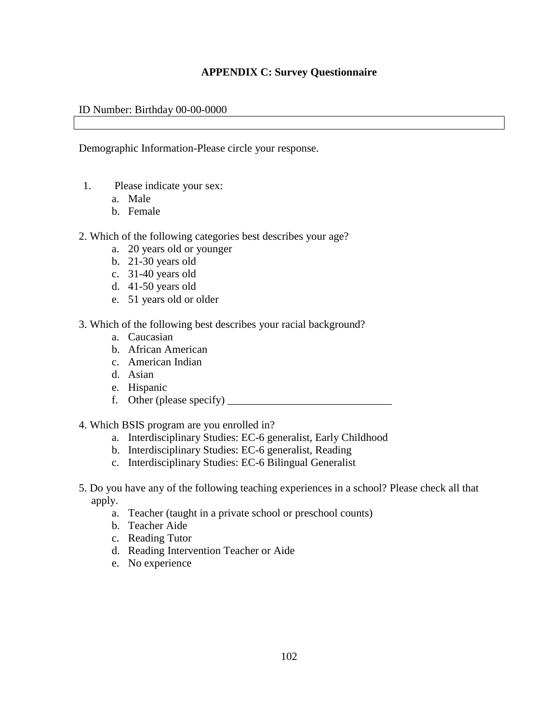## **APPENDIX C: Survey Questionnaire**

### ID Number: Birthday 00-00-0000

Demographic Information-Please circle your response.

- 1. Please indicate your sex:
	- a. Male
	- b. Female
- 2. Which of the following categories best describes your age?
	- a. 20 years old or younger
	- b. 21-30 years old
	- c. 31-40 years old
	- d. 41-50 years old
	- e. 51 years old or older
- 3. Which of the following best describes your racial background?
	- a. Caucasian
	- b. African American
	- c. American Indian
	- d. Asian
	- e. Hispanic
	- f. Other (please specify)  $\frac{1}{\sqrt{2\pi}}$
- 4. Which BSIS program are you enrolled in?
	- a. Interdisciplinary Studies: EC-6 generalist, Early Childhood
	- b. Interdisciplinary Studies: EC-6 generalist, Reading
	- c. Interdisciplinary Studies: EC-6 Bilingual Generalist
- 5. Do you have any of the following teaching experiences in a school? Please check all that apply.
	- a. Teacher (taught in a private school or preschool counts)
	- b. Teacher Aide
	- c. Reading Tutor
	- d. Reading Intervention Teacher or Aide
	- e. No experience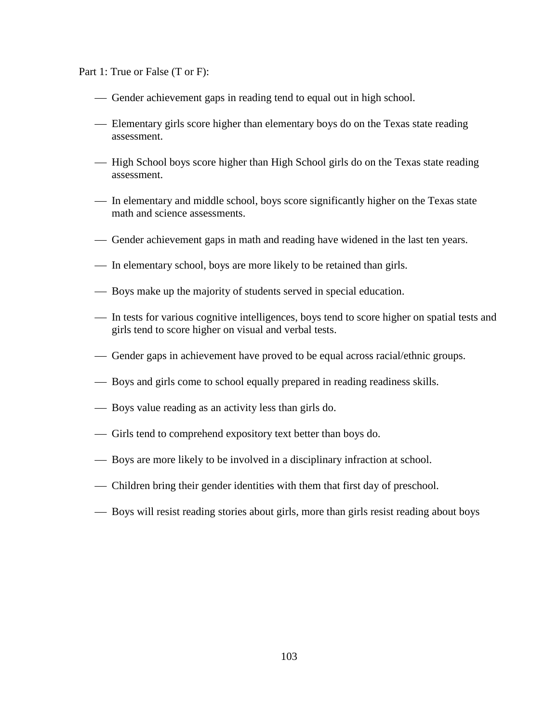Part 1: True or False (T or F):

- Gender achievement gaps in reading tend to equal out in high school.
- Elementary girls score higher than elementary boys do on the Texas state reading assessment.
- High School boys score higher than High School girls do on the Texas state reading assessment.
- In elementary and middle school, boys score significantly higher on the Texas state math and science assessments.
- Gender achievement gaps in math and reading have widened in the last ten years.
- In elementary school, boys are more likely to be retained than girls.
- Boys make up the majority of students served in special education.
- In tests for various cognitive intelligences, boys tend to score higher on spatial tests and girls tend to score higher on visual and verbal tests.
- Gender gaps in achievement have proved to be equal across racial/ethnic groups.
- Boys and girls come to school equally prepared in reading readiness skills.
- Boys value reading as an activity less than girls do.
- Girls tend to comprehend expository text better than boys do.
- Boys are more likely to be involved in a disciplinary infraction at school.
- Children bring their gender identities with them that first day of preschool.
- Boys will resist reading stories about girls, more than girls resist reading about boys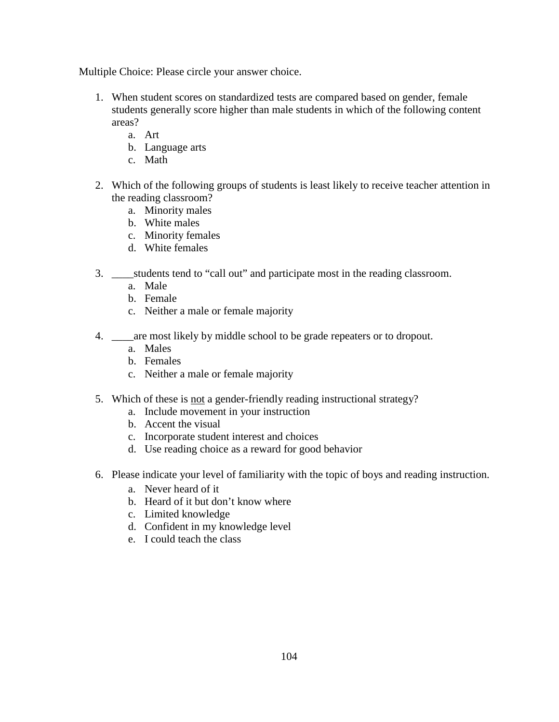Multiple Choice: Please circle your answer choice.

- 1. When student scores on standardized tests are compared based on gender, female students generally score higher than male students in which of the following content areas?
	- a. Art
	- b. Language arts
	- c. Math
- 2. Which of the following groups of students is least likely to receive teacher attention in the reading classroom?
	- a. Minority males
	- b. White males
	- c. Minority females
	- d. White females
- 3. \_\_\_\_students tend to "call out" and participate most in the reading classroom.
	- a. Male
	- b. Female
	- c. Neither a male or female majority
- 4. \_\_\_\_are most likely by middle school to be grade repeaters or to dropout.
	- a. Males
	- b. Females
	- c. Neither a male or female majority
- 5. Which of these is not a gender-friendly reading instructional strategy?
	- a. Include movement in your instruction
	- b. Accent the visual
	- c. Incorporate student interest and choices
	- d. Use reading choice as a reward for good behavior
- 6. Please indicate your level of familiarity with the topic of boys and reading instruction.
	- a. Never heard of it
	- b. Heard of it but don't know where
	- c. Limited knowledge
	- d. Confident in my knowledge level
	- e. I could teach the class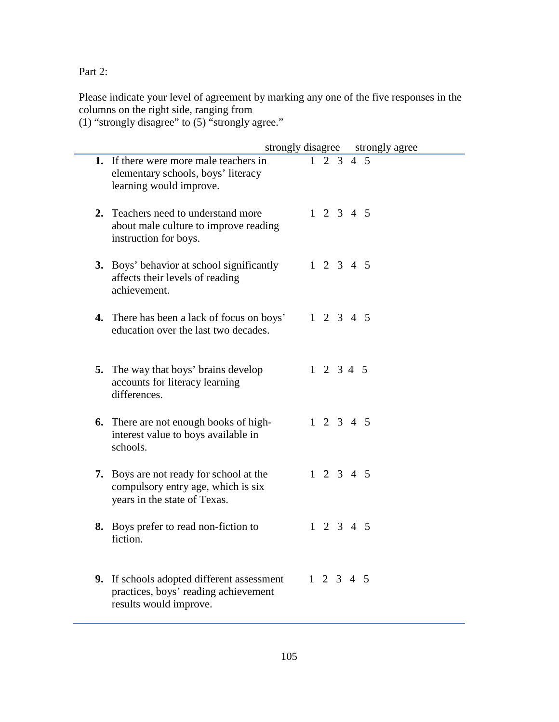Part 2:

Please indicate your level of agreement by marking any one of the five responses in the columns on the right side, ranging from

(1) "strongly disagree" to (5) "strongly agree."

| strongly disagree                                                                                             |                     |  | strongly agree |
|---------------------------------------------------------------------------------------------------------------|---------------------|--|----------------|
| 1. If there were more male teachers in<br>elementary schools, boys' literacy<br>learning would improve.       | $1\quad 2\quad 3$   |  | 4 5            |
| 2. Teachers need to understand more<br>about male culture to improve reading<br>instruction for boys.         | $1 \t2 \t3 \t4 \t5$ |  |                |
| 3. Boys' behavior at school significantly<br>affects their levels of reading<br>achievement.                  | $1 \t2 \t3 \t4 \t5$ |  |                |
| 4. There has been a lack of focus on boys'<br>education over the last two decades.                            | $1 \t2 \t3 \t4 \t5$ |  |                |
| <b>5.</b> The way that boys' brains develop<br>accounts for literacy learning<br>differences.                 | $1 \t2 \t3 \t4 \t5$ |  |                |
| <b>6.</b> There are not enough books of high-<br>interest value to boys available in<br>schools.              | $1 \t2 \t3 \t4 \t5$ |  |                |
| 7. Boys are not ready for school at the<br>compulsory entry age, which is six<br>years in the state of Texas. | $1 \t2 \t3 \t4 \t5$ |  |                |
| 8. Boys prefer to read non-fiction to<br>fiction.                                                             | $1 \t2 \t3 \t4 \t5$ |  |                |
| 9. If schools adopted different assessment<br>practices, boys' reading achievement<br>results would improve.  | $1 \t2 \t3 \t4 \t5$ |  |                |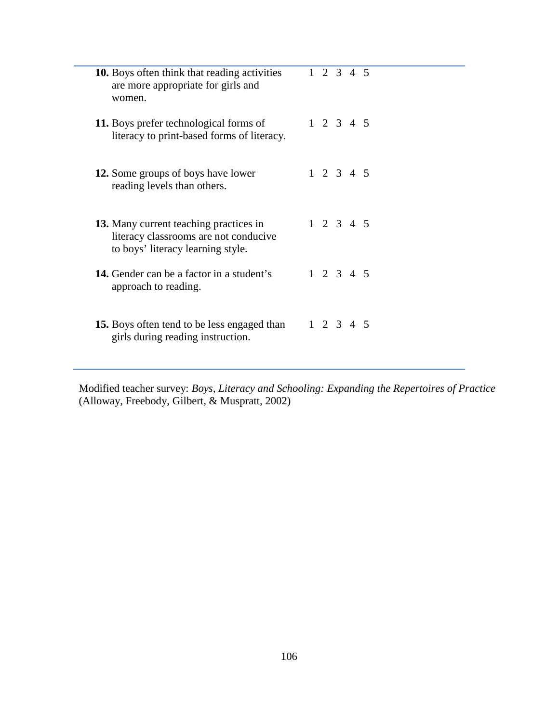| <b>10.</b> Boys often think that reading activities<br>are more appropriate for girls and<br>women.                  | $1 \t2 \t3 \t4 \t5$ |  |
|----------------------------------------------------------------------------------------------------------------------|---------------------|--|
| 11. Boys prefer technological forms of<br>literacy to print-based forms of literacy.                                 | $1 \t2 \t3 \t4 \t5$ |  |
| <b>12.</b> Some groups of boys have lower<br>reading levels than others.                                             | $1 \t2 \t3 \t4 \t5$ |  |
| 13. Many current teaching practices in<br>literacy classrooms are not conducive<br>to boys' literacy learning style. | $1 \t2 \t3 \t4 \t5$ |  |
| <b>14.</b> Gender can be a factor in a student's<br>approach to reading.                                             | $1 \t2 \t3 \t4 \t5$ |  |
| <b>15.</b> Boys often tend to be less engaged than<br>girls during reading instruction.                              | $1 \t2 \t3 \t4 \t5$ |  |

Modified teacher survey: *Boys, Literacy and Schooling: Expanding the Repertoires of Practice* (Alloway, Freebody, Gilbert, & Muspratt, 2002)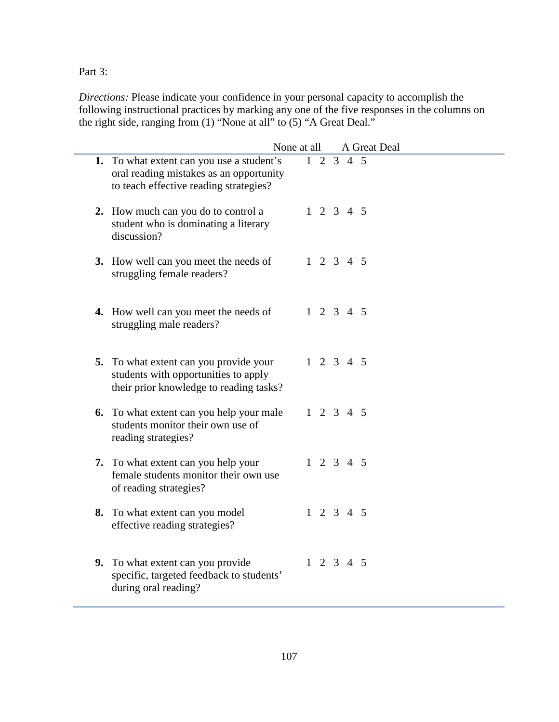Part 3:

*Directions:* Please indicate your confidence in your personal capacity to accomplish the following instructional practices by marking any one of the five responses in the columns on the right side, ranging from (1) "None at all" to (5) "A Great Deal."

|                                                                                                                                | None at all |                     | A Great Deal |
|--------------------------------------------------------------------------------------------------------------------------------|-------------|---------------------|--------------|
| 1. To what extent can you use a student's<br>oral reading mistakes as an opportunity<br>to teach effective reading strategies? |             | $1 \t2 \t3 \t4 \t5$ |              |
| 2. How much can you do to control a<br>student who is dominating a literary<br>discussion?                                     |             | $1 \t2 \t3 \t4 \t5$ |              |
| 3. How well can you meet the needs of<br>struggling female readers?                                                            |             | $1 \t2 \t3 \t4 \t5$ |              |
| 4. How well can you meet the needs of<br>struggling male readers?                                                              |             | $1 \t2 \t3 \t4 \t5$ |              |
| 5. To what extent can you provide your<br>students with opportunities to apply<br>their prior knowledge to reading tasks?      |             | $1 \t2 \t3 \t4 \t5$ |              |
| <b>6.</b> To what extent can you help your male<br>students monitor their own use of<br>reading strategies?                    |             | $1 \t2 \t3 \t4 \t5$ |              |
| 7. To what extent can you help your<br>female students monitor their own use<br>of reading strategies?                         |             | $1 \t2 \t3 \t4 \t5$ |              |
| 8. To what extent can you model<br>effective reading strategies?                                                               |             | $1 \t2 \t3 \t4 \t5$ |              |
| 9. To what extent can you provide<br>specific, targeted feedback to students'<br>during oral reading?                          |             | $1 \t2 \t3 \t4 \t5$ |              |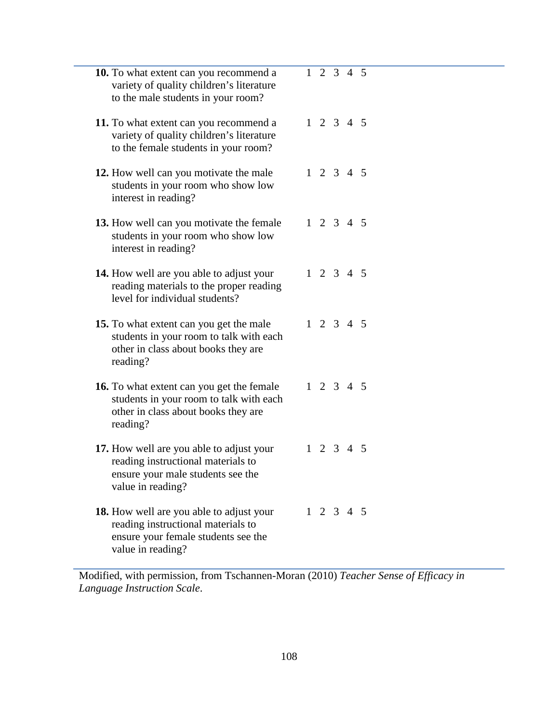| <b>10.</b> To what extent can you recommend a<br>variety of quality children's literature<br>to the male students in your room?                   | $\overline{1}$ 2 3 4 5 |  |  |
|---------------------------------------------------------------------------------------------------------------------------------------------------|------------------------|--|--|
| 11. To what extent can you recommend a<br>variety of quality children's literature<br>to the female students in your room?                        | $1 \t2 \t3 \t4 \t5$    |  |  |
| 12. How well can you motivate the male<br>students in your room who show low<br>interest in reading?                                              | $1 \t2 \t3 \t4 \t5$    |  |  |
| 13. How well can you motivate the female<br>students in your room who show low<br>interest in reading?                                            | $1 \t2 \t3 \t4 \t5$    |  |  |
| <b>14.</b> How well are you able to adjust your<br>reading materials to the proper reading<br>level for individual students?                      | $1 \t2 \t3 \t4 \t5$    |  |  |
| 15. To what extent can you get the male<br>students in your room to talk with each<br>other in class about books they are<br>reading?             | $1 \t2 \t3 \t4 \t5$    |  |  |
| 16. To what extent can you get the female<br>students in your room to talk with each<br>other in class about books they are<br>reading?           | $1 \t2 \t3 \t4 \t5$    |  |  |
| 17. How well are you able to adjust your<br>reading instructional materials to<br>ensure your male students see the<br>value in reading?          | $1 \t2 \t3 \t4 \t5$    |  |  |
| <b>18.</b> How well are you able to adjust your<br>reading instructional materials to<br>ensure your female students see the<br>value in reading? | $1 \t2 \t3 \t4 \t5$    |  |  |

Modified, with permission, from Tschannen-Moran (2010) *Teacher Sense of Efficacy in Language Instruction Scale*.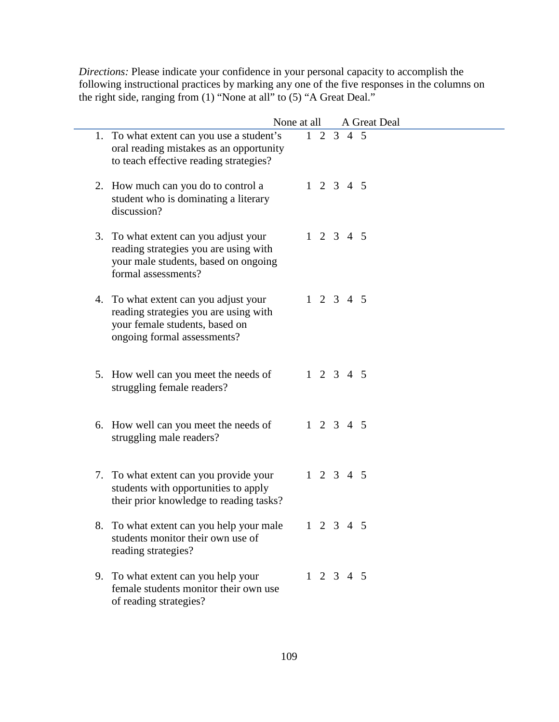*Directions:* Please indicate your confidence in your personal capacity to accomplish the following instructional practices by marking any one of the five responses in the columns on the right side, ranging from (1) "None at all" to (5) "A Great Deal."

|    |                                                                                                                                                 | None at all |  |                     | A Great Deal |
|----|-------------------------------------------------------------------------------------------------------------------------------------------------|-------------|--|---------------------|--------------|
|    | 1. To what extent can you use a student's<br>oral reading mistakes as an opportunity<br>to teach effective reading strategies?                  |             |  | $1 \t2 \t3 \t4 \t5$ |              |
|    | 2. How much can you do to control a<br>student who is dominating a literary<br>discussion?                                                      |             |  | $1 \t2 \t3 \t4 \t5$ |              |
| 3. | To what extent can you adjust your<br>reading strategies you are using with<br>your male students, based on ongoing<br>formal assessments?      |             |  | $1 \t2 \t3 \t4 \t5$ |              |
|    | 4. To what extent can you adjust your<br>reading strategies you are using with<br>your female students, based on<br>ongoing formal assessments? |             |  | $1 \t2 \t3 \t4 \t5$ |              |
|    | 5. How well can you meet the needs of<br>struggling female readers?                                                                             |             |  | $1\ 2\ 3\ 4\ 5$     |              |
|    | 6. How well can you meet the needs of<br>struggling male readers?                                                                               |             |  | $1 \t2 \t3 \t4 \t5$ |              |
|    | 7. To what extent can you provide your<br>students with opportunities to apply<br>their prior knowledge to reading tasks?                       |             |  | $1\ 2\ 3\ 4\ 5$     |              |
| 8. | To what extent can you help your male<br>students monitor their own use of<br>reading strategies?                                               |             |  | $1 \t2 \t3 \t4 \t5$ |              |
|    | 9. To what extent can you help your<br>female students monitor their own use<br>of reading strategies?                                          |             |  | $1 \t2 \t3 \t4 \t5$ |              |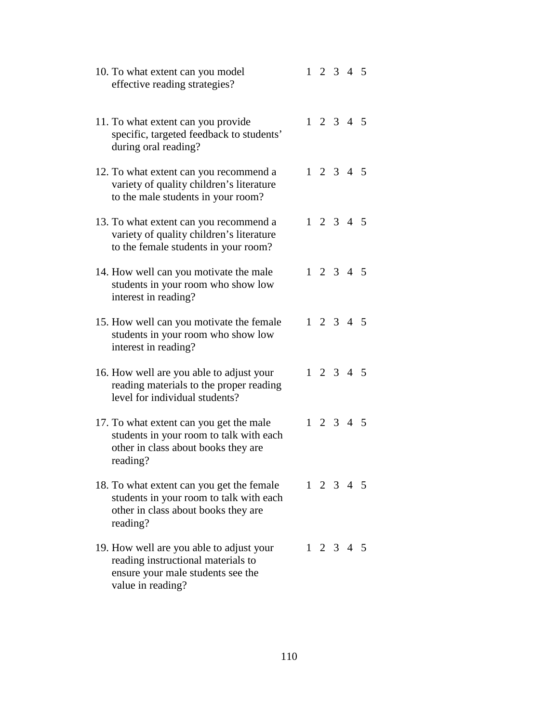| 10. To what extent can you model<br>effective reading strategies?                                                                        |  | $1 \t2 \t3 \t4 \t5$ |  |
|------------------------------------------------------------------------------------------------------------------------------------------|--|---------------------|--|
| 11. To what extent can you provide<br>specific, targeted feedback to students'<br>during oral reading?                                   |  | $1 \t2 \t3 \t4 \t5$ |  |
| 12. To what extent can you recommend a<br>variety of quality children's literature<br>to the male students in your room?                 |  | $1 \t2 \t3 \t4 \t5$ |  |
| 13. To what extent can you recommend a<br>variety of quality children's literature<br>to the female students in your room?               |  | $1 \t2 \t3 \t4 \t5$ |  |
| 14. How well can you motivate the male<br>students in your room who show low<br>interest in reading?                                     |  | $1 \t2 \t3 \t4 \t5$ |  |
| 15. How well can you motivate the female<br>students in your room who show low<br>interest in reading?                                   |  | $1 \t2 \t3 \t4 \t5$ |  |
| 16. How well are you able to adjust your<br>reading materials to the proper reading<br>level for individual students?                    |  | $1 \t2 \t3 \t4 \t5$ |  |
| 17. To what extent can you get the male<br>students in your room to talk with each<br>other in class about books they are<br>reading?    |  | $1 \t2 \t3 \t4 \t5$ |  |
| 18. To what extent can you get the female<br>students in your room to talk with each<br>other in class about books they are<br>reading?  |  | $1 \t2 \t3 \t4 \t5$ |  |
| 19. How well are you able to adjust your<br>reading instructional materials to<br>ensure your male students see the<br>value in reading? |  | $1 \t2 \t3 \t4 \t5$ |  |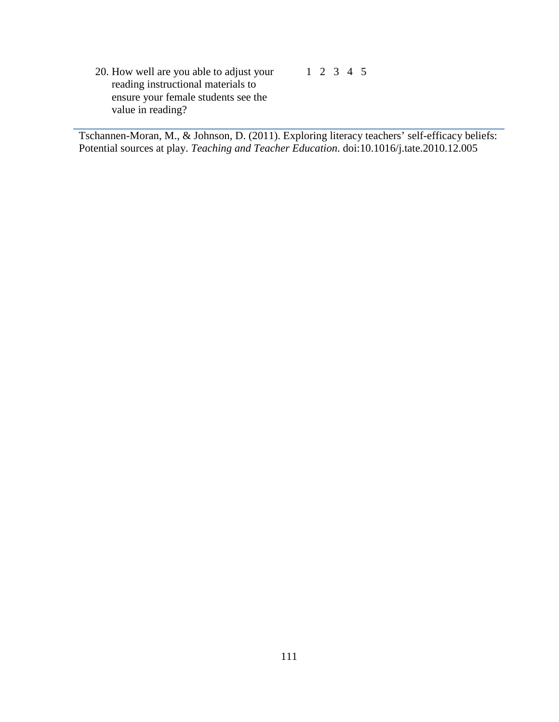20. How well are you able to adjust your reading instructional materials to ensure your female students see the value in reading? 1 2 3 4 5

Tschannen-Moran, M., & Johnson, D. (2011). Exploring literacy teachers' self-efficacy beliefs: Potential sources at play. *Teaching and Teacher Education*. doi:10.1016/j.tate.2010.12.005